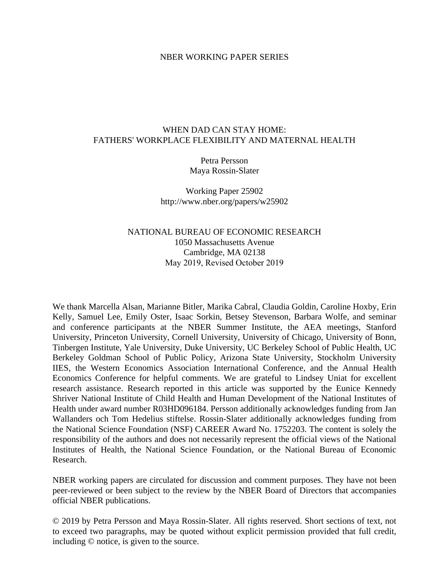#### NBER WORKING PAPER SERIES

#### WHEN DAD CAN STAY HOME: FATHERS' WORKPLACE FLEXIBILITY AND MATERNAL HEALTH

Petra Persson Maya Rossin-Slater

Working Paper 25902 http://www.nber.org/papers/w25902

#### NATIONAL BUREAU OF ECONOMIC RESEARCH 1050 Massachusetts Avenue Cambridge, MA 02138 May 2019, Revised October 2019

We thank Marcella Alsan, Marianne Bitler, Marika Cabral, Claudia Goldin, Caroline Hoxby, Erin Kelly, Samuel Lee, Emily Oster, Isaac Sorkin, Betsey Stevenson, Barbara Wolfe, and seminar and conference participants at the NBER Summer Institute, the AEA meetings, Stanford University, Princeton University, Cornell University, University of Chicago, University of Bonn, Tinbergen Institute, Yale University, Duke University, UC Berkeley School of Public Health, UC Berkeley Goldman School of Public Policy, Arizona State University, Stockholm University IIES, the Western Economics Association International Conference, and the Annual Health Economics Conference for helpful comments. We are grateful to Lindsey Uniat for excellent research assistance. Research reported in this article was supported by the Eunice Kennedy Shriver National Institute of Child Health and Human Development of the National Institutes of Health under award number R03HD096184. Persson additionally acknowledges funding from Jan Wallanders och Tom Hedelius stiftelse. Rossin-Slater additionally acknowledges funding from the National Science Foundation (NSF) CAREER Award No. 1752203. The content is solely the responsibility of the authors and does not necessarily represent the official views of the National Institutes of Health, the National Science Foundation, or the National Bureau of Economic Research.

NBER working papers are circulated for discussion and comment purposes. They have not been peer-reviewed or been subject to the review by the NBER Board of Directors that accompanies official NBER publications.

© 2019 by Petra Persson and Maya Rossin-Slater. All rights reserved. Short sections of text, not to exceed two paragraphs, may be quoted without explicit permission provided that full credit, including © notice, is given to the source.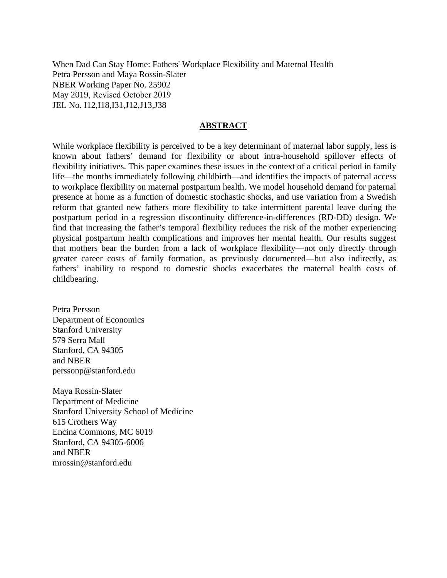When Dad Can Stay Home: Fathers' Workplace Flexibility and Maternal Health Petra Persson and Maya Rossin-Slater NBER Working Paper No. 25902 May 2019, Revised October 2019 JEL No. I12,I18,I31,J12,J13,J38

#### **ABSTRACT**

While workplace flexibility is perceived to be a key determinant of maternal labor supply, less is known about fathers' demand for flexibility or about intra-household spillover effects of flexibility initiatives. This paper examines these issues in the context of a critical period in family life—the months immediately following childbirth—and identifies the impacts of paternal access to workplace flexibility on maternal postpartum health. We model household demand for paternal presence at home as a function of domestic stochastic shocks, and use variation from a Swedish reform that granted new fathers more flexibility to take intermittent parental leave during the postpartum period in a regression discontinuity difference-in-differences (RD-DD) design. We find that increasing the father's temporal flexibility reduces the risk of the mother experiencing physical postpartum health complications and improves her mental health. Our results suggest that mothers bear the burden from a lack of workplace flexibility—not only directly through greater career costs of family formation, as previously documented—but also indirectly, as fathers' inability to respond to domestic shocks exacerbates the maternal health costs of childbearing.

Petra Persson Department of Economics Stanford University 579 Serra Mall Stanford, CA 94305 and NBER perssonp@stanford.edu

Maya Rossin-Slater Department of Medicine Stanford University School of Medicine 615 Crothers Way Encina Commons, MC 6019 Stanford, CA 94305-6006 and NBER mrossin@stanford.edu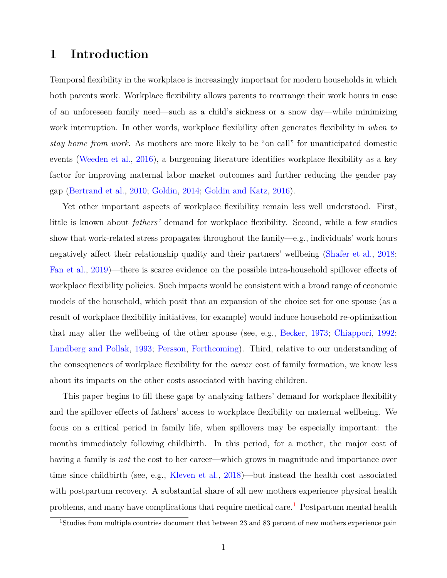# **1 Introduction**

Temporal flexibility in the workplace is increasingly important for modern households in which both parents work. Workplace flexibility allows parents to rearrange their work hours in case of an unforeseen family need—such as a child's sickness or a snow day—while minimizing work interruption. In other words, workplace flexibility often generates flexibility in *when to stay home from work*. As mothers are more likely to be "on call" for unanticipated domestic events [\(Weeden et al.,](#page-41-0) [2016\)](#page-41-0), a burgeoning literature identifies workplace flexibility as a key factor for improving maternal labor market outcomes and further reducing the gender pay gap [\(Bertrand et al.,](#page-35-0) [2010;](#page-35-0) [Goldin,](#page-38-0) [2014;](#page-38-0) [Goldin and Katz,](#page-38-1) [2016\)](#page-38-1).

Yet other important aspects of workplace flexibility remain less well understood. First, little is known about *fathers'* demand for workplace flexibility. Second, while a few studies show that work-related stress propagates throughout the family—e.g., individuals' work hours negatively affect their relationship quality and their partners' wellbeing [\(Shafer et al.,](#page-40-0) [2018;](#page-40-0) [Fan et al.,](#page-37-0) [2019\)](#page-37-0)—there is scarce evidence on the possible intra-household spillover effects of workplace flexibility policies. Such impacts would be consistent with a broad range of economic models of the household, which posit that an expansion of the choice set for one spouse (as a result of workplace flexibility initiatives, for example) would induce household re-optimization that may alter the wellbeing of the other spouse (see, e.g., [Becker,](#page-35-1) [1973;](#page-35-1) [Chiappori,](#page-37-1) [1992;](#page-37-1) [Lundberg and Pollak,](#page-39-0) [1993;](#page-39-0) [Persson,](#page-40-1) [Forthcoming\)](#page-40-1). Third, relative to our understanding of the consequences of workplace flexibility for the *career* cost of family formation, we know less about its impacts on the other costs associated with having children.

This paper begins to fill these gaps by analyzing fathers' demand for workplace flexibility and the spillover effects of fathers' access to workplace flexibility on maternal wellbeing. We focus on a critical period in family life, when spillovers may be especially important: the months immediately following childbirth. In this period, for a mother, the major cost of having a family is *not* the cost to her career—which grows in magnitude and importance over time since childbirth (see, e.g., [Kleven et al.,](#page-38-2) [2018\)](#page-38-2)—but instead the health cost associated with postpartum recovery. A substantial share of all new mothers experience physical health problems, and many have complications that require medical care.<sup>[1](#page-2-0)</sup> Postpartum mental health

<span id="page-2-0"></span><sup>1</sup>Studies from multiple countries document that between 23 and 83 percent of new mothers experience pain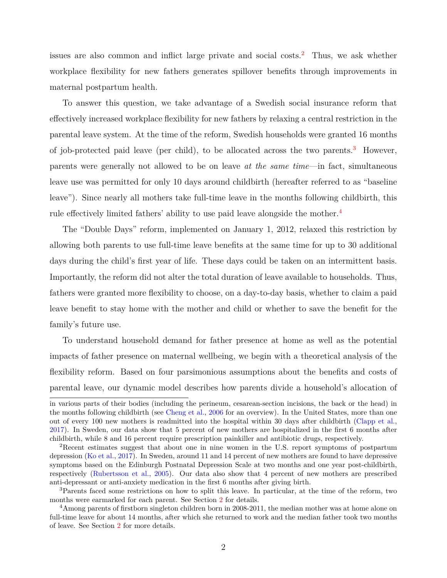issues are also common and inflict large private and social costs.[2](#page-3-0) Thus, we ask whether workplace flexibility for new fathers generates spillover benefits through improvements in maternal postpartum health.

To answer this question, we take advantage of a Swedish social insurance reform that effectively increased workplace flexibility for new fathers by relaxing a central restriction in the parental leave system. At the time of the reform, Swedish households were granted 16 months of job-protected paid leave (per child), to be allocated across the two parents.<sup>[3](#page-3-1)</sup> However, parents were generally not allowed to be on leave *at the same time*—in fact, simultaneous leave use was permitted for only 10 days around childbirth (hereafter referred to as "baseline leave"). Since nearly all mothers take full-time leave in the months following childbirth, this rule effectively limited fathers' ability to use paid leave alongside the mother.<sup>[4](#page-3-2)</sup>

The "Double Days" reform, implemented on January 1, 2012, relaxed this restriction by allowing both parents to use full-time leave benefits at the same time for up to 30 additional days during the child's first year of life. These days could be taken on an intermittent basis. Importantly, the reform did not alter the total duration of leave available to households. Thus, fathers were granted more flexibility to choose, on a day-to-day basis, whether to claim a paid leave benefit to stay home with the mother and child or whether to save the benefit for the family's future use.

To understand household demand for father presence at home as well as the potential impacts of father presence on maternal wellbeing, we begin with a theoretical analysis of the flexibility reform. Based on four parsimonious assumptions about the benefits and costs of parental leave, our dynamic model describes how parents divide a household's allocation of

in various parts of their bodies (including the perineum, cesarean-section incisions, the back or the head) in the months following childbirth (see [Cheng et al.,](#page-36-0) [2006](#page-36-0) for an overview). In the United States, more than one out of every 100 new mothers is readmitted into the hospital within 30 days after childbirth [\(Clapp et al.,](#page-37-2) [2017\)](#page-37-2). In Sweden, our data show that 5 percent of new mothers are hospitalized in the first 6 months after childbirth, while 8 and 16 percent require prescription painkiller and antibiotic drugs, respectively.

<span id="page-3-0"></span><sup>2</sup>Recent estimates suggest that about one in nine women in the U.S. report symptoms of postpartum depression [\(Ko et al.,](#page-39-1) [2017\)](#page-39-1). In Sweden, around 11 and 14 percent of new mothers are found to have depressive symptoms based on the Edinburgh Postnatal Depression Scale at two months and one year post-childbirth, respectively [\(Rubertsson et al.,](#page-40-2) [2005\)](#page-40-2). Our data also show that 4 percent of new mothers are prescribed anti-depressant or anti-anxiety medication in the first 6 months after giving birth.

<span id="page-3-1"></span><sup>&</sup>lt;sup>3</sup>Parents faced some restrictions on how to split this leave. In particular, at the time of the reform, two months were earmarked for each parent. See Section [2](#page-8-0) for details.

<span id="page-3-2"></span><sup>&</sup>lt;sup>4</sup>Among parents of firstborn singleton children born in 2008-2011, the median mother was at home alone on full-time leave for about 14 months, after which she returned to work and the median father took two months of leave. See Section [2](#page-8-0) for more details.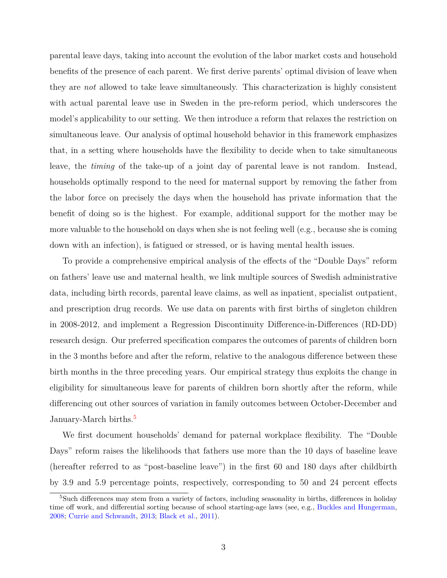parental leave days, taking into account the evolution of the labor market costs and household benefits of the presence of each parent. We first derive parents' optimal division of leave when they are *not* allowed to take leave simultaneously. This characterization is highly consistent with actual parental leave use in Sweden in the pre-reform period, which underscores the model's applicability to our setting. We then introduce a reform that relaxes the restriction on simultaneous leave. Our analysis of optimal household behavior in this framework emphasizes that, in a setting where households have the flexibility to decide when to take simultaneous leave, the *timing* of the take-up of a joint day of parental leave is not random. Instead, households optimally respond to the need for maternal support by removing the father from the labor force on precisely the days when the household has private information that the benefit of doing so is the highest. For example, additional support for the mother may be more valuable to the household on days when she is not feeling well (e.g., because she is coming down with an infection), is fatigued or stressed, or is having mental health issues.

To provide a comprehensive empirical analysis of the effects of the "Double Days" reform on fathers' leave use and maternal health, we link multiple sources of Swedish administrative data, including birth records, parental leave claims, as well as inpatient, specialist outpatient, and prescription drug records. We use data on parents with first births of singleton children in 2008-2012, and implement a Regression Discontinuity Difference-in-Differences (RD-DD) research design. Our preferred specification compares the outcomes of parents of children born in the 3 months before and after the reform, relative to the analogous difference between these birth months in the three preceding years. Our empirical strategy thus exploits the change in eligibility for simultaneous leave for parents of children born shortly after the reform, while differencing out other sources of variation in family outcomes between October-December and January-March births.[5](#page-4-0)

We first document households' demand for paternal workplace flexibility. The "Double Days" reform raises the likelihoods that fathers use more than the 10 days of baseline leave (hereafter referred to as "post-baseline leave") in the first 60 and 180 days after childbirth by 3.9 and 5.9 percentage points, respectively, corresponding to 50 and 24 percent effects

<span id="page-4-0"></span><sup>&</sup>lt;sup>5</sup>Such differences may stem from a variety of factors, including seasonality in births, differences in holiday time off work, and differential sorting because of school starting-age laws (see, e.g., [Buckles and Hungerman,](#page-36-1) [2008;](#page-36-1) [Currie and Schwandt,](#page-37-3) [2013;](#page-37-3) [Black et al.,](#page-35-2) [2011\)](#page-35-2).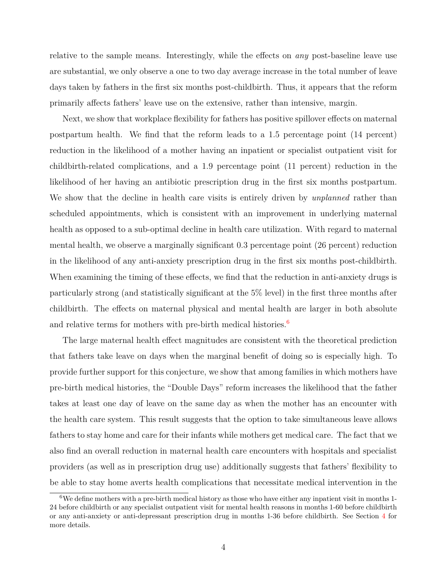relative to the sample means. Interestingly, while the effects on *any* post-baseline leave use are substantial, we only observe a one to two day average increase in the total number of leave days taken by fathers in the first six months post-childbirth. Thus, it appears that the reform primarily affects fathers' leave use on the extensive, rather than intensive, margin.

Next, we show that workplace flexibility for fathers has positive spillover effects on maternal postpartum health. We find that the reform leads to a 1.5 percentage point (14 percent) reduction in the likelihood of a mother having an inpatient or specialist outpatient visit for childbirth-related complications, and a 1.9 percentage point (11 percent) reduction in the likelihood of her having an antibiotic prescription drug in the first six months postpartum. We show that the decline in health care visits is entirely driven by *unplanned* rather than scheduled appointments, which is consistent with an improvement in underlying maternal health as opposed to a sub-optimal decline in health care utilization. With regard to maternal mental health, we observe a marginally significant 0.3 percentage point (26 percent) reduction in the likelihood of any anti-anxiety prescription drug in the first six months post-childbirth. When examining the timing of these effects, we find that the reduction in anti-anxiety drugs is particularly strong (and statistically significant at the 5% level) in the first three months after childbirth. The effects on maternal physical and mental health are larger in both absolute and relative terms for mothers with pre-birth medical histories.<sup>[6](#page-5-0)</sup>

The large maternal health effect magnitudes are consistent with the theoretical prediction that fathers take leave on days when the marginal benefit of doing so is especially high. To provide further support for this conjecture, we show that among families in which mothers have pre-birth medical histories, the "Double Days" reform increases the likelihood that the father takes at least one day of leave on the same day as when the mother has an encounter with the health care system. This result suggests that the option to take simultaneous leave allows fathers to stay home and care for their infants while mothers get medical care. The fact that we also find an overall reduction in maternal health care encounters with hospitals and specialist providers (as well as in prescription drug use) additionally suggests that fathers' flexibility to be able to stay home averts health complications that necessitate medical intervention in the

<span id="page-5-0"></span> $6$ We define mothers with a pre-birth medical history as those who have either any inpatient visit in months 1-24 before childbirth or any specialist outpatient visit for mental health reasons in months 1-60 before childbirth or any anti-anxiety or anti-depressant prescription drug in months 1-36 before childbirth. See Section [4](#page-18-0) for more details.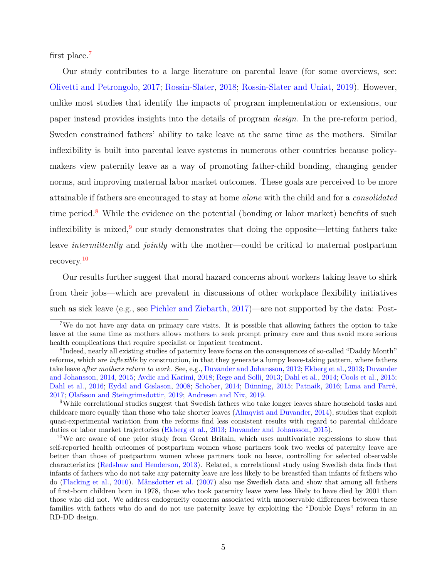first place.[7](#page-6-0)

Our study contributes to a large literature on parental leave (for some overviews, see: [Olivetti and Petrongolo,](#page-39-2) [2017;](#page-39-2) [Rossin-Slater,](#page-40-3) [2018;](#page-40-3) [Rossin-Slater and Uniat,](#page-40-4) [2019\)](#page-40-4). However, unlike most studies that identify the impacts of program implementation or extensions, our paper instead provides insights into the details of program *design*. In the pre-reform period, Sweden constrained fathers' ability to take leave at the same time as the mothers. Similar inflexibility is built into parental leave systems in numerous other countries because policymakers view paternity leave as a way of promoting father-child bonding, changing gender norms, and improving maternal labor market outcomes. These goals are perceived to be more attainable if fathers are encouraged to stay at home *alone* with the child and for a *consolidated* time period.<sup>[8](#page-6-1)</sup> While the evidence on the potential (bonding or labor market) benefits of such inflexibility is mixed,  $\frac{9}{3}$  $\frac{9}{3}$  $\frac{9}{3}$  our study demonstrates that doing the opposite—letting fathers take leave *intermittently* and *jointly* with the mother—could be critical to maternal postpartum recovery.[10](#page-6-3)

Our results further suggest that moral hazard concerns about workers taking leave to shirk from their jobs—which are prevalent in discussions of other workplace flexibility initiatives such as sick leave (e.g., see [Pichler and Ziebarth,](#page-40-5) [2017\)](#page-40-5)—are not supported by the data: Post-

<span id="page-6-0"></span><sup>7</sup>We do not have any data on primary care visits. It is possible that allowing fathers the option to take leave at the same time as mothers allows mothers to seek prompt primary care and thus avoid more serious health complications that require specialist or inpatient treatment.

<span id="page-6-1"></span><sup>8</sup> Indeed, nearly all existing studies of paternity leave focus on the consequences of so-called "Daddy Month" reforms, which are *inflexible* by construction, in that they generate a lumpy leave-taking pattern, where fathers take leave *after mothers return to work*. See, e.g., [Duvander and Johansson,](#page-37-4) [2012;](#page-37-4) [Ekberg et al.,](#page-37-5) [2013;](#page-37-5) [Duvander](#page-37-6) [and Johansson,](#page-37-6) [2014,](#page-37-6) [2015;](#page-37-7) [Avdic and Karimi,](#page-35-3) [2018;](#page-35-3) [Rege and Solli,](#page-40-6) [2013;](#page-40-6) [Dahl et al.,](#page-37-8) [2014;](#page-37-8) [Cools et al.,](#page-37-9) [2015;](#page-37-9) [Dahl et al.,](#page-37-10) [2016;](#page-37-10) [Eydal and Gislason,](#page-37-11) [2008;](#page-37-11) [Schober,](#page-40-7) [2014;](#page-40-7) [Bünning,](#page-36-2) [2015;](#page-36-2) [Patnaik,](#page-40-8) [2016;](#page-40-8) [Luna and Farré,](#page-39-3) [2017;](#page-39-3) [Olafsson and Steingrimsdottir,](#page-39-4) [2019;](#page-39-4) [Andresen and Nix,](#page-35-4) [2019.](#page-35-4)

<span id="page-6-2"></span><sup>9</sup>While correlational studies suggest that Swedish fathers who take longer leaves share household tasks and childcare more equally than those who take shorter leaves [\(Almqvist and Duvander,](#page-34-0) [2014\)](#page-34-0), studies that exploit quasi-experimental variation from the reforms find less consistent results with regard to parental childcare duties or labor market trajectories [\(Ekberg et al.,](#page-37-5) [2013;](#page-37-5) [Duvander and Johansson,](#page-37-7) [2015\)](#page-37-7).

<span id="page-6-3"></span><sup>10</sup>We are aware of one prior study from Great Britain, which uses multivariate regressions to show that self-reported health outcomes of postpartum women whose partners took two weeks of paternity leave are better than those of postpartum women whose partners took no leave, controlling for selected observable characteristics [\(Redshaw and Henderson,](#page-40-9) [2013\)](#page-40-9). Related, a correlational study using Swedish data finds that infants of fathers who do not take any paternity leave are less likely to be breastfed than infants of fathers who do [\(Flacking et al.,](#page-38-3) [2010\)](#page-38-3). [Månsdotter et al.](#page-39-5) [\(2007\)](#page-39-5) also use Swedish data and show that among all fathers of first-born children born in 1978, those who took paternity leave were less likely to have died by 2001 than those who did not. We address endogeneity concerns associated with unobservable differences between these families with fathers who do and do not use paternity leave by exploiting the "Double Days" reform in an RD-DD design.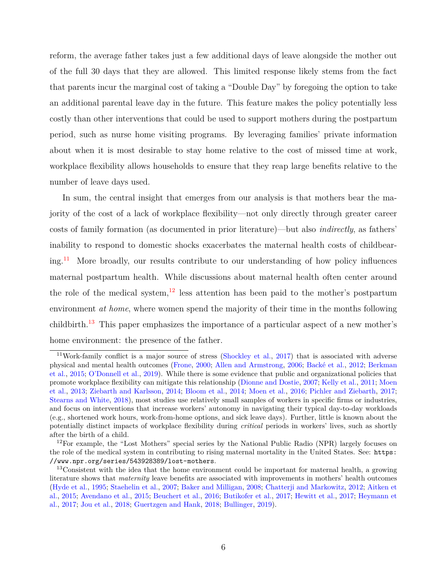reform, the average father takes just a few additional days of leave alongside the mother out of the full 30 days that they are allowed. This limited response likely stems from the fact that parents incur the marginal cost of taking a "Double Day" by foregoing the option to take an additional parental leave day in the future. This feature makes the policy potentially less costly than other interventions that could be used to support mothers during the postpartum period, such as nurse home visiting programs. By leveraging families' private information about when it is most desirable to stay home relative to the cost of missed time at work, workplace flexibility allows households to ensure that they reap large benefits relative to the number of leave days used.

In sum, the central insight that emerges from our analysis is that mothers bear the majority of the cost of a lack of workplace flexibility—not only directly through greater career costs of family formation (as documented in prior literature)—but also *indirectly*, as fathers' inability to respond to domestic shocks exacerbates the maternal health costs of childbear-ing.<sup>[11](#page-7-0)</sup> More broadly, our results contribute to our understanding of how policy influences maternal postpartum health. While discussions about maternal health often center around the role of the medical system,  $12$  less attention has been paid to the mother's postpartum environment *at home*, where women spend the majority of their time in the months following childbirth.<sup>[13](#page-7-2)</sup> This paper emphasizes the importance of a particular aspect of a new mother's home environment: the presence of the father.

<span id="page-7-0"></span><sup>&</sup>lt;sup>11</sup>Work-family conflict is a major source of stress [\(Shockley et al.,](#page-41-1) [2017\)](#page-41-1) that is associated with adverse physical and mental health outcomes [\(Frone,](#page-38-4) [2000;](#page-38-4) [Allen and Armstrong,](#page-34-1) [2006;](#page-34-1) [Backé et al.,](#page-35-5) [2012;](#page-35-5) [Berkman](#page-35-6) [et al.,](#page-35-6) [2015;](#page-35-6) [O'Donnell et al.,](#page-39-6) [2019\)](#page-39-6). While there is some evidence that public and organizational policies that promote workplace flexibility can mitigate this relationship [\(Dionne and Dostie,](#page-37-12) [2007;](#page-37-12) [Kelly et al.,](#page-38-5) [2011;](#page-38-5) [Moen](#page-39-7) [et al.,](#page-39-7) [2013;](#page-39-7) [Ziebarth and Karlsson,](#page-41-2) [2014;](#page-41-2) [Bloom et al.,](#page-36-3) [2014;](#page-36-3) [Moen et al.,](#page-39-8) [2016;](#page-39-8) [Pichler and Ziebarth,](#page-40-5) [2017;](#page-40-5) [Stearns and White,](#page-41-3) [2018\)](#page-41-3), most studies use relatively small samples of workers in specific firms or industries, and focus on interventions that increase workers' autonomy in navigating their typical day-to-day workloads (e.g., shortened work hours, work-from-home options, and sick leave days). Further, little is known about the potentially distinct impacts of workplace flexibility during *critical* periods in workers' lives, such as shortly after the birth of a child.

<span id="page-7-1"></span> $12$ For example, the "Lost Mothers" special series by the National Public Radio (NPR) largely focuses on the role of the medical system in contributing to rising maternal mortality in the United States. See: [https:](https://www.npr.org/series/543928389/lost-mothers) [//www.npr.org/series/543928389/lost-mothers](https://www.npr.org/series/543928389/lost-mothers).

<span id="page-7-2"></span><sup>&</sup>lt;sup>13</sup>Consistent with the idea that the home environment could be important for maternal health, a growing literature shows that *maternity* leave benefits are associated with improvements in mothers' health outcomes [\(Hyde et al.,](#page-38-6) [1995;](#page-38-6) [Staehelin et al.,](#page-41-4) [2007;](#page-41-4) [Baker and Milligan,](#page-35-7) [2008;](#page-35-7) [Chatterji and Markowitz,](#page-36-4) [2012;](#page-36-4) [Aitken et](#page-34-2) [al.,](#page-34-2) [2015;](#page-34-2) [Avendano et al.,](#page-35-8) [2015;](#page-35-8) [Beuchert et al.,](#page-35-9) [2016;](#page-35-9) [Butikofer et al.,](#page-36-5) [2017;](#page-36-5) [Hewitt et al.,](#page-38-7) [2017;](#page-38-7) [Heymann et](#page-38-8) [al.,](#page-38-8) [2017;](#page-38-8) [Jou et al.,](#page-38-9) [2018;](#page-38-9) [Guertzgen and Hank,](#page-38-10) [2018;](#page-38-10) [Bullinger,](#page-36-6) [2019\)](#page-36-6).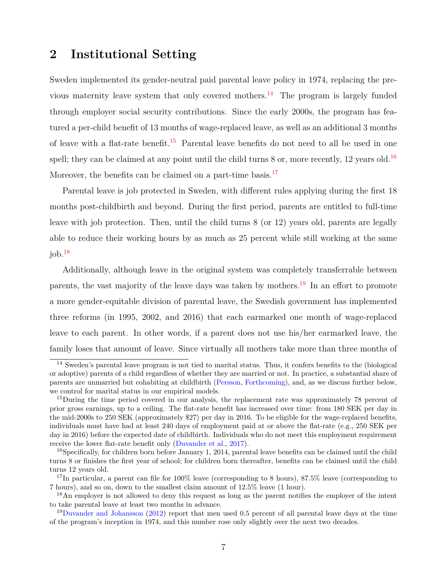# <span id="page-8-0"></span>**2 Institutional Setting**

Sweden implemented its gender-neutral paid parental leave policy in 1974, replacing the pre-vious maternity leave system that only covered mothers.<sup>[14](#page-8-1)</sup> The program is largely funded through employer social security contributions. Since the early 2000s, the program has featured a per-child benefit of 13 months of wage-replaced leave, as well as an additional 3 months of leave with a flat-rate benefit.<sup>[15](#page-8-2)</sup> Parental leave benefits do not need to all be used in one spell; they can be claimed at any point until the child turns  $8$  or, more recently, 12 years old.<sup>[16](#page-8-3)</sup> Moreover, the benefits can be claimed on a part-time basis.<sup>[17](#page-8-4)</sup>

Parental leave is job protected in Sweden, with different rules applying during the first 18 months post-childbirth and beyond. During the first period, parents are entitled to full-time leave with job protection. Then, until the child turns 8 (or 12) years old, parents are legally able to reduce their working hours by as much as 25 percent while still working at the same  $i$ ob. $18$ 

Additionally, although leave in the original system was completely transferrable between parents, the vast majority of the leave days was taken by mothers.<sup>[19](#page-8-6)</sup> In an effort to promote a more gender-equitable division of parental leave, the Swedish government has implemented three reforms (in 1995, 2002, and 2016) that each earmarked one month of wage-replaced leave to each parent. In other words, if a parent does not use his/her earmarked leave, the family loses that amount of leave. Since virtually all mothers take more than three months of

<span id="page-8-1"></span><sup>&</sup>lt;sup>14</sup> Sweden's parental leave program is not tied to marital status. Thus, it confers benefits to the (biological or adoptive) parents of a child regardless of whether they are married or not. In practice, a substantial share of parents are unmarried but cohabiting at childbirth [\(Persson,](#page-40-1) [Forthcoming\)](#page-40-1), and, as we discuss further below, we control for marital status in our empirical models.

<span id="page-8-2"></span><sup>&</sup>lt;sup>15</sup>During the time period covered in our analysis, the replacement rate was approximately 78 percent of prior gross earnings, up to a ceiling. The flat-rate benefit has increased over time: from 180 SEK per day in the mid-2000s to 250 SEK (approximately \$27) per day in 2016. To be eligible for the wage-replaced benefits, individuals must have had at least 240 days of employment paid at or above the flat-rate (e.g., 250 SEK per day in 2016) before the expected date of childbirth. Individuals who do not meet this employment requirement receive the lower flat-rate benefit only [\(Duvander et al.,](#page-37-13) [2017\)](#page-37-13).

<span id="page-8-3"></span><sup>&</sup>lt;sup>16</sup>Specifically, for children born before January 1, 2014, parental leave benefits can be claimed until the child turns 8 or finishes the first year of school; for children born thereafter, benefits can be claimed until the child turns 12 years old.

<span id="page-8-4"></span> $17$ In particular, a parent can file for  $100\%$  leave (corresponding to 8 hours),  $87.5\%$  leave (corresponding to 7 hours), and so on, down to the smallest claim amount of 12.5% leave (1 hour).

<span id="page-8-5"></span><sup>&</sup>lt;sup>18</sup>An employer is not allowed to deny this request as long as the parent notifies the employer of the intent to take parental leave at least two months in advance.

<span id="page-8-6"></span><sup>19</sup>[Duvander and Johansson](#page-37-4) [\(2012\)](#page-37-4) report that men used 0.5 percent of all parental leave days at the time of the program's inception in 1974, and this number rose only slightly over the next two decades.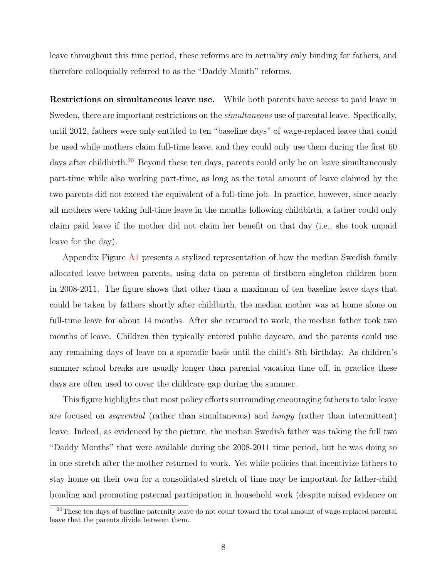leave throughout this time period, these reforms are in actuality only binding for fathers, and therefore colloquially referred to as the "Daddy Month" reforms.

**Restrictions on simultaneous leave use.** While both parents have access to paid leave in Sweden, there are important restrictions on the *simultaneous* use of parental leave. Specifically, until 2012, fathers were only entitled to ten "baseline days" of wage-replaced leave that could be used while mothers claim full-time leave, and they could only use them during the first 60 days after childbirth.<sup>[20](#page-9-0)</sup> Beyond these ten days, parents could only be on leave simultaneously part-time while also working part-time, as long as the total amount of leave claimed by the two parents did not exceed the equivalent of a full-time job. In practice, however, since nearly all mothers were taking full-time leave in the months following childbirth, a father could only claim paid leave if the mother did not claim her benefit on that day (i.e., she took unpaid leave for the day).

Appendix Figure [A1](#page-56-0) presents a stylized representation of how the median Swedish family allocated leave between parents, using data on parents of firstborn singleton children born in 2008-2011. The figure shows that other than a maximum of ten baseline leave days that could be taken by fathers shortly after childbirth, the median mother was at home alone on full-time leave for about 14 months. After she returned to work, the median father took two months of leave. Children then typically entered public daycare, and the parents could use any remaining days of leave on a sporadic basis until the child's 8th birthday. As children's summer school breaks are usually longer than parental vacation time off, in practice these days are often used to cover the childcare gap during the summer.

This figure highlights that most policy efforts surrounding encouraging fathers to take leave are focused on *sequential* (rather than simultaneous) and *lumpy* (rather than intermittent) leave. Indeed, as evidenced by the picture, the median Swedish father was taking the full two "Daddy Months" that were available during the 2008-2011 time period, but he was doing so in one stretch after the mother returned to work. Yet while policies that incentivize fathers to stay home on their own for a consolidated stretch of time may be important for father-child bonding and promoting paternal participation in household work (despite mixed evidence on

<span id="page-9-0"></span><sup>&</sup>lt;sup>20</sup>These ten days of baseline paternity leave do not count toward the total amount of wage-replaced parental leave that the parents divide between them.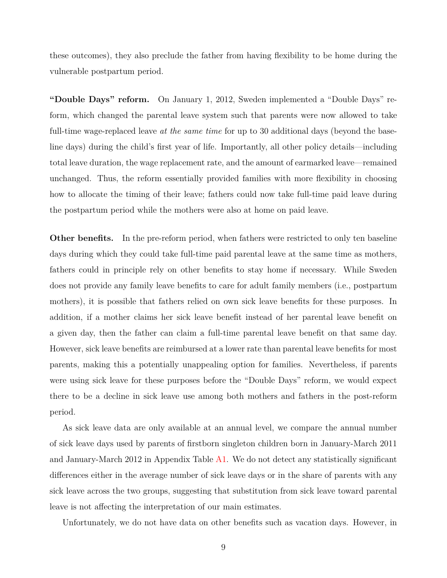these outcomes), they also preclude the father from having flexibility to be home during the vulnerable postpartum period.

**"Double Days" reform.** On January 1, 2012, Sweden implemented a "Double Days" reform, which changed the parental leave system such that parents were now allowed to take full-time wage-replaced leave *at the same time* for up to 30 additional days (beyond the baseline days) during the child's first year of life. Importantly, all other policy details—including total leave duration, the wage replacement rate, and the amount of earmarked leave—remained unchanged. Thus, the reform essentially provided families with more flexibility in choosing how to allocate the timing of their leave; fathers could now take full-time paid leave during the postpartum period while the mothers were also at home on paid leave.

**Other benefits.** In the pre-reform period, when fathers were restricted to only ten baseline days during which they could take full-time paid parental leave at the same time as mothers, fathers could in principle rely on other benefits to stay home if necessary. While Sweden does not provide any family leave benefits to care for adult family members (i.e., postpartum mothers), it is possible that fathers relied on own sick leave benefits for these purposes. In addition, if a mother claims her sick leave benefit instead of her parental leave benefit on a given day, then the father can claim a full-time parental leave benefit on that same day. However, sick leave benefits are reimbursed at a lower rate than parental leave benefits for most parents, making this a potentially unappealing option for families. Nevertheless, if parents were using sick leave for these purposes before the "Double Days" reform, we would expect there to be a decline in sick leave use among both mothers and fathers in the post-reform period.

As sick leave data are only available at an annual level, we compare the annual number of sick leave days used by parents of firstborn singleton children born in January-March 2011 and January-March 2012 in Appendix Table [A1.](#page-57-0) We do not detect any statistically significant differences either in the average number of sick leave days or in the share of parents with any sick leave across the two groups, suggesting that substitution from sick leave toward parental leave is not affecting the interpretation of our main estimates.

Unfortunately, we do not have data on other benefits such as vacation days. However, in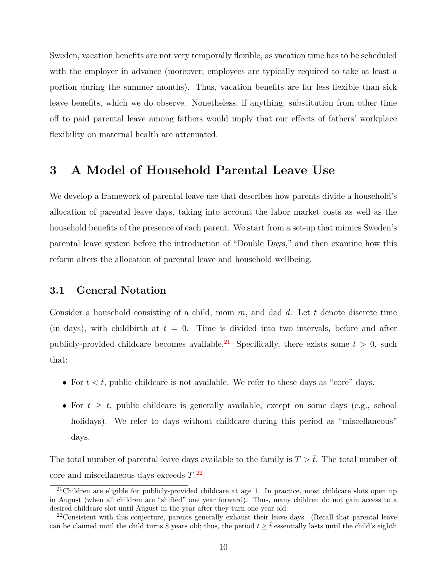Sweden, vacation benefits are not very temporally flexible, as vacation time has to be scheduled with the employer in advance (moreover, employees are typically required to take at least a portion during the summer months). Thus, vacation benefits are far less flexible than sick leave benefits, which we do observe. Nonetheless, if anything, substitution from other time off to paid parental leave among fathers would imply that our effects of fathers' workplace flexibility on maternal health are attenuated.

## <span id="page-11-2"></span>**3 A Model of Household Parental Leave Use**

We develop a framework of parental leave use that describes how parents divide a household's allocation of parental leave days, taking into account the labor market costs as well as the household benefits of the presence of each parent. We start from a set-up that mimics Sweden's parental leave system before the introduction of "Double Days," and then examine how this reform alters the allocation of parental leave and household wellbeing.

### **3.1 General Notation**

Consider a household consisting of a child, mom *m*, and dad *d*. Let *t* denote discrete time (in days), with childbirth at  $t = 0$ . Time is divided into two intervals, before and after publicly-provided childcare becomes available.<sup>[21](#page-11-0)</sup> Specifically, there exists some  $\bar{t} > 0$ , such that:

- For  $t < \bar{t}$ , public childcare is not available. We refer to these days as "core" days.
- For  $t \geq \overline{t}$ , public childcare is generally available, except on some days (e.g., school holidays). We refer to days without childcare during this period as "miscellaneous" days.

The total number of parental leave days available to the family is  $T > \bar{t}$ . The total number of core and miscellaneous days exceeds *T*. [22](#page-11-1)

<span id="page-11-0"></span> $21$ Children are eligible for publicly-provided childcare at age 1. In practice, most childcare slots open up in August (when all children are "shifted" one year forward). Thus, many children do not gain access to a desired childcare slot until August in the year after they turn one year old.

<span id="page-11-1"></span> $22$ Consistent with this conjecture, parents generally exhaust their leave days. (Recall that parental leave can be claimed until the child turns 8 years old; thus, the period  $t \geq \bar{t}$  essentially lasts until the child's eighth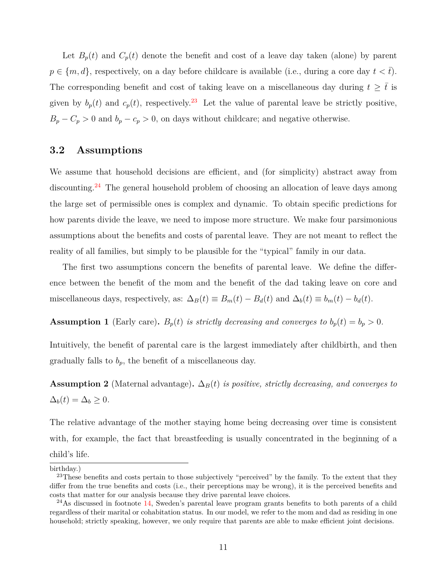Let  $B_p(t)$  and  $C_p(t)$  denote the benefit and cost of a leave day taken (alone) by parent  $p \in \{m, d\}$ , respectively, on a day before childcare is available (i.e., during a core day  $t < \bar{t}$ ). The corresponding benefit and cost of taking leave on a miscellaneous day during  $t \geq \overline{t}$  is given by  $b_p(t)$  and  $c_p(t)$ , respectively.<sup>[23](#page-12-0)</sup> Let the value of parental leave be strictly positive,  $B_p - C_p > 0$  and  $b_p - c_p > 0$ , on days without childcare; and negative otherwise.

### **3.2 Assumptions**

We assume that household decisions are efficient, and (for simplicity) abstract away from discounting.<sup>[24](#page-12-1)</sup> The general household problem of choosing an allocation of leave days among the large set of permissible ones is complex and dynamic. To obtain specific predictions for how parents divide the leave, we need to impose more structure. We make four parsimonious assumptions about the benefits and costs of parental leave. They are not meant to reflect the reality of all families, but simply to be plausible for the "typical" family in our data.

The first two assumptions concern the benefits of parental leave. We define the difference between the benefit of the mom and the benefit of the dad taking leave on core and miscellaneous days, respectively, as:  $\Delta_B(t) \equiv B_m(t) - B_d(t)$  and  $\Delta_b(t) \equiv b_m(t) - b_d(t)$ .

<span id="page-12-2"></span>**Assumption 1** (Early care).  $B_p(t)$  *is strictly decreasing and converges to*  $b_p(t) = b_p > 0$ *.* 

Intuitively, the benefit of parental care is the largest immediately after childbirth, and then gradually falls to  $b_p$ , the benefit of a miscellaneous day.

<span id="page-12-3"></span>**Assumption 2** (Maternal advantage).  $\Delta_B(t)$  *is positive, strictly decreasing, and converges to*  $\Delta_b(t) = \Delta_b \geq 0.$ 

The relative advantage of the mother staying home being decreasing over time is consistent with, for example, the fact that breastfeeding is usually concentrated in the beginning of a child's life.

birthday.)

<span id="page-12-0"></span><sup>&</sup>lt;sup>23</sup>These benefits and costs pertain to those subjectively "perceived" by the family. To the extent that they differ from the true benefits and costs (i.e., their perceptions may be wrong), it is the perceived benefits and costs that matter for our analysis because they drive parental leave choices.

<span id="page-12-1"></span> $24$ As discussed in footnote [14,](#page-8-1) Sweden's parental leave program grants benefits to both parents of a child regardless of their marital or cohabitation status. In our model, we refer to the mom and dad as residing in one household; strictly speaking, however, we only require that parents are able to make efficient joint decisions.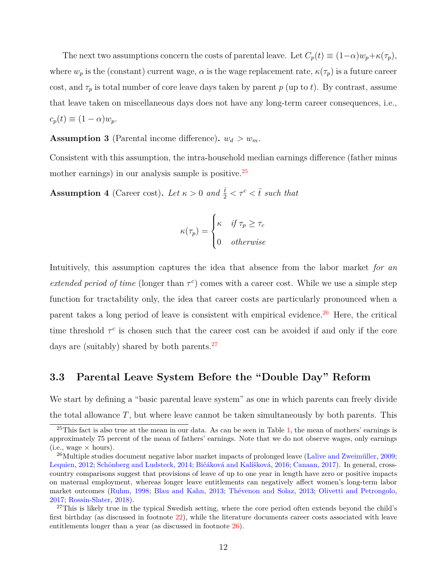The next two assumptions concern the costs of parental leave. Let  $C_p(t) \equiv (1-\alpha)w_p + \kappa(\tau_p)$ , where  $w_p$  is the (constant) current wage,  $\alpha$  is the wage replacement rate,  $\kappa(\tau_p)$  is a future career cost, and  $\tau_p$  is total number of core leave days taken by parent *p* (up to *t*). By contrast, assume that leave taken on miscellaneous days does not have any long-term career consequences, i.e.,  $c_p(t) \equiv (1 - \alpha) w_p.$ 

<span id="page-13-3"></span>**Assumption 3** (Parental income difference).  $w_d > w_m$ .

Consistent with this assumption, the intra-household median earnings difference (father minus mother earnings) in our analysis sample is positive.<sup>[25](#page-13-0)</sup>

<span id="page-13-4"></span>**Assumption 4** (Career cost). Let  $\kappa > 0$  and  $\frac{\bar{t}}{2} < \tau^c < \bar{t}$  such that

$$
\kappa(\tau_p) = \begin{cases} \kappa & \text{if } \tau_p \ge \tau_c \\ 0 & \text{otherwise} \end{cases}
$$

Intuitively, this assumption captures the idea that absence from the labor market *for an extended period of time* (longer than  $\tau^c$ ) comes with a career cost. While we use a simple step function for tractability only, the idea that career costs are particularly pronounced when a parent takes a long period of leave is consistent with empirical evidence.<sup>[26](#page-13-1)</sup> Here, the critical time threshold  $\tau^c$  is chosen such that the career cost can be avoided if and only if the core days are (suitably) shared by both parents. $27$ 

### **3.3 Parental Leave System Before the "Double Day" Reform**

We start by defining a "basic parental leave system" as one in which parents can freely divide the total allowance  $T$ , but where leave cannot be taken simultaneously by both parents. This

<span id="page-13-0"></span> $25$ This fact is also true at the mean in our data. As can be seen in Table [1,](#page-50-0) the mean of mothers' earnings is approximately 75 percent of the mean of fathers' earnings. Note that we do not observe wages, only earnings  $(i.e., wage × hours).$ 

<span id="page-13-1"></span><sup>&</sup>lt;sup>26</sup>Multiple studies document negative labor market impacts of prolonged leave [\(Lalive and Zweimüller,](#page-39-9) [2009;](#page-39-9) [Lequien,](#page-39-10) [2012;](#page-39-10) [Schönberg and Ludsteck,](#page-40-10) [2014;](#page-40-10) [Bičáková and Kalíšková,](#page-35-10) [2016;](#page-35-10) [Canaan,](#page-36-7) [2017\)](#page-36-7). In general, crosscountry comparisons suggest that provisions of leave of up to one year in length have zero or positive impacts on maternal employment, whereas longer leave entitlements can negatively affect women's long-term labor market outcomes [\(Ruhm,](#page-40-11) [1998;](#page-40-11) [Blau and Kahn,](#page-36-8) [2013;](#page-36-8) [Thévenon and Solaz,](#page-41-5) [2013;](#page-41-5) [Olivetti and Petrongolo,](#page-39-2) [2017;](#page-39-2) [Rossin-Slater,](#page-40-3) [2018\)](#page-40-3).

<span id="page-13-2"></span><sup>&</sup>lt;sup>27</sup>This is likely true in the typical Swedish setting, where the core period often extends beyond the child's first birthday (as discussed in footnote [22\)](#page-11-1), while the literature documents career costs associated with leave entitlements longer than a year (as discussed in footnote [26\)](#page-13-1).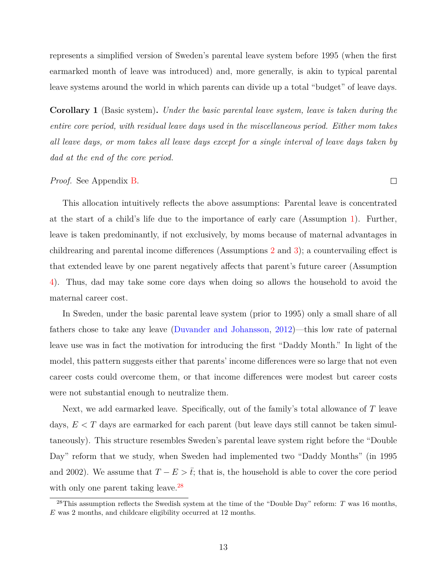represents a simplified version of Sweden's parental leave system before 1995 (when the first earmarked month of leave was introduced) and, more generally, is akin to typical parental leave systems around the world in which parents can divide up a total "budget" of leave days.

<span id="page-14-1"></span>**Corollary 1** (Basic system)**.** *Under the basic parental leave system, leave is taken during the entire core period, with residual leave days used in the miscellaneous period. Either mom takes all leave days, or mom takes all leave days except for a single interval of leave days taken by dad at the end of the core period.*

 $\Box$ 

#### *Proof.* See Appendix [B.](#page-70-0)

This allocation intuitively reflects the above assumptions: Parental leave is concentrated at the start of a child's life due to the importance of early care (Assumption [1\)](#page-12-2). Further, leave is taken predominantly, if not exclusively, by moms because of maternal advantages in childrearing and parental income differences (Assumptions [2](#page-12-3) and [3\)](#page-13-3); a countervailing effect is that extended leave by one parent negatively affects that parent's future career (Assumption [4\)](#page-13-4). Thus, dad may take some core days when doing so allows the household to avoid the maternal career cost.

In Sweden, under the basic parental leave system (prior to 1995) only a small share of all fathers chose to take any leave [\(Duvander and Johansson,](#page-37-4) [2012\)](#page-37-4)—this low rate of paternal leave use was in fact the motivation for introducing the first "Daddy Month." In light of the model, this pattern suggests either that parents' income differences were so large that not even career costs could overcome them, or that income differences were modest but career costs were not substantial enough to neutralize them.

Next, we add earmarked leave. Specifically, out of the family's total allowance of *T* leave days, *E < T* days are earmarked for each parent (but leave days still cannot be taken simultaneously). This structure resembles Sweden's parental leave system right before the "Double Day" reform that we study, when Sweden had implemented two "Daddy Months" (in 1995 and 2002). We assume that  $T - E > \bar{t}$ ; that is, the household is able to cover the core period with only one parent taking leave.<sup>[28](#page-14-0)</sup>

<span id="page-14-0"></span><sup>28</sup>This assumption reflects the Swedish system at the time of the "Double Day" reform: *T* was 16 months, *E* was 2 months, and childcare eligibility occurred at 12 months.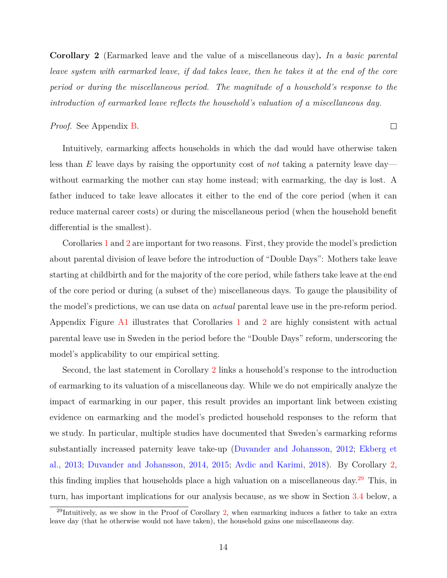<span id="page-15-0"></span>**Corollary 2** (Earmarked leave and the value of a miscellaneous day)**.** *In a basic parental leave system with earmarked leave, if dad takes leave, then he takes it at the end of the core period or during the miscellaneous period. The magnitude of a household's response to the introduction of earmarked leave reflects the household's valuation of a miscellaneous day.*

*Proof.* See Appendix [B.](#page-70-0)

 $\Box$ 

Intuitively, earmarking affects households in which the dad would have otherwise taken less than *E* leave days by raising the opportunity cost of *not* taking a paternity leave day without earmarking the mother can stay home instead; with earmarking, the day is lost. A father induced to take leave allocates it either to the end of the core period (when it can reduce maternal career costs) or during the miscellaneous period (when the household benefit differential is the smallest).

Corollaries [1](#page-14-1) and [2](#page-15-0) are important for two reasons. First, they provide the model's prediction about parental division of leave before the introduction of "Double Days": Mothers take leave starting at childbirth and for the majority of the core period, while fathers take leave at the end of the core period or during (a subset of the) miscellaneous days. To gauge the plausibility of the model's predictions, we can use data on *actual* parental leave use in the pre-reform period. Appendix Figure [A1](#page-56-0) illustrates that Corollaries [1](#page-14-1) and [2](#page-15-0) are highly consistent with actual parental leave use in Sweden in the period before the "Double Days" reform, underscoring the model's applicability to our empirical setting.

Second, the last statement in Corollary [2](#page-15-0) links a household's response to the introduction of earmarking to its valuation of a miscellaneous day. While we do not empirically analyze the impact of earmarking in our paper, this result provides an important link between existing evidence on earmarking and the model's predicted household responses to the reform that we study. In particular, multiple studies have documented that Sweden's earmarking reforms substantially increased paternity leave take-up [\(Duvander and Johansson,](#page-37-4) [2012;](#page-37-4) [Ekberg et](#page-37-5) [al.,](#page-37-5) [2013;](#page-37-5) [Duvander and Johansson,](#page-37-6) [2014,](#page-37-6) [2015;](#page-37-7) [Avdic and Karimi,](#page-35-3) [2018\)](#page-35-3). By Corollary [2,](#page-15-0) this finding implies that households place a high valuation on a miscellaneous day.[29](#page-15-1) This, in turn, has important implications for our analysis because, as we show in Section [3.4](#page-16-0) below, a

<span id="page-15-1"></span> $^{29}$ Intuitively, as we show in the Proof of Corollary [2,](#page-15-0) when earmarking induces a father to take an extra leave day (that he otherwise would not have taken), the household gains one miscellaneous day.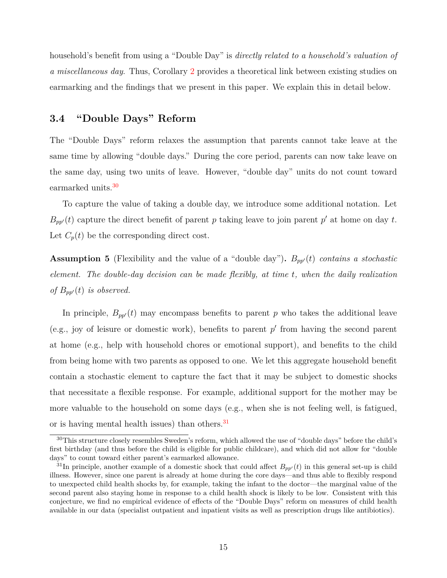household's benefit from using a "Double Day" is *directly related to a household's valuation of a miscellaneous day*. Thus, Corollary [2](#page-15-0) provides a theoretical link between existing studies on earmarking and the findings that we present in this paper. We explain this in detail below.

#### <span id="page-16-0"></span>**3.4 "Double Days" Reform**

The "Double Days" reform relaxes the assumption that parents cannot take leave at the same time by allowing "double days." During the core period, parents can now take leave on the same day, using two units of leave. However, "double day" units do not count toward earmarked units.<sup>[30](#page-16-1)</sup>

To capture the value of taking a double day, we introduce some additional notation. Let  $B_{pp'}(t)$  capture the direct benefit of parent *p* taking leave to join parent *p*' at home on day *t*. Let  $C_p(t)$  be the corresponding direct cost.

**Assumption 5** (Flexibility and the value of a "double day").  $B_{pp}(t)$  *contains a stochastic element. The double-day decision can be made flexibly, at time t, when the daily realization of*  $B_{pp'}(t)$  *is observed.* 

In principle,  $B_{pp}(t)$  may encompass benefits to parent p who takes the additional leave (e.g., joy of leisure or domestic work), benefits to parent  $p'$  from having the second parent at home (e.g., help with household chores or emotional support), and benefits to the child from being home with two parents as opposed to one. We let this aggregate household benefit contain a stochastic element to capture the fact that it may be subject to domestic shocks that necessitate a flexible response. For example, additional support for the mother may be more valuable to the household on some days (e.g., when she is not feeling well, is fatigued, or is having mental health issues) than others.<sup>[31](#page-16-2)</sup>

<span id="page-16-1"></span><sup>&</sup>lt;sup>30</sup>This structure closely resembles Sweden's reform, which allowed the use of "double days" before the child's first birthday (and thus before the child is eligible for public childcare), and which did not allow for "double days" to count toward either parent's earmarked allowance.

<span id="page-16-2"></span><sup>&</sup>lt;sup>31</sup>In principle, another example of a domestic shock that could affect  $B_{pp}(t)$  in this general set-up is child illness. However, since one parent is already at home during the core days—and thus able to flexibly respond to unexpected child health shocks by, for example, taking the infant to the doctor—the marginal value of the second parent also staying home in response to a child health shock is likely to be low. Consistent with this conjecture, we find no empirical evidence of effects of the "Double Days" reform on measures of child health available in our data (specialist outpatient and inpatient visits as well as prescription drugs like antibiotics).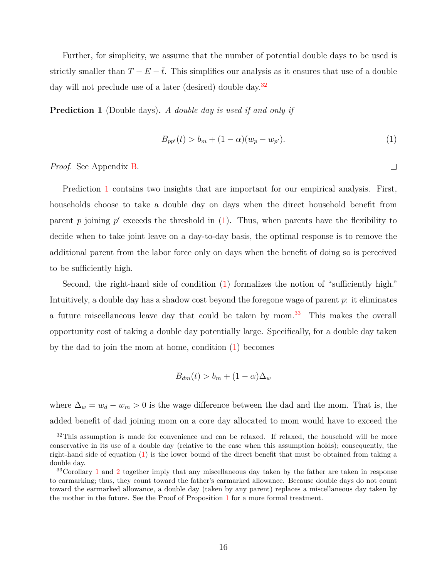Further, for simplicity, we assume that the number of potential double days to be used is strictly smaller than  $T - E - \overline{t}$ . This simplifies our analysis as it ensures that use of a double day will not preclude use of a later (desired) double day.<sup>[32](#page-17-0)</sup>

**Prediction 1** (Double days)**.** *A double day is used if and only if*

<span id="page-17-1"></span>
$$
B_{pp'}(t) > b_m + (1 - \alpha)(w_p - w_{p'}).
$$
\n(1)

*Proof.* See Appendix [B.](#page-70-0)

Prediction [1](#page-17-1) contains two insights that are important for our empirical analysis. First, households choose to take a double day on days when the direct household benefit from parent  $p$  joining  $p'$  exceeds the threshold in  $(1)$ . Thus, when parents have the flexibility to decide when to take joint leave on a day-to-day basis, the optimal response is to remove the additional parent from the labor force only on days when the benefit of doing so is perceived to be sufficiently high.

Second, the right-hand side of condition [\(1\)](#page-17-1) formalizes the notion of "sufficiently high." Intuitively, a double day has a shadow cost beyond the foregone wage of parent *p*: it eliminates a future miscellaneous leave day that could be taken by mom.<sup>[33](#page-17-2)</sup> This makes the overall opportunity cost of taking a double day potentially large. Specifically, for a double day taken by the dad to join the mom at home, condition [\(1\)](#page-17-1) becomes

$$
B_{dm}(t) > b_m + (1 - \alpha)\Delta_w
$$

where  $\Delta_w = w_d - w_m > 0$  is the wage difference between the dad and the mom. That is, the added benefit of dad joining mom on a core day allocated to mom would have to exceed the

 $\Box$ 

<span id="page-17-0"></span> $32$ This assumption is made for convenience and can be relaxed. If relaxed, the household will be more conservative in its use of a double day (relative to the case when this assumption holds); consequently, the right-hand side of equation [\(1\)](#page-17-1) is the lower bound of the direct benefit that must be obtained from taking a double day.

<span id="page-17-2"></span><sup>&</sup>lt;sup>33</sup>Corollary [1](#page-14-1) and [2](#page-15-0) together imply that any miscellaneous day taken by the father are taken in response to earmarking; thus, they count toward the father's earmarked allowance. Because double days do not count toward the earmarked allowance, a double day (taken by any parent) replaces a miscellaneous day taken by the mother in the future. See the Proof of Proposition [1](#page-17-1) for a more formal treatment.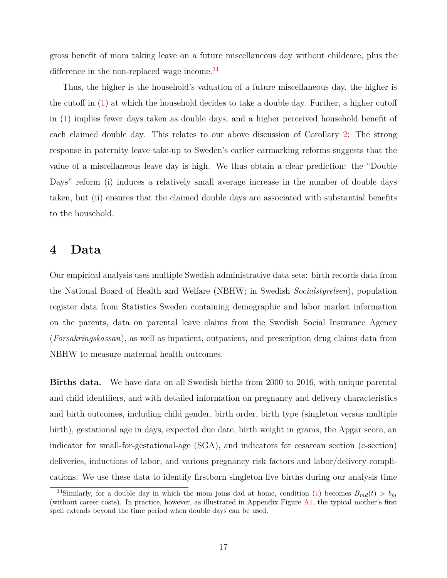gross benefit of mom taking leave on a future miscellaneous day without childcare, plus the difference in the non-replaced wage income.<sup>[34](#page-18-1)</sup>

Thus, the higher is the household's valuation of a future miscellaneous day, the higher is the cutoff in [\(1\)](#page-17-1) at which the household decides to take a double day. Further, a higher cutoff in [\(1\)](#page-17-1) implies fewer days taken as double days, and a higher perceived household benefit of each claimed double day. This relates to our above discussion of Corollary [2:](#page-15-0) The strong response in paternity leave take-up to Sweden's earlier earmarking reforms suggests that the value of a miscellaneous leave day is high. We thus obtain a clear prediction: the "Double Days" reform (i) induces a relatively small average increase in the number of double days taken, but (ii) ensures that the claimed double days are associated with substantial benefits to the household.

### <span id="page-18-0"></span>**4 Data**

Our empirical analysis uses multiple Swedish administrative data sets: birth records data from the National Board of Health and Welfare (NBHW; in Swedish *Socialstyrelsen*), population register data from Statistics Sweden containing demographic and labor market information on the parents, data on parental leave claims from the Swedish Social Insurance Agency (*Forsakringskassan*), as well as inpatient, outpatient, and prescription drug claims data from NBHW to measure maternal health outcomes.

**Births data.** We have data on all Swedish births from 2000 to 2016, with unique parental and child identifiers, and with detailed information on pregnancy and delivery characteristics and birth outcomes, including child gender, birth order, birth type (singleton versus multiple birth), gestational age in days, expected due date, birth weight in grams, the Apgar score, an indicator for small-for-gestational-age (SGA), and indicators for cesarean section (c-section) deliveries, inductions of labor, and various pregnancy risk factors and labor/delivery complications. We use these data to identify firstborn singleton live births during our analysis time

<span id="page-18-1"></span><sup>&</sup>lt;sup>34</sup>Similarly, for a double day in which the mom joins dad at home, condition [\(1\)](#page-17-1) becomes  $B_{md}(t) > b_m$ (without career costs). In practice, however, as illustrated in Appendix Figure [A1,](#page-56-0) the typical mother's first spell extends beyond the time period when double days can be used.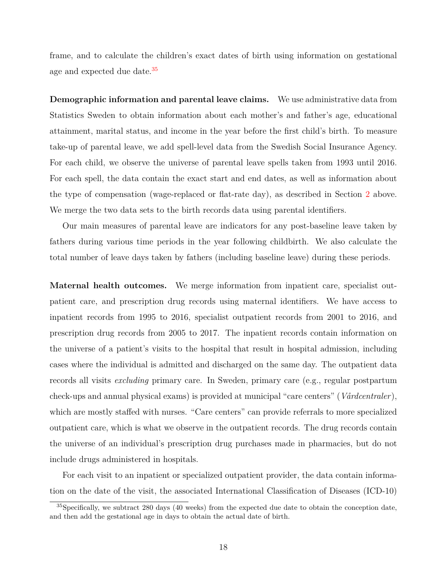frame, and to calculate the children's exact dates of birth using information on gestational age and expected due date  $35$ 

**Demographic information and parental leave claims.** We use administrative data from Statistics Sweden to obtain information about each mother's and father's age, educational attainment, marital status, and income in the year before the first child's birth. To measure take-up of parental leave, we add spell-level data from the Swedish Social Insurance Agency. For each child, we observe the universe of parental leave spells taken from 1993 until 2016. For each spell, the data contain the exact start and end dates, as well as information about the type of compensation (wage-replaced or flat-rate day), as described in Section [2](#page-8-0) above. We merge the two data sets to the birth records data using parental identifiers.

Our main measures of parental leave are indicators for any post-baseline leave taken by fathers during various time periods in the year following childbirth. We also calculate the total number of leave days taken by fathers (including baseline leave) during these periods.

**Maternal health outcomes.** We merge information from inpatient care, specialist outpatient care, and prescription drug records using maternal identifiers. We have access to inpatient records from 1995 to 2016, specialist outpatient records from 2001 to 2016, and prescription drug records from 2005 to 2017. The inpatient records contain information on the universe of a patient's visits to the hospital that result in hospital admission, including cases where the individual is admitted and discharged on the same day. The outpatient data records all visits *excluding* primary care. In Sweden, primary care (e.g., regular postpartum check-ups and annual physical exams) is provided at municipal "care centers" (*Vårdcentraler* ), which are mostly staffed with nurses. "Care centers" can provide referrals to more specialized outpatient care, which is what we observe in the outpatient records. The drug records contain the universe of an individual's prescription drug purchases made in pharmacies, but do not include drugs administered in hospitals.

For each visit to an inpatient or specialized outpatient provider, the data contain information on the date of the visit, the associated International Classification of Diseases (ICD-10)

<span id="page-19-0"></span><sup>35</sup>Specifically, we subtract 280 days (40 weeks) from the expected due date to obtain the conception date, and then add the gestational age in days to obtain the actual date of birth.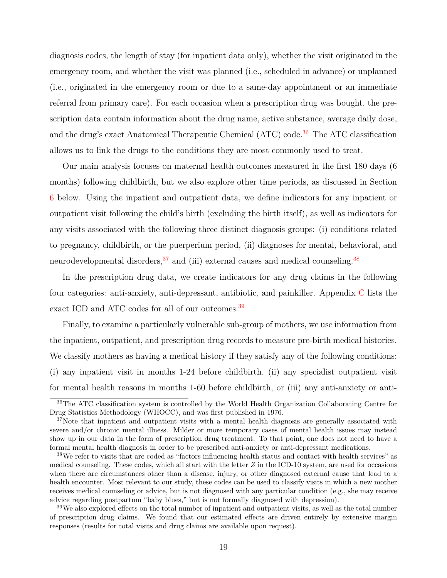diagnosis codes, the length of stay (for inpatient data only), whether the visit originated in the emergency room, and whether the visit was planned (i.e., scheduled in advance) or unplanned (i.e., originated in the emergency room or due to a same-day appointment or an immediate referral from primary care). For each occasion when a prescription drug was bought, the prescription data contain information about the drug name, active substance, average daily dose, and the drug's exact Anatomical Therapeutic Chemical (ATC) code.<sup>[36](#page-20-0)</sup> The ATC classification allows us to link the drugs to the conditions they are most commonly used to treat.

Our main analysis focuses on maternal health outcomes measured in the first 180 days (6 months) following childbirth, but we also explore other time periods, as discussed in Section [6](#page-25-0) below. Using the inpatient and outpatient data, we define indicators for any inpatient or outpatient visit following the child's birth (excluding the birth itself), as well as indicators for any visits associated with the following three distinct diagnosis groups: (i) conditions related to pregnancy, childbirth, or the puerperium period, (ii) diagnoses for mental, behavioral, and neurodevelopmental disorders,  $37$  and (iii) external causes and medical counseling.  $38$ 

In the prescription drug data, we create indicators for any drug claims in the following four categories: anti-anxiety, anti-depressant, antibiotic, and painkiller. Appendix [C](#page-74-0) lists the exact ICD and ATC codes for all of our outcomes.<sup>[39](#page-20-3)</sup>

Finally, to examine a particularly vulnerable sub-group of mothers, we use information from the inpatient, outpatient, and prescription drug records to measure pre-birth medical histories. We classify mothers as having a medical history if they satisfy any of the following conditions: (i) any inpatient visit in months 1-24 before childbirth, (ii) any specialist outpatient visit for mental health reasons in months 1-60 before childbirth, or (iii) any anti-anxiety or anti-

<span id="page-20-0"></span><sup>36</sup>The ATC classification system is controlled by the World Health Organization Collaborating Centre for Drug Statistics Methodology (WHOCC), and was first published in 1976.

<span id="page-20-1"></span> $37$ Note that inpatient and outpatient visits with a mental health diagnosis are generally associated with severe and/or chronic mental illness. Milder or more temporary cases of mental health issues may instead show up in our data in the form of prescription drug treatment. To that point, one does not need to have a formal mental health diagnosis in order to be prescribed anti-anxiety or anti-depressant medications.

<span id="page-20-2"></span><sup>&</sup>lt;sup>38</sup>We refer to visits that are coded as "factors influencing health status and contact with health services" as medical counseling. These codes, which all start with the letter *Z* in the ICD-10 system, are used for occasions when there are circumstances other than a disease, injury, or other diagnosed external cause that lead to a health encounter. Most relevant to our study, these codes can be used to classify visits in which a new mother receives medical counseling or advice, but is not diagnosed with any particular condition (e.g., she may receive advice regarding postpartum "baby blues," but is not formally diagnosed with depression).

<span id="page-20-3"></span><sup>&</sup>lt;sup>39</sup>We also explored effects on the total number of inpatient and outpatient visits, as well as the total number of prescription drug claims. We found that our estimated effects are driven entirely by extensive margin responses (results for total visits and drug claims are available upon request).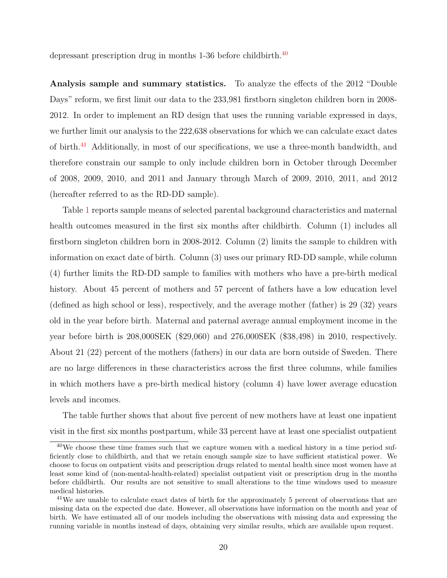depressant prescription drug in months 1-36 before childbirth.<sup>[40](#page-21-0)</sup>

**Analysis sample and summary statistics.** To analyze the effects of the 2012 "Double Days" reform, we first limit our data to the 233,981 firstborn singleton children born in 2008- 2012. In order to implement an RD design that uses the running variable expressed in days, we further limit our analysis to the 222,638 observations for which we can calculate exact dates of birth.<sup>[41](#page-21-1)</sup> Additionally, in most of our specifications, we use a three-month bandwidth, and therefore constrain our sample to only include children born in October through December of 2008, 2009, 2010, and 2011 and January through March of 2009, 2010, 2011, and 2012 (hereafter referred to as the RD-DD sample).

Table [1](#page-50-0) reports sample means of selected parental background characteristics and maternal health outcomes measured in the first six months after childbirth. Column  $(1)$  includes all firstborn singleton children born in 2008-2012. Column (2) limits the sample to children with information on exact date of birth. Column (3) uses our primary RD-DD sample, while column (4) further limits the RD-DD sample to families with mothers who have a pre-birth medical history. About 45 percent of mothers and 57 percent of fathers have a low education level (defined as high school or less), respectively, and the average mother (father) is 29 (32) years old in the year before birth. Maternal and paternal average annual employment income in the year before birth is 208,000SEK (\$29,060) and 276,000SEK (\$38,498) in 2010, respectively. About 21 (22) percent of the mothers (fathers) in our data are born outside of Sweden. There are no large differences in these characteristics across the first three columns, while families in which mothers have a pre-birth medical history (column 4) have lower average education levels and incomes.

The table further shows that about five percent of new mothers have at least one inpatient visit in the first six months postpartum, while 33 percent have at least one specialist outpatient

<span id="page-21-0"></span> $40\,\text{We choose these time frames such that we capture women with a medical history in a time period surface.}$ ficiently close to childbirth, and that we retain enough sample size to have sufficient statistical power. We choose to focus on outpatient visits and prescription drugs related to mental health since most women have at least some kind of (non-mental-health-related) specialist outpatient visit or prescription drug in the months before childbirth. Our results are not sensitive to small alterations to the time windows used to measure medical histories.

<span id="page-21-1"></span><sup>&</sup>lt;sup>41</sup>We are unable to calculate exact dates of birth for the approximately 5 percent of observations that are missing data on the expected due date. However, all observations have information on the month and year of birth. We have estimated all of our models including the observations with missing data and expressing the running variable in months instead of days, obtaining very similar results, which are available upon request.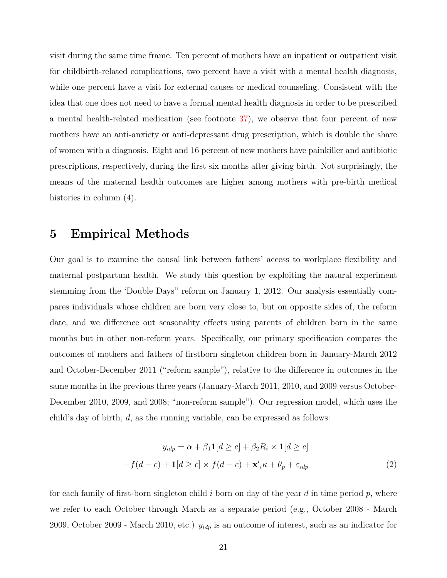visit during the same time frame. Ten percent of mothers have an inpatient or outpatient visit for childbirth-related complications, two percent have a visit with a mental health diagnosis, while one percent have a visit for external causes or medical counseling. Consistent with the idea that one does not need to have a formal mental health diagnosis in order to be prescribed a mental health-related medication (see footnote [37\)](#page-20-1), we observe that four percent of new mothers have an anti-anxiety or anti-depressant drug prescription, which is double the share of women with a diagnosis. Eight and 16 percent of new mothers have painkiller and antibiotic prescriptions, respectively, during the first six months after giving birth. Not surprisingly, the means of the maternal health outcomes are higher among mothers with pre-birth medical histories in column  $(4)$ .

## **5 Empirical Methods**

Our goal is to examine the causal link between fathers' access to workplace flexibility and maternal postpartum health. We study this question by exploiting the natural experiment stemming from the 'Double Days" reform on January 1, 2012. Our analysis essentially compares individuals whose children are born very close to, but on opposite sides of, the reform date, and we difference out seasonality effects using parents of children born in the same months but in other non-reform years. Specifically, our primary specification compares the outcomes of mothers and fathers of firstborn singleton children born in January-March 2012 and October-December 2011 ("reform sample"), relative to the difference in outcomes in the same months in the previous three years (January-March 2011, 2010, and 2009 versus October-December 2010, 2009, and 2008; "non-reform sample"). Our regression model, which uses the child's day of birth, *d*, as the running variable, can be expressed as follows:

<span id="page-22-0"></span>
$$
y_{idp} = \alpha + \beta_1 \mathbf{1}[d \ge c] + \beta_2 R_i \times \mathbf{1}[d \ge c]
$$

$$
+f(d-c) + \mathbf{1}[d \ge c] \times f(d-c) + \mathbf{x}'_i \kappa + \theta_p + \varepsilon_{idp}
$$
(2)

for each family of first-born singleton child *i* born on day of the year *d* in time period *p*, where we refer to each October through March as a separate period (e.g., October 2008 - March 2009, October 2009 - March 2010, etc.) *yidp* is an outcome of interest, such as an indicator for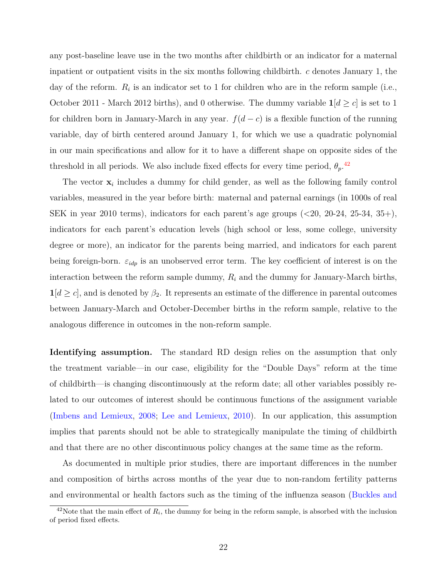any post-baseline leave use in the two months after childbirth or an indicator for a maternal inpatient or outpatient visits in the six months following childbirth. *c* denotes January 1, the day of the reform.  $R_i$  is an indicator set to 1 for children who are in the reform sample (i.e., October 2011 - March 2012 births), and 0 otherwise. The dummy variable  $1/d \geq c$  is set to 1 for children born in January-March in any year.  $f(d - c)$  is a flexible function of the running variable, day of birth centered around January 1, for which we use a quadratic polynomial in our main specifications and allow for it to have a different shape on opposite sides of the threshold in all periods. We also include fixed effects for every time period,  $\theta_p$ <sup>[42](#page-23-0)</sup>

The vector  $x_i$  includes a dummy for child gender, as well as the following family control variables, measured in the year before birth: maternal and paternal earnings (in 1000s of real SEK in year 2010 terms), indicators for each parent's age groups (*<*20, 20-24, 25-34, 35+), indicators for each parent's education levels (high school or less, some college, university degree or more), an indicator for the parents being married, and indicators for each parent being foreign-born. *εidp* is an unobserved error term. The key coefficient of interest is on the interaction between the reform sample dummy, *R<sup>i</sup>* and the dummy for January-March births,  $1[d \geq c]$ , and is denoted by  $\beta_2$ . It represents an estimate of the difference in parental outcomes between January-March and October-December births in the reform sample, relative to the analogous difference in outcomes in the non-reform sample.

**Identifying assumption.** The standard RD design relies on the assumption that only the treatment variable—in our case, eligibility for the "Double Days" reform at the time of childbirth—is changing discontinuously at the reform date; all other variables possibly related to our outcomes of interest should be continuous functions of the assignment variable [\(Imbens and Lemieux,](#page-38-11) [2008;](#page-38-11) [Lee and Lemieux,](#page-39-11) [2010\)](#page-39-11). In our application, this assumption implies that parents should not be able to strategically manipulate the timing of childbirth and that there are no other discontinuous policy changes at the same time as the reform.

As documented in multiple prior studies, there are important differences in the number and composition of births across months of the year due to non-random fertility patterns and environmental or health factors such as the timing of the influenza season [\(Buckles and](#page-36-1)

<span id="page-23-0"></span> $^{42}$ Note that the main effect of  $R_i$ [, the dummy for being in the reform sample, is absorbed with the inclusion](#page-36-1) [of period fixed effects.](#page-36-1)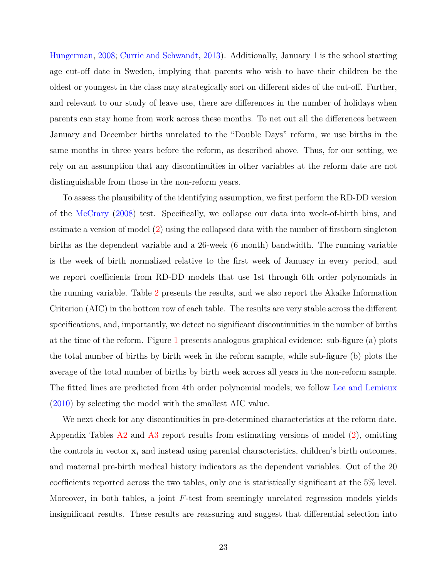[Hungerman,](#page-36-1) [2008;](#page-36-1) [Currie and Schwandt,](#page-37-3) [2013\)](#page-37-3). Additionally, January 1 is the school starting age cut-off date in Sweden, implying that parents who wish to have their children be the oldest or youngest in the class may strategically sort on different sides of the cut-off. Further, and relevant to our study of leave use, there are differences in the number of holidays when parents can stay home from work across these months. To net out all the differences between January and December births unrelated to the "Double Days" reform, we use births in the same months in three years before the reform, as described above. Thus, for our setting, we rely on an assumption that any discontinuities in other variables at the reform date are not distinguishable from those in the non-reform years.

To assess the plausibility of the identifying assumption, we first perform the RD-DD version of the [McCrary](#page-39-12) [\(2008\)](#page-39-12) test. Specifically, we collapse our data into week-of-birth bins, and estimate a version of model [\(2\)](#page-22-0) using the collapsed data with the number of firstborn singleton births as the dependent variable and a 26-week (6 month) bandwidth. The running variable is the week of birth normalized relative to the first week of January in every period, and we report coefficients from RD-DD models that use 1st through 6th order polynomials in the running variable. Table [2](#page-51-0) presents the results, and we also report the Akaike Information Criterion (AIC) in the bottom row of each table. The results are very stable across the different specifications, and, importantly, we detect no significant discontinuities in the number of births at the time of the reform. Figure [1](#page-43-0) presents analogous graphical evidence: sub-figure (a) plots the total number of births by birth week in the reform sample, while sub-figure (b) plots the average of the total number of births by birth week across all years in the non-reform sample. The fitted lines are predicted from 4th order polynomial models; we follow [Lee and Lemieux](#page-39-11) [\(2010\)](#page-39-11) by selecting the model with the smallest AIC value.

We next check for any discontinuities in pre-determined characteristics at the reform date. Appendix Tables  $A2$  and  $A3$  report results from estimating versions of model [\(2\)](#page-22-0), omitting the controls in vector  $x_i$  and instead using parental characteristics, children's birth outcomes, and maternal pre-birth medical history indicators as the dependent variables. Out of the 20 coefficients reported across the two tables, only one is statistically significant at the 5% level. Moreover, in both tables, a joint *F*-test from seemingly unrelated regression models yields insignificant results. These results are reassuring and suggest that differential selection into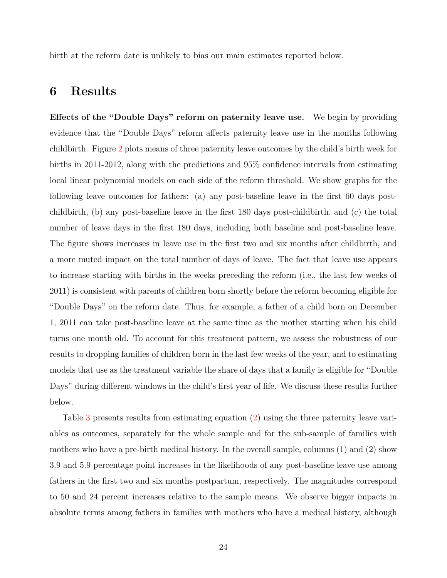birth at the reform date is unlikely to bias our main estimates reported below.

## <span id="page-25-0"></span>**6 Results**

**Effects of the "Double Days" reform on paternity leave use.** We begin by providing evidence that the "Double Days" reform affects paternity leave use in the months following childbirth. Figure [2](#page-44-0) plots means of three paternity leave outcomes by the child's birth week for births in 2011-2012, along with the predictions and 95% confidence intervals from estimating local linear polynomial models on each side of the reform threshold. We show graphs for the following leave outcomes for fathers: (a) any post-baseline leave in the first 60 days postchildbirth, (b) any post-baseline leave in the first 180 days post-childbirth, and (c) the total number of leave days in the first 180 days, including both baseline and post-baseline leave. The figure shows increases in leave use in the first two and six months after childbirth, and a more muted impact on the total number of days of leave. The fact that leave use appears to increase starting with births in the weeks preceding the reform (i.e., the last few weeks of 2011) is consistent with parents of children born shortly before the reform becoming eligible for "Double Days" on the reform date. Thus, for example, a father of a child born on December 1, 2011 can take post-baseline leave at the same time as the mother starting when his child turns one month old. To account for this treatment pattern, we assess the robustness of our results to dropping families of children born in the last few weeks of the year, and to estimating models that use as the treatment variable the share of days that a family is eligible for "Double Days" during different windows in the child's first year of life. We discuss these results further below.

Table [3](#page-52-0) presents results from estimating equation [\(2\)](#page-22-0) using the three paternity leave variables as outcomes, separately for the whole sample and for the sub-sample of families with mothers who have a pre-birth medical history. In the overall sample, columns (1) and (2) show 3.9 and 5.9 percentage point increases in the likelihoods of any post-baseline leave use among fathers in the first two and six months postpartum, respectively. The magnitudes correspond to 50 and 24 percent increases relative to the sample means. We observe bigger impacts in absolute terms among fathers in families with mothers who have a medical history, although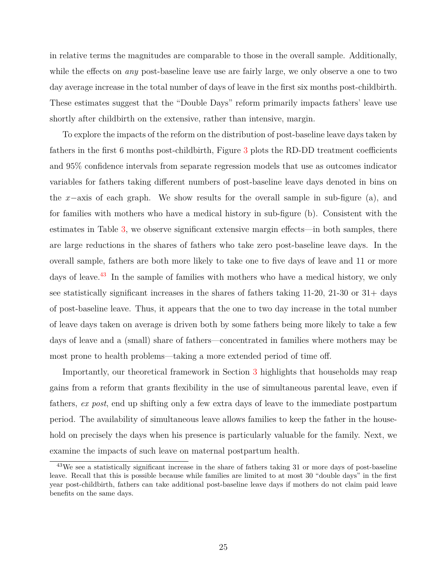in relative terms the magnitudes are comparable to those in the overall sample. Additionally, while the effects on *any* post-baseline leave use are fairly large, we only observe a one to two day average increase in the total number of days of leave in the first six months post-childbirth. These estimates suggest that the "Double Days" reform primarily impacts fathers' leave use shortly after childbirth on the extensive, rather than intensive, margin.

To explore the impacts of the reform on the distribution of post-baseline leave days taken by fathers in the first 6 months post-childbirth, Figure [3](#page-45-0) plots the RD-DD treatment coefficients and 95% confidence intervals from separate regression models that use as outcomes indicator variables for fathers taking different numbers of post-baseline leave days denoted in bins on the *x*−axis of each graph. We show results for the overall sample in sub-figure (a), and for families with mothers who have a medical history in sub-figure (b). Consistent with the estimates in Table [3,](#page-52-0) we observe significant extensive margin effects—in both samples, there are large reductions in the shares of fathers who take zero post-baseline leave days. In the overall sample, fathers are both more likely to take one to five days of leave and 11 or more days of leave.<sup>[43](#page-26-0)</sup> In the sample of families with mothers who have a medical history, we only see statistically significant increases in the shares of fathers taking 11-20, 21-30 or 31+ days of post-baseline leave. Thus, it appears that the one to two day increase in the total number of leave days taken on average is driven both by some fathers being more likely to take a few days of leave and a (small) share of fathers—concentrated in families where mothers may be most prone to health problems—taking a more extended period of time off.

Importantly, our theoretical framework in Section [3](#page-11-2) highlights that households may reap gains from a reform that grants flexibility in the use of simultaneous parental leave, even if fathers, *ex post*, end up shifting only a few extra days of leave to the immediate postpartum period. The availability of simultaneous leave allows families to keep the father in the household on precisely the days when his presence is particularly valuable for the family. Next, we examine the impacts of such leave on maternal postpartum health.

<span id="page-26-0"></span><sup>&</sup>lt;sup>43</sup>We see a statistically significant increase in the share of fathers taking 31 or more days of post-baseline leave. Recall that this is possible because while families are limited to at most 30 "double days" in the first year post-childbirth, fathers can take additional post-baseline leave days if mothers do not claim paid leave benefits on the same days.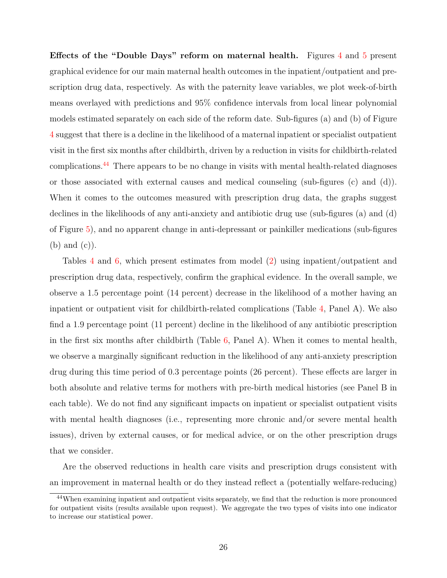**Effects of the "Double Days" reform on maternal health.** Figures [4](#page-46-0) and [5](#page-47-0) present graphical evidence for our main maternal health outcomes in the inpatient/outpatient and prescription drug data, respectively. As with the paternity leave variables, we plot week-of-birth means overlayed with predictions and 95% confidence intervals from local linear polynomial models estimated separately on each side of the reform date. Sub-figures (a) and (b) of Figure [4](#page-46-0) suggest that there is a decline in the likelihood of a maternal inpatient or specialist outpatient visit in the first six months after childbirth, driven by a reduction in visits for childbirth-related complications.<sup>[44](#page-27-0)</sup> There appears to be no change in visits with mental health-related diagnoses or those associated with external causes and medical counseling (sub-figures (c) and (d)). When it comes to the outcomes measured with prescription drug data, the graphs suggest declines in the likelihoods of any anti-anxiety and antibiotic drug use (sub-figures (a) and (d) of Figure [5\)](#page-47-0), and no apparent change in anti-depressant or painkiller medications (sub-figures (b) and (c)).

Tables [4](#page-53-0) and [6,](#page-55-0) which present estimates from model [\(2\)](#page-22-0) using inpatient/outpatient and prescription drug data, respectively, confirm the graphical evidence. In the overall sample, we observe a 1.5 percentage point (14 percent) decrease in the likelihood of a mother having an inpatient or outpatient visit for childbirth-related complications (Table [4,](#page-53-0) Panel A). We also find a 1.9 percentage point (11 percent) decline in the likelihood of any antibiotic prescription in the first six months after childbirth (Table [6,](#page-55-0) Panel A). When it comes to mental health, we observe a marginally significant reduction in the likelihood of any anti-anxiety prescription drug during this time period of 0.3 percentage points (26 percent). These effects are larger in both absolute and relative terms for mothers with pre-birth medical histories (see Panel B in each table). We do not find any significant impacts on inpatient or specialist outpatient visits with mental health diagnoses (i.e., representing more chronic and/or severe mental health issues), driven by external causes, or for medical advice, or on the other prescription drugs that we consider.

Are the observed reductions in health care visits and prescription drugs consistent with an improvement in maternal health or do they instead reflect a (potentially welfare-reducing)

<span id="page-27-0"></span><sup>44</sup>When examining inpatient and outpatient visits separately, we find that the reduction is more pronounced for outpatient visits (results available upon request). We aggregate the two types of visits into one indicator to increase our statistical power.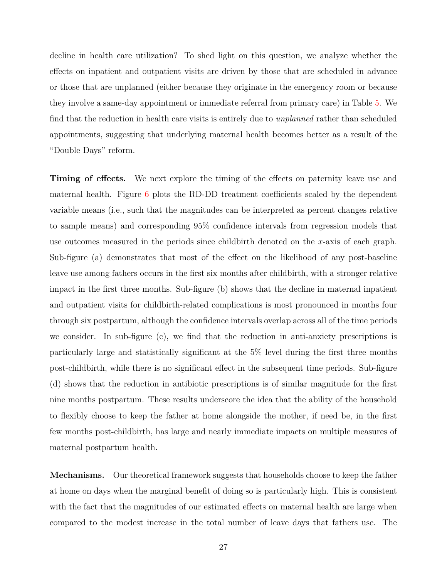decline in health care utilization? To shed light on this question, we analyze whether the effects on inpatient and outpatient visits are driven by those that are scheduled in advance or those that are unplanned (either because they originate in the emergency room or because they involve a same-day appointment or immediate referral from primary care) in Table [5.](#page-54-0) We find that the reduction in health care visits is entirely due to *unplanned* rather than scheduled appointments, suggesting that underlying maternal health becomes better as a result of the "Double Days" reform.

**Timing of effects.** We next explore the timing of the effects on paternity leave use and maternal health. Figure  $6$  plots the RD-DD treatment coefficients scaled by the dependent variable means (i.e., such that the magnitudes can be interpreted as percent changes relative to sample means) and corresponding 95% confidence intervals from regression models that use outcomes measured in the periods since childbirth denoted on the *x*-axis of each graph. Sub-figure (a) demonstrates that most of the effect on the likelihood of any post-baseline leave use among fathers occurs in the first six months after childbirth, with a stronger relative impact in the first three months. Sub-figure (b) shows that the decline in maternal inpatient and outpatient visits for childbirth-related complications is most pronounced in months four through six postpartum, although the confidence intervals overlap across all of the time periods we consider. In sub-figure (c), we find that the reduction in anti-anxiety prescriptions is particularly large and statistically significant at the 5% level during the first three months post-childbirth, while there is no significant effect in the subsequent time periods. Sub-figure (d) shows that the reduction in antibiotic prescriptions is of similar magnitude for the first nine months postpartum. These results underscore the idea that the ability of the household to flexibly choose to keep the father at home alongside the mother, if need be, in the first few months post-childbirth, has large and nearly immediate impacts on multiple measures of maternal postpartum health.

**Mechanisms.** Our theoretical framework suggests that households choose to keep the father at home on days when the marginal benefit of doing so is particularly high. This is consistent with the fact that the magnitudes of our estimated effects on maternal health are large when compared to the modest increase in the total number of leave days that fathers use. The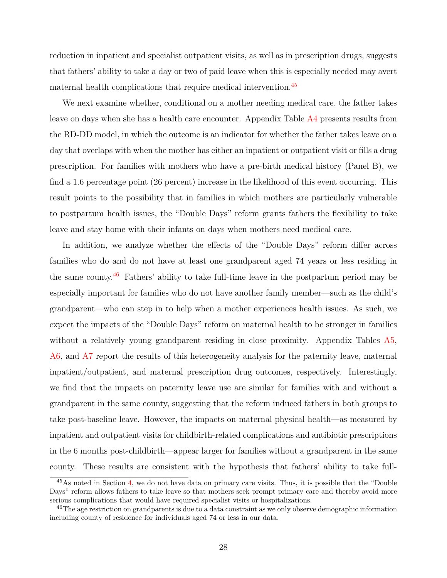reduction in inpatient and specialist outpatient visits, as well as in prescription drugs, suggests that fathers' ability to take a day or two of paid leave when this is especially needed may avert maternal health complications that require medical intervention.<sup>[45](#page-29-0)</sup>

We next examine whether, conditional on a mother needing medical care, the father takes leave on days when she has a health care encounter. Appendix Table [A4](#page-60-0) presents results from the RD-DD model, in which the outcome is an indicator for whether the father takes leave on a day that overlaps with when the mother has either an inpatient or outpatient visit or fills a drug prescription. For families with mothers who have a pre-birth medical history (Panel B), we find a 1.6 percentage point (26 percent) increase in the likelihood of this event occurring. This result points to the possibility that in families in which mothers are particularly vulnerable to postpartum health issues, the "Double Days" reform grants fathers the flexibility to take leave and stay home with their infants on days when mothers need medical care.

In addition, we analyze whether the effects of the "Double Days" reform differ across families who do and do not have at least one grandparent aged 74 years or less residing in the same county.[46](#page-29-1) Fathers' ability to take full-time leave in the postpartum period may be especially important for families who do not have another family member—such as the child's grandparent—who can step in to help when a mother experiences health issues. As such, we expect the impacts of the "Double Days" reform on maternal health to be stronger in families without a relatively young grandparent residing in close proximity. Appendix Tables [A5,](#page-61-0) [A6,](#page-62-0) and [A7](#page-63-0) report the results of this heterogeneity analysis for the paternity leave, maternal inpatient/outpatient, and maternal prescription drug outcomes, respectively. Interestingly, we find that the impacts on paternity leave use are similar for families with and without a grandparent in the same county, suggesting that the reform induced fathers in both groups to take post-baseline leave. However, the impacts on maternal physical health—as measured by inpatient and outpatient visits for childbirth-related complications and antibiotic prescriptions in the 6 months post-childbirth—appear larger for families without a grandparent in the same county. These results are consistent with the hypothesis that fathers' ability to take full-

<span id="page-29-0"></span><sup>&</sup>lt;sup>45</sup>As noted in Section [4,](#page-18-0) we do not have data on primary care visits. Thus, it is possible that the "Double" Days" reform allows fathers to take leave so that mothers seek prompt primary care and thereby avoid more serious complications that would have required specialist visits or hospitalizations.

<span id="page-29-1"></span><sup>&</sup>lt;sup>46</sup>The age restriction on grandparents is due to a data constraint as we only observe demographic information including county of residence for individuals aged 74 or less in our data.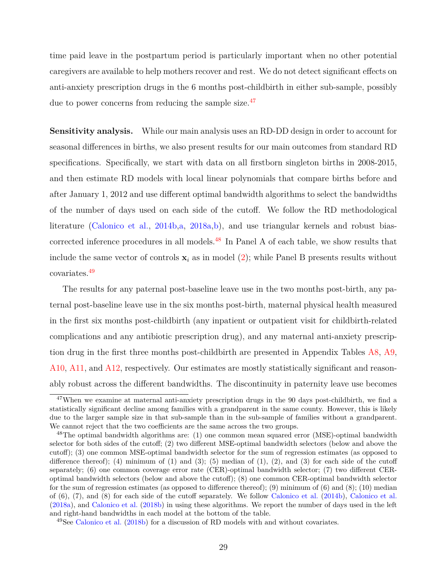time paid leave in the postpartum period is particularly important when no other potential caregivers are available to help mothers recover and rest. We do not detect significant effects on anti-anxiety prescription drugs in the 6 months post-childbirth in either sub-sample, possibly due to power concerns from reducing the sample size.<sup>[47](#page-30-0)</sup>

**Sensitivity analysis.** While our main analysis uses an RD-DD design in order to account for seasonal differences in births, we also present results for our main outcomes from standard RD specifications. Specifically, we start with data on all firstborn singleton births in 2008-2015, and then estimate RD models with local linear polynomials that compare births before and after January 1, 2012 and use different optimal bandwidth algorithms to select the bandwidths of the number of days used on each side of the cutoff. We follow the RD methodological literature [\(Calonico et al.,](#page-36-9) [2014b,](#page-36-9)[a,](#page-36-10) [2018a,](#page-36-11)[b\)](#page-36-12), and use triangular kernels and robust bias-corrected inference procedures in all models.<sup>[48](#page-30-1)</sup> In Panel A of each table, we show results that include the same vector of controls  $x_i$  as in model [\(2\)](#page-22-0); while Panel B presents results without covariates.[49](#page-30-2)

The results for any paternal post-baseline leave use in the two months post-birth, any paternal post-baseline leave use in the six months post-birth, maternal physical health measured in the first six months post-childbirth (any inpatient or outpatient visit for childbirth-related complications and any antibiotic prescription drug), and any maternal anti-anxiety prescription drug in the first three months post-childbirth are presented in Appendix Tables [A8,](#page-64-0) [A9,](#page-65-0) [A10,](#page-66-0) [A11,](#page-67-0) and [A12,](#page-68-0) respectively. Our estimates are mostly statistically significant and reasonably robust across the different bandwidths. The discontinuity in paternity leave use becomes

<span id="page-30-0"></span> $47$ When we examine at maternal anti-anxiety prescription drugs in the 90 days post-childbirth, we find a statistically significant decline among families with a grandparent in the same county. However, this is likely due to the larger sample size in that sub-sample than in the sub-sample of families without a grandparent. We cannot reject that the two coefficients are the same across the two groups.

<span id="page-30-1"></span><sup>&</sup>lt;sup>48</sup>The optimal bandwidth algorithms are: (1) one common mean squared error (MSE)-optimal bandwidth selector for both sides of the cutoff; (2) two different MSE-optimal bandwidth selectors (below and above the cutoff); (3) one common MSE-optimal bandwidth selector for the sum of regression estimates (as opposed to difference thereof); (4) minimum of (1) and (3); (5) median of (1), (2), and (3) for each side of the cutoff separately; (6) one common coverage error rate (CER)-optimal bandwidth selector; (7) two different CERoptimal bandwidth selectors (below and above the cutoff); (8) one common CER-optimal bandwidth selector for the sum of regression estimates (as opposed to difference thereof); (9) minimum of (6) and (8); (10) median of (6), (7), and (8) for each side of the cutoff separately. We follow [Calonico et al.](#page-36-9) [\(2014b\)](#page-36-9), [Calonico et al.](#page-36-11) [\(2018a\)](#page-36-11), and [Calonico et al.](#page-36-12) [\(2018b\)](#page-36-12) in using these algorithms. We report the number of days used in the left and right-hand bandwidths in each model at the bottom of the table.

<span id="page-30-2"></span><sup>49</sup>See [Calonico et al.](#page-36-12) [\(2018b\)](#page-36-12) for a discussion of RD models with and without covariates.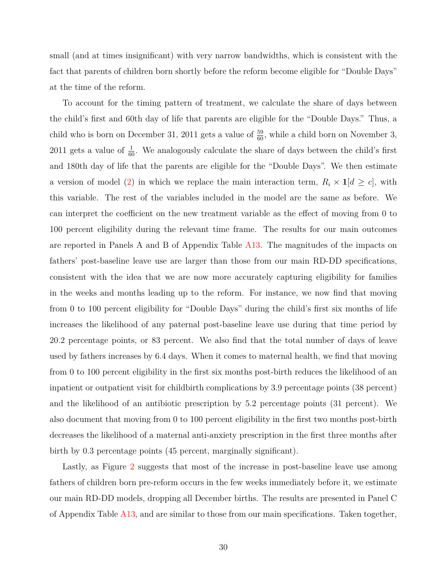small (and at times insignificant) with very narrow bandwidths, which is consistent with the fact that parents of children born shortly before the reform become eligible for "Double Days" at the time of the reform.

To account for the timing pattern of treatment, we calculate the share of days between the child's first and 60th day of life that parents are eligible for the "Double Days." Thus, a child who is born on December 31, 2011 gets a value of  $\frac{59}{60}$ , while a child born on November 3, 2011 gets a value of  $\frac{1}{60}$ . We analogously calculate the share of days between the child's first and 180th day of life that the parents are eligible for the "Double Days". We then estimate a version of model [\(2\)](#page-22-0) in which we replace the main interaction term,  $R_i \times \mathbf{1}[d \ge c]$ , with this variable. The rest of the variables included in the model are the same as before. We can interpret the coefficient on the new treatment variable as the effect of moving from 0 to 100 percent eligibility during the relevant time frame. The results for our main outcomes are reported in Panels A and B of Appendix Table [A13.](#page-69-0) The magnitudes of the impacts on fathers' post-baseline leave use are larger than those from our main RD-DD specifications, consistent with the idea that we are now more accurately capturing eligibility for families in the weeks and months leading up to the reform. For instance, we now find that moving from 0 to 100 percent eligibility for "Double Days" during the child's first six months of life increases the likelihood of any paternal post-baseline leave use during that time period by 20.2 percentage points, or 83 percent. We also find that the total number of days of leave used by fathers increases by 6.4 days. When it comes to maternal health, we find that moving from 0 to 100 percent eligibility in the first six months post-birth reduces the likelihood of an inpatient or outpatient visit for childbirth complications by 3.9 percentage points (38 percent) and the likelihood of an antibiotic prescription by 5.2 percentage points (31 percent). We also document that moving from 0 to 100 percent eligibility in the first two months post-birth decreases the likelihood of a maternal anti-anxiety prescription in the first three months after birth by 0.3 percentage points (45 percent, marginally significant).

Lastly, as Figure [2](#page-44-0) suggests that most of the increase in post-baseline leave use among fathers of children born pre-reform occurs in the few weeks immediately before it, we estimate our main RD-DD models, dropping all December births. The results are presented in Panel C of Appendix Table [A13,](#page-69-0) and are similar to those from our main specifications. Taken together,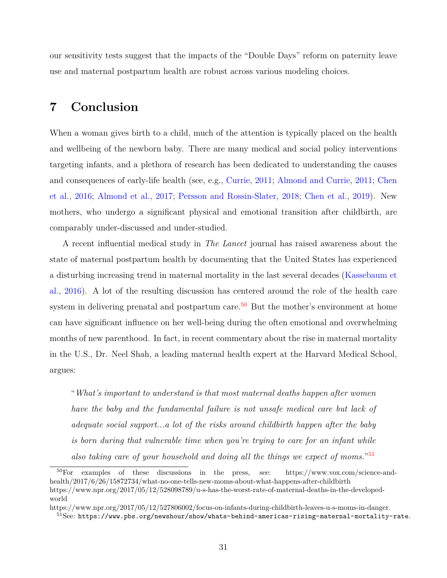our sensitivity tests suggest that the impacts of the "Double Days" reform on paternity leave use and maternal postpartum health are robust across various modeling choices.

# **7 Conclusion**

When a woman gives birth to a child, much of the attention is typically placed on the health and wellbeing of the newborn baby. There are many medical and social policy interventions targeting infants, and a plethora of research has been dedicated to understanding the causes and consequences of early-life health (see, e.g., [Currie,](#page-37-14) [2011;](#page-37-14) [Almond and Currie,](#page-34-3) [2011;](#page-34-3) [Chen](#page-36-13) [et al.,](#page-36-13) [2016;](#page-36-13) [Almond et al.,](#page-34-4) [2017;](#page-34-4) [Persson and Rossin-Slater,](#page-40-12) [2018;](#page-40-12) [Chen et al.,](#page-36-14) [2019\)](#page-36-14). New mothers, who undergo a significant physical and emotional transition after childbirth, are comparably under-discussed and under-studied.

A recent influential medical study in *The Lancet* journal has raised awareness about the state of maternal postpartum health by documenting that the United States has experienced a disturbing increasing trend in maternal mortality in the last several decades [\(Kassebaum et](#page-38-12) [al.,](#page-38-12) [2016\)](#page-38-12). A lot of the resulting discussion has centered around the role of the health care system in delivering prenatal and postpartum care.<sup>[50](#page-32-0)</sup> But the mother's environment at home can have significant influence on her well-being during the often emotional and overwhelming months of new parenthood. In fact, in recent commentary about the rise in maternal mortality in the U.S., Dr. Neel Shah, a leading maternal health expert at the Harvard Medical School, argues:

"*What's important to understand is that most maternal deaths happen after women have the baby and the fundamental failure is not unsafe medical care but lack of adequate social support...a lot of the risks around childbirth happen after the baby is born during that vulnerable time when you're trying to care for an infant while* also taking care of your household and doing all the things we expect of moms."<sup>[51](#page-32-1)</sup>

<span id="page-32-0"></span><sup>50</sup>For examples of these discussions in the press, see: https://www.vox.com/science-andhealth/2017/6/26/15872734/what-no-one-tells-new-moms-about-what-happens-after-childbirth https://www.npr.org/2017/05/12/528098789/u-s-has-the-worst-rate-of-maternal-deaths-in-the-developedworld

https://www.npr.org/2017/05/12/527806002/focus-on-infants-during-childbirth-leaves-u-s-moms-in-danger.

<span id="page-32-1"></span> $51$ See: <https://www.pbs.org/newshour/show/whats-behind-americas-rising-maternal-mortality-rate>.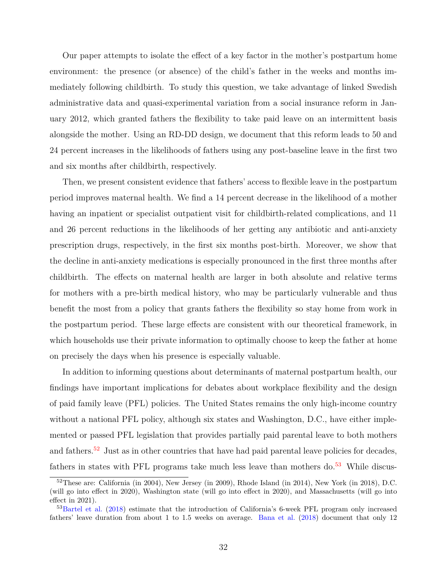Our paper attempts to isolate the effect of a key factor in the mother's postpartum home environment: the presence (or absence) of the child's father in the weeks and months immediately following childbirth. To study this question, we take advantage of linked Swedish administrative data and quasi-experimental variation from a social insurance reform in January 2012, which granted fathers the flexibility to take paid leave on an intermittent basis alongside the mother. Using an RD-DD design, we document that this reform leads to 50 and 24 percent increases in the likelihoods of fathers using any post-baseline leave in the first two and six months after childbirth, respectively.

Then, we present consistent evidence that fathers' access to flexible leave in the postpartum period improves maternal health. We find a 14 percent decrease in the likelihood of a mother having an inpatient or specialist outpatient visit for childbirth-related complications, and 11 and 26 percent reductions in the likelihoods of her getting any antibiotic and anti-anxiety prescription drugs, respectively, in the first six months post-birth. Moreover, we show that the decline in anti-anxiety medications is especially pronounced in the first three months after childbirth. The effects on maternal health are larger in both absolute and relative terms for mothers with a pre-birth medical history, who may be particularly vulnerable and thus benefit the most from a policy that grants fathers the flexibility so stay home from work in the postpartum period. These large effects are consistent with our theoretical framework, in which households use their private information to optimally choose to keep the father at home on precisely the days when his presence is especially valuable.

In addition to informing questions about determinants of maternal postpartum health, our findings have important implications for debates about workplace flexibility and the design of paid family leave (PFL) policies. The United States remains the only high-income country without a national PFL policy, although six states and Washington, D.C., have either implemented or passed PFL legislation that provides partially paid parental leave to both mothers and fathers.<sup>[52](#page-33-0)</sup> Just as in other countries that have had paid parental leave policies for decades, fathers in states with PFL programs take much less leave than mothers do. $53$  While discus-

<span id="page-33-0"></span> $52$ These are: California (in 2004), New Jersey (in 2009), Rhode Island (in 2014), New York (in 2018), D.C. (will go into effect in 2020), Washington state (will go into effect in 2020), and Massachusetts (will go into effect in 2021).

<span id="page-33-1"></span><sup>53</sup>[Bartel et al.](#page-35-11) [\(2018\)](#page-35-11) estimate that the introduction of California's 6-week PFL program only increased fathers' leave duration from about 1 to 1.5 weeks on average. [Bana et al.](#page-35-12) [\(2018\)](#page-35-12) document that only 12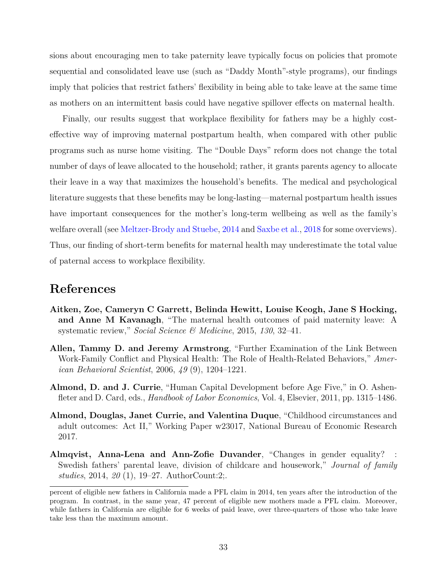sions about encouraging men to take paternity leave typically focus on policies that promote sequential and consolidated leave use (such as "Daddy Month"-style programs), our findings imply that policies that restrict fathers' flexibility in being able to take leave at the same time as mothers on an intermittent basis could have negative spillover effects on maternal health.

Finally, our results suggest that workplace flexibility for fathers may be a highly costeffective way of improving maternal postpartum health, when compared with other public programs such as nurse home visiting. The "Double Days" reform does not change the total number of days of leave allocated to the household; rather, it grants parents agency to allocate their leave in a way that maximizes the household's benefits. The medical and psychological literature suggests that these benefits may be long-lasting—maternal postpartum health issues have important consequences for the mother's long-term wellbeing as well as the family's welfare overall (see [Meltzer-Brody and Stuebe,](#page-39-13) [2014](#page-39-13) and [Saxbe et al.,](#page-40-13) [2018](#page-40-13) for some overviews). Thus, our finding of short-term benefits for maternal health may underestimate the total value of paternal access to workplace flexibility.

## **References**

- <span id="page-34-2"></span>**Aitken, Zoe, Cameryn C Garrett, Belinda Hewitt, Louise Keogh, Jane S Hocking, and Anne M Kavanagh**, "The maternal health outcomes of paid maternity leave: A systematic review," *Social Science & Medicine*, 2015, *130*, 32–41.
- <span id="page-34-1"></span>**Allen, Tammy D. and Jeremy Armstrong**, "Further Examination of the Link Between Work-Family Conflict and Physical Health: The Role of Health-Related Behaviors," *American Behavioral Scientist*, 2006, *49* (9), 1204–1221.
- <span id="page-34-3"></span>**Almond, D. and J. Currie**, "Human Capital Development before Age Five," in O. Ashenfleter and D. Card, eds., *Handbook of Labor Economics*, Vol. 4, Elsevier, 2011, pp. 1315–1486.
- <span id="page-34-4"></span>**Almond, Douglas, Janet Currie, and Valentina Duque**, "Childhood circumstances and adult outcomes: Act II," Working Paper w23017, National Bureau of Economic Research 2017.
- <span id="page-34-0"></span>**Almqvist, Anna-Lena and Ann-Zofie Duvander**, "Changes in gender equality? : Swedish fathers' parental leave, division of childcare and housework," *Journal of family studies*, 2014, *20* (1), 19–27. AuthorCount:2;.

percent of eligible new fathers in California made a PFL claim in 2014, ten years after the introduction of the program. In contrast, in the same year, 47 percent of eligible new mothers made a PFL claim. Moreover, while fathers in California are eligible for 6 weeks of paid leave, over three-quarters of those who take leave take less than the maximum amount.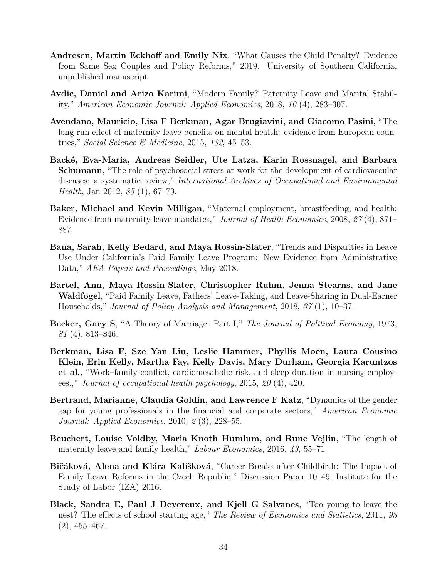- <span id="page-35-4"></span>**Andresen, Martin Eckhoff and Emily Nix**, "What Causes the Child Penalty? Evidence from Same Sex Couples and Policy Reforms," 2019. University of Southern California, unpublished manuscript.
- <span id="page-35-3"></span>**Avdic, Daniel and Arizo Karimi**, "Modern Family? Paternity Leave and Marital Stability," *American Economic Journal: Applied Economics*, 2018, *10* (4), 283–307.
- <span id="page-35-8"></span>**Avendano, Mauricio, Lisa F Berkman, Agar Brugiavini, and Giacomo Pasini**, "The long-run effect of maternity leave benefits on mental health: evidence from European countries," *Social Science & Medicine*, 2015, *132*, 45–53.
- <span id="page-35-5"></span>**Backé, Eva-Maria, Andreas Seidler, Ute Latza, Karin Rossnagel, and Barbara Schumann**, "The role of psychosocial stress at work for the development of cardiovascular diseases: a systematic review," *International Archives of Occupational and Environmental Health*, Jan 2012, *85* (1), 67–79.
- <span id="page-35-7"></span>**Baker, Michael and Kevin Milligan**, "Maternal employment, breastfeeding, and health: Evidence from maternity leave mandates," *Journal of Health Economics*, 2008, *27* (4), 871– 887.
- <span id="page-35-12"></span>**Bana, Sarah, Kelly Bedard, and Maya Rossin-Slater**, "Trends and Disparities in Leave Use Under California's Paid Family Leave Program: New Evidence from Administrative Data," *AEA Papers and Proceedings*, May 2018.
- <span id="page-35-11"></span>**Bartel, Ann, Maya Rossin-Slater, Christopher Ruhm, Jenna Stearns, and Jane Waldfogel**, "Paid Family Leave, Fathers' Leave-Taking, and Leave-Sharing in Dual-Earner Households," *Journal of Policy Analysis and Management*, 2018, *37* (1), 10–37.
- <span id="page-35-1"></span>**Becker, Gary S**, "A Theory of Marriage: Part I," *The Journal of Political Economy*, 1973, *81* (4), 813–846.
- <span id="page-35-6"></span>**Berkman, Lisa F, Sze Yan Liu, Leslie Hammer, Phyllis Moen, Laura Cousino Klein, Erin Kelly, Martha Fay, Kelly Davis, Mary Durham, Georgia Karuntzos et al.**, "Work–family conflict, cardiometabolic risk, and sleep duration in nursing employees.," *Journal of occupational health psychology*, 2015, *20* (4), 420.
- <span id="page-35-0"></span>**Bertrand, Marianne, Claudia Goldin, and Lawrence F Katz**, "Dynamics of the gender gap for young professionals in the financial and corporate sectors," *American Economic Journal: Applied Economics*, 2010, *2* (3), 228–55.
- <span id="page-35-9"></span>**Beuchert, Louise Voldby, Maria Knoth Humlum, and Rune Vejlin**, "The length of maternity leave and family health," *Labour Economics*, 2016, *43*, 55–71.
- <span id="page-35-10"></span>**Bičáková, Alena and Klára Kalíšková**, "Career Breaks after Childbirth: The Impact of Family Leave Reforms in the Czech Republic," Discussion Paper 10149, Institute for the Study of Labor (IZA) 2016.
- <span id="page-35-2"></span>**Black, Sandra E, Paul J Devereux, and Kjell G Salvanes**, "Too young to leave the nest? The effects of school starting age," *The Review of Economics and Statistics*, 2011, *93* (2), 455–467.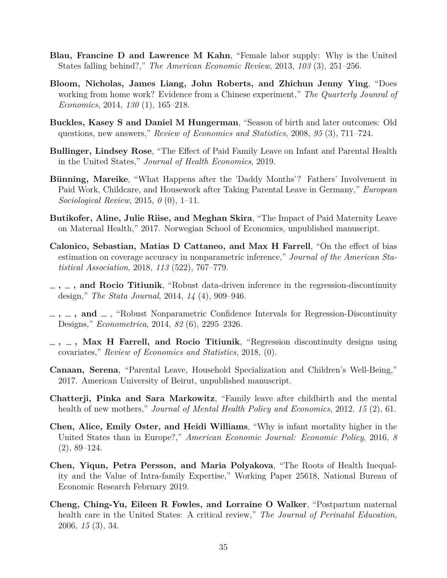- <span id="page-36-2"></span><span id="page-36-1"></span><span id="page-36-0"></span>**Blau, Francine D and Lawrence M Kahn**, "Female labor supply: Why is the United States falling behind?," *The American Economic Review*, 2013, *103* (3), 251–256.
- **Bloom, Nicholas, James Liang, John Roberts, and Zhichun Jenny Ying**, "Does working from home work? Evidence from a Chinese experiment," *The Quarterly Jounral of Economics*, 2014, *130* (1), 165–218.
- **Buckles, Kasey S and Daniel M Hungerman**, "Season of birth and later outcomes: Old questions, new answers," *Review of Economics and Statistics*, 2008, *95* (3), 711–724.
- **Bullinger, Lindsey Rose**, "The Effect of Paid Family Leave on Infant and Parental Health in the United States," *Journal of Health Economics*, 2019.
- **Bünning, Mareike**, "What Happens after the 'Daddy Months'? Fathers' Involvement in Paid Work, Childcare, and Housework after Taking Parental Leave in Germany," *European Sociological Review*, 2015, *0* (0), 1–11.
- **Butikofer, Aline, Julie Riise, and Meghan Skira**, "The Impact of Paid Maternity Leave on Maternal Health," 2017. Norwegian School of Economics, unpublished manuscript.
- **Calonico, Sebastian, Matias D Cattaneo, and Max H Farrell**, "On the effect of bias estimation on coverage accuracy in nonparametric inference," *Journal of the American Statistical Association*, 2018, *113* (522), 767–779.
- **, , and Rocio Titiunik**, "Robust data-driven inference in the regression-discontinuity design," *The Stata Journal*, 2014, *14* (4), 909–946.
- $\lambda$ ,  $\lambda$ , and  $\lambda$ , "Robust Nonparametric Confidence Intervals for Regression-Discontinuity Designs," *Econometrica*, 2014, *82* (6), 2295–2326.
- **, , Max H Farrell, and Rocio Titiunik**, "Regression discontinuity designs using covariates," *Review of Economics and Statistics*, 2018, (0).
- **Canaan, Serena**, "Parental Leave, Household Specialization and Children's Well-Being," 2017. American University of Beirut, unpublished manuscript.
- **Chatterji, Pinka and Sara Markowitz**, "Family leave after childbirth and the mental health of new mothers," *Journal of Mental Health Policy and Economics*, 2012, *15* (2), 61.
- **Chen, Alice, Emily Oster, and Heidi Williams**, "Why is infant mortality higher in the United States than in Europe?," *American Economic Journal: Economic Policy*, 2016, *8* (2), 89–124.
- **Chen, Yiqun, Petra Persson, and Maria Polyakova**, "The Roots of Health Inequality and the Value of Intra-family Expertise," Working Paper 25618, National Bureau of Economic Research February 2019.
- **Cheng, Ching-Yu, Eileen R Fowles, and Lorraine O Walker**, "Postpartum maternal health care in the United States: A critical review," *The Journal of Perinatal Education*, 2006, *15* (3), 34.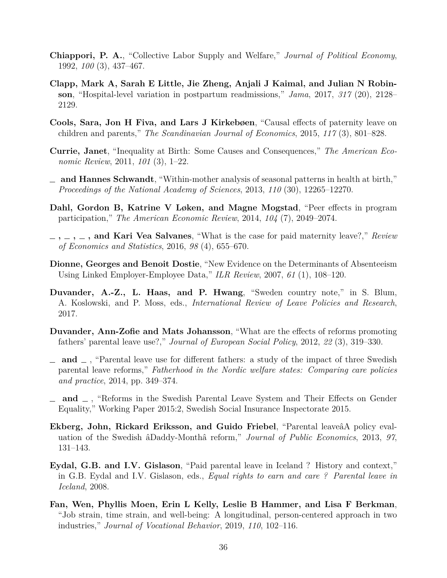- **Chiappori, P. A.**, "Collective Labor Supply and Welfare," *Journal of Political Economy*, 1992, *100* (3), 437–467.
- **Clapp, Mark A, Sarah E Little, Jie Zheng, Anjali J Kaimal, and Julian N Robinson**, "Hospital-level variation in postpartum readmissions," *Jama*, 2017, *317* (20), 2128– 2129.
- **Cools, Sara, Jon H Fiva, and Lars J Kirkebøen**, "Causal effects of paternity leave on children and parents," *The Scandinavian Journal of Economics*, 2015, *117* (3), 801–828.
- **Currie, Janet**, "Inequality at Birth: Some Causes and Consequences," *The American Economic Review*, 2011, *101* (3), 1–22.
- **and Hannes Schwandt**, "Within-mother analysis of seasonal patterns in health at birth," *Proceedings of the National Academy of Sciences*, 2013, *110* (30), 12265–12270.
- **Dahl, Gordon B, Katrine V Løken, and Magne Mogstad**, "Peer effects in program participation," *The American Economic Review*, 2014, *104* (7), 2049–2074.
- **, , , and Kari Vea Salvanes**, "What is the case for paid maternity leave?," *Review of Economics and Statistics*, 2016, *98* (4), 655–670.
- **Dionne, Georges and Benoit Dostie**, "New Evidence on the Determinants of Absenteeism Using Linked Employer-Employee Data," *ILR Review*, 2007, *61* (1), 108–120.
- **Duvander, A.-Z., L. Haas, and P. Hwang**, "Sweden country note," in S. Blum, A. Koslowski, and P. Moss, eds., *International Review of Leave Policies and Research*, 2017.
- **Duvander, Ann-Zofie and Mats Johansson**, "What are the effects of reforms promoting fathers' parental leave use?," *Journal of European Social Policy*, 2012, *22* (3), 319–330.
- $\Box$  and  $\Box$ , "Parental leave use for different fathers: a study of the impact of three Swedish parental leave reforms," *Fatherhood in the Nordic welfare states: Comparing care policies and practice*, 2014, pp. 349–374.
- **and** , "Reforms in the Swedish Parental Leave System and Their Effects on Gender Equality," Working Paper 2015:2, Swedish Social Insurance Inspectorate 2015.
- **Ekberg, John, Rickard Eriksson, and Guido Friebel**, "Parental leaveâA policy evaluation of the Swedish âDaddy-Monthâ reform," *Journal of Public Economics*, 2013, *97*, 131–143.
- **Eydal, G.B. and I.V. Gislason**, "Paid parental leave in Iceland ? History and context," in G.B. Eydal and I.V. Gislason, eds., *Equal rights to earn and care ? Parental leave in Iceland*, 2008.
- **Fan, Wen, Phyllis Moen, Erin L Kelly, Leslie B Hammer, and Lisa F Berkman**, "Job strain, time strain, and well-being: A longitudinal, person-centered approach in two industries," *Journal of Vocational Behavior*, 2019, *110*, 102–116.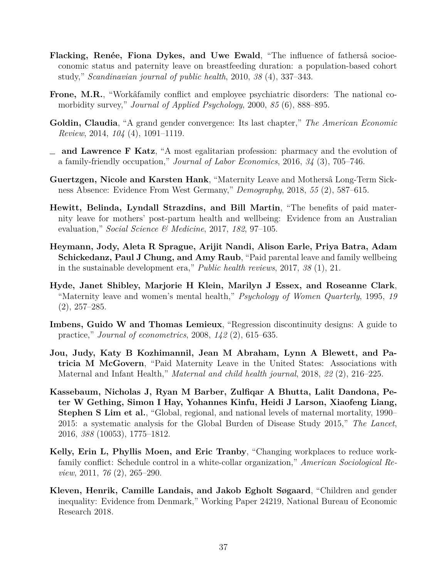- **Flacking, Renée, Fiona Dykes, and Uwe Ewald**, "The influence of fathersâ socioeconomic status and paternity leave on breastfeeding duration: a population-based cohort study," *Scandinavian journal of public health*, 2010, *38* (4), 337–343.
- **Frone, M.R.**, "Workâfamily conflict and employee psychiatric disorders: The national comorbidity survey," *Journal of Applied Psychology*, 2000, *85* (6), 888–895.
- **Goldin, Claudia**, "A grand gender convergence: Its last chapter," *The American Economic Review*, 2014, *104* (4), 1091–1119.
- **and Lawrence F Katz**, "A most egalitarian profession: pharmacy and the evolution of a family-friendly occupation," *Journal of Labor Economics*, 2016, *34* (3), 705–746.
- **Guertzgen, Nicole and Karsten Hank**, "Maternity Leave and Mothersâ Long-Term Sickness Absence: Evidence From West Germany," *Demography*, 2018, *55* (2), 587–615.
- **Hewitt, Belinda, Lyndall Strazdins, and Bill Martin**, "The benefits of paid maternity leave for mothers' post-partum health and wellbeing: Evidence from an Australian evaluation," *Social Science & Medicine*, 2017, *182*, 97–105.
- **Heymann, Jody, Aleta R Sprague, Arijit Nandi, Alison Earle, Priya Batra, Adam Schickedanz, Paul J Chung, and Amy Raub**, "Paid parental leave and family wellbeing in the sustainable development era," *Public health reviews*, 2017, *38* (1), 21.
- **Hyde, Janet Shibley, Marjorie H Klein, Marilyn J Essex, and Roseanne Clark**, "Maternity leave and women's mental health," *Psychology of Women Quarterly*, 1995, *19*  $(2), 257-285.$
- **Imbens, Guido W and Thomas Lemieux**, "Regression discontinuity designs: A guide to practice," *Journal of econometrics*, 2008, *142* (2), 615–635.
- **Jou, Judy, Katy B Kozhimannil, Jean M Abraham, Lynn A Blewett, and Patricia M McGovern**, "Paid Maternity Leave in the United States: Associations with Maternal and Infant Health," *Maternal and child health journal*, 2018, *22* (2), 216–225.
- **Kassebaum, Nicholas J, Ryan M Barber, Zulfiqar A Bhutta, Lalit Dandona, Peter W Gething, Simon I Hay, Yohannes Kinfu, Heidi J Larson, Xiaofeng Liang, Stephen S Lim et al.**, "Global, regional, and national levels of maternal mortality, 1990– 2015: a systematic analysis for the Global Burden of Disease Study 2015," *The Lancet*, 2016, *388* (10053), 1775–1812.
- **Kelly, Erin L, Phyllis Moen, and Eric Tranby**, "Changing workplaces to reduce workfamily conflict: Schedule control in a white-collar organization," *American Sociological Review*, 2011, *76* (2), 265–290.
- **Kleven, Henrik, Camille Landais, and Jakob Egholt Søgaard**, "Children and gender inequality: Evidence from Denmark," Working Paper 24219, National Bureau of Economic Research 2018.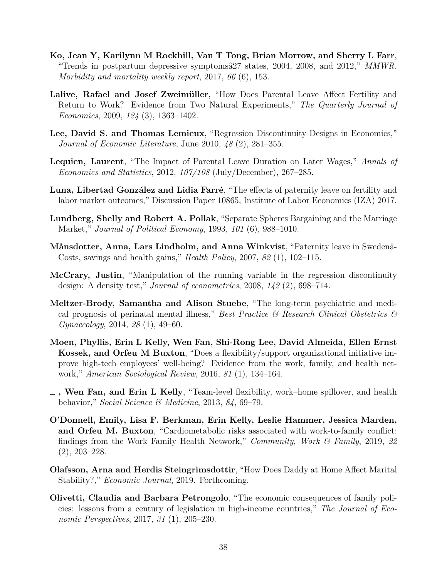- **Ko, Jean Y, Karilynn M Rockhill, Van T Tong, Brian Morrow, and Sherry L Farr**, "Trends in postpartum depressive symptomsâ27 states, 2004, 2008, and 2012," *MMWR. Morbidity and mortality weekly report*, 2017, *66* (6), 153.
- **Lalive, Rafael and Josef Zweimüller**, "How Does Parental Leave Affect Fertility and Return to Work? Evidence from Two Natural Experiments," *The Quarterly Journal of Economics*, 2009, *124* (3), 1363–1402.
- <span id="page-39-0"></span>**Lee, David S. and Thomas Lemieux**, "Regression Discontinuity Designs in Economics," *Journal of Economic Literature*, June 2010, *48* (2), 281–355.
- **Lequien, Laurent**, "The Impact of Parental Leave Duration on Later Wages," *Annals of Economics and Statistics*, 2012, *107/108* (July/December), 267–285.
- **Luna, Libertad González and Lidia Farré**, "The effects of paternity leave on fertility and labor market outcomes," Discussion Paper 10865, Institute of Labor Economics (IZA) 2017.
- **Lundberg, Shelly and Robert A. Pollak**, "Separate Spheres Bargaining and the Marriage Market," *Journal of Political Economy*, 1993, *101* (6), 988–1010.
- **Månsdotter, Anna, Lars Lindholm, and Anna Winkvist**, "Paternity leave in Swedenâ-Costs, savings and health gains," *Health Policy*, 2007, *82* (1), 102–115.
- **McCrary, Justin**, "Manipulation of the running variable in the regression discontinuity design: A density test," *Journal of econometrics*, 2008, *142* (2), 698–714.
- **Meltzer-Brody, Samantha and Alison Stuebe**, "The long-term psychiatric and medical prognosis of perinatal mental illness," *Best Practice & Research Clinical Obstetrics & Gynaecology*, 2014, *28* (1), 49–60.
- **Moen, Phyllis, Erin L Kelly, Wen Fan, Shi-Rong Lee, David Almeida, Ellen Ernst Kossek, and Orfeu M Buxton**, "Does a flexibility/support organizational initiative improve high-tech employees' well-being? Evidence from the work, family, and health network," *American Sociological Review*, 2016, *81* (1), 134–164.
- **, Wen Fan, and Erin L Kelly**, "Team-level flexibility, work–home spillover, and health behavior," *Social Science & Medicine*, 2013, *84*, 69–79.
- **O'Donnell, Emily, Lisa F. Berkman, Erin Kelly, Leslie Hammer, Jessica Marden, and Orfeu M. Buxton**, "Cardiometabolic risks associated with work-to-family conflict: findings from the Work Family Health Network," *Community, Work & Family*, 2019, *22* (2), 203–228.
- **Olafsson, Arna and Herdis Steingrimsdottir**, "How Does Daddy at Home Affect Marital Stability?," *Economic Journal*, 2019. Forthcoming.
- **Olivetti, Claudia and Barbara Petrongolo**, "The economic consequences of family policies: lessons from a century of legislation in high-income countries," *The Journal of Economic Perspectives*, 2017, *31* (1), 205–230.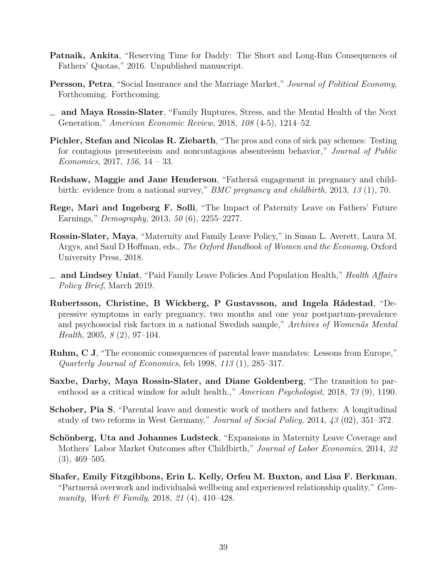- **Patnaik, Ankita**, "Reserving Time for Daddy: The Short and Long-Run Consequences of Fathers' Quotas," 2016. Unpublished manuscript.
- **Persson, Petra**, "Social Insurance and the Marriage Market," *Journal of Political Economy*, Forthcoming. Forthcoming.
- **and Maya Rossin-Slater**, "Family Ruptures, Stress, and the Mental Health of the Next Generation," *American Economic Review*, 2018, *108* (4-5), 1214–52.
- **Pichler, Stefan and Nicolas R. Ziebarth**, "The pros and cons of sick pay schemes: Testing for contagious presenteeism and noncontagious absenteeism behavior," *Journal of Public Economics*, 2017, *156*, 14 – 33.
- **Redshaw, Maggie and Jane Henderson**, "Fathersâ engagement in pregnancy and childbirth: evidence from a national survey," *BMC pregnancy and childbirth*, 2013, *13* (1), 70.
- **Rege, Mari and Ingeborg F. Solli**, "The Impact of Paternity Leave on Fathers' Future Earnings," *Demography*, 2013, *50* (6), 2255–2277.
- **Rossin-Slater, Maya**, "Maternity and Family Leave Policy," in Susan L. Averett, Laura M. Argys, and Saul D Hoffman, eds., *The Oxford Handbook of Women and the Economy*, Oxford University Press, 2018.
- **and Lindsey Uniat**, "Paid Family Leave Policies And Population Health," *Health Affairs Policy Brief*, March 2019.
- **Rubertsson, Christine, B Wickberg, P Gustavsson, and Ingela Rådestad**, "Depressive symptoms in early pregnancy, two months and one year postpartum-prevalence and psychosocial risk factors in a national Swedish sample," *Archives of Womenâs Mental Health*, 2005, *8* (2), 97–104.
- **Ruhm, C J**, "The economic consequences of parental leave mandates: Lessons from Europe," *Quarterly Journal of Economics*, feb 1998, *113* (1), 285–317.
- **Saxbe, Darby, Maya Rossin-Slater, and Diane Goldenberg**, "The transition to parenthood as a critical window for adult health.," *American Psychologist*, 2018, *73* (9), 1190.
- **Schober, Pia S**, "Parental leave and domestic work of mothers and fathers: A longitudinal study of two reforms in West Germany," *Journal of Social Policy*, 2014, *43* (02), 351–372.
- **Schönberg, Uta and Johannes Ludsteck**, "Expansions in Maternity Leave Coverage and Mothers' Labor Market Outcomes after Childbirth," *Journal of Labor Economics*, 2014, *32*  $(3), 469 - 505.$
- **Shafer, Emily Fitzgibbons, Erin L. Kelly, Orfeu M. Buxton, and Lisa F. Berkman**, "Partnersâ overwork and individualsâ wellbeing and experienced relationship quality," *Community, Work & Family*, 2018, *21* (4), 410–428.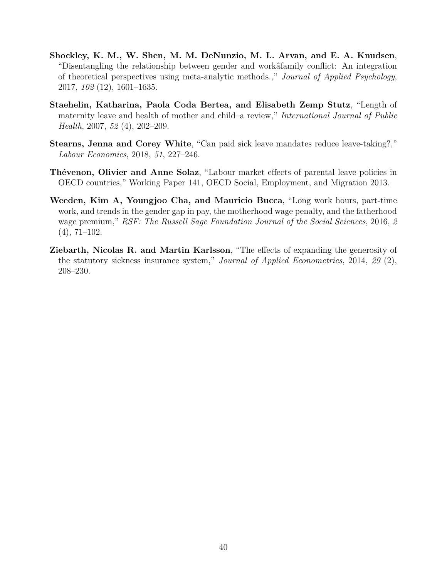- **Shockley, K. M., W. Shen, M. M. DeNunzio, M. L. Arvan, and E. A. Knudsen**, "Disentangling the relationship between gender and workâfamily conflict: An integration of theoretical perspectives using meta-analytic methods.," *Journal of Applied Psychology*, 2017, *102* (12), 1601–1635.
- **Staehelin, Katharina, Paola Coda Bertea, and Elisabeth Zemp Stutz**, "Length of maternity leave and health of mother and child–a review," *International Journal of Public Health*, 2007, *52* (4), 202–209.
- **Stearns, Jenna and Corey White**, "Can paid sick leave mandates reduce leave-taking?," *Labour Economics*, 2018, *51*, 227–246.
- **Thévenon, Olivier and Anne Solaz**, "Labour market effects of parental leave policies in OECD countries," Working Paper 141, OECD Social, Employment, and Migration 2013.
- **Weeden, Kim A, Youngjoo Cha, and Mauricio Bucca**, "Long work hours, part-time work, and trends in the gender gap in pay, the motherhood wage penalty, and the fatherhood wage premium," *RSF: The Russell Sage Foundation Journal of the Social Sciences*, 2016, *2* (4), 71–102.
- **Ziebarth, Nicolas R. and Martin Karlsson**, "The effects of expanding the generosity of the statutory sickness insurance system," *Journal of Applied Econometrics*, 2014, *29* (2), 208–230.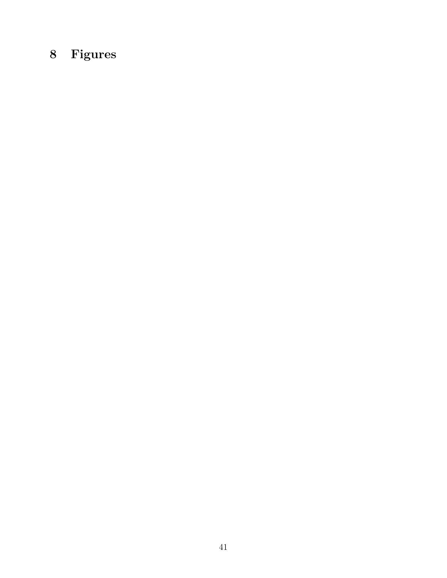# **8 Figures**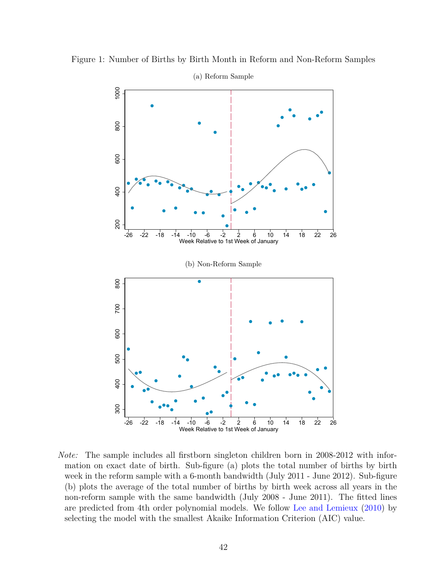

Figure 1: Number of Births by Birth Month in Reform and Non-Reform Samples

*Note:* The sample includes all firstborn singleton children born in 2008-2012 with information on exact date of birth. Sub-figure (a) plots the total number of births by birth week in the reform sample with a 6-month bandwidth (July 2011 - June 2012). Sub-figure (b) plots the average of the total number of births by birth week across all years in the non-reform sample with the same bandwidth (July 2008 - June 2011). The fitted lines are predicted from 4th order polynomial models. We follow [Lee and Lemieux](#page-39-0) [\(2010\)](#page-39-0) by selecting the model with the smallest Akaike Information Criterion (AIC) value.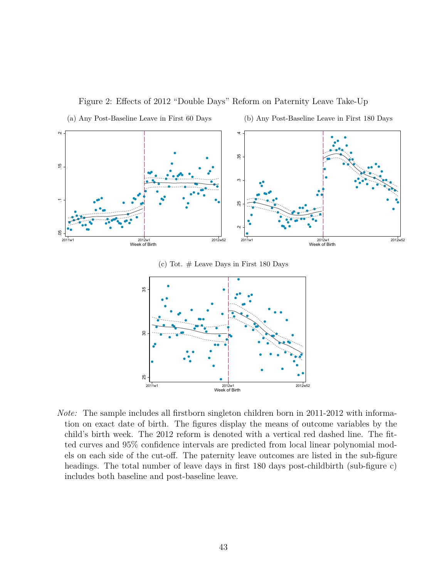

Figure 2: Effects of 2012 "Double Days" Reform on Paternity Leave Take-Up

(c) Tot.  $#$  Leave Days in First 180 Days



*Note:* The sample includes all firstborn singleton children born in 2011-2012 with information on exact date of birth. The figures display the means of outcome variables by the child's birth week. The 2012 reform is denoted with a vertical red dashed line. The fitted curves and 95% confidence intervals are predicted from local linear polynomial models on each side of the cut-off. The paternity leave outcomes are listed in the sub-figure headings. The total number of leave days in first 180 days post-childbirth (sub-figure c) includes both baseline and post-baseline leave.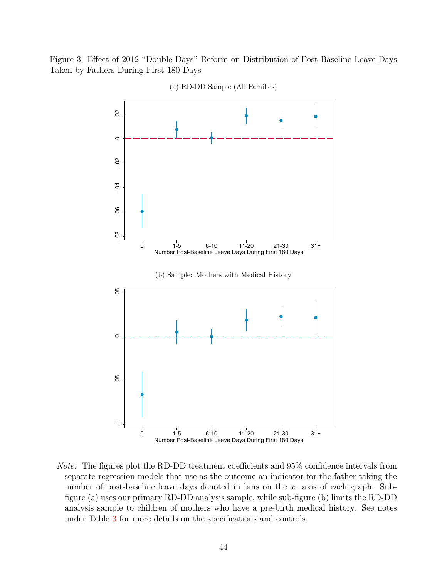Figure 3: Effect of 2012 "Double Days" Reform on Distribution of Post-Baseline Leave Days Taken by Fathers During First 180 Days



(a) RD-DD Sample (All Families)

*Note:* The figures plot the RD-DD treatment coefficients and 95% confidence intervals from separate regression models that use as the outcome an indicator for the father taking the number of post-baseline leave days denoted in bins on the *x*−axis of each graph. Subfigure (a) uses our primary RD-DD analysis sample, while sub-figure (b) limits the RD-DD analysis sample to children of mothers who have a pre-birth medical history. See notes under Table [3](#page-52-0) for more details on the specifications and controls.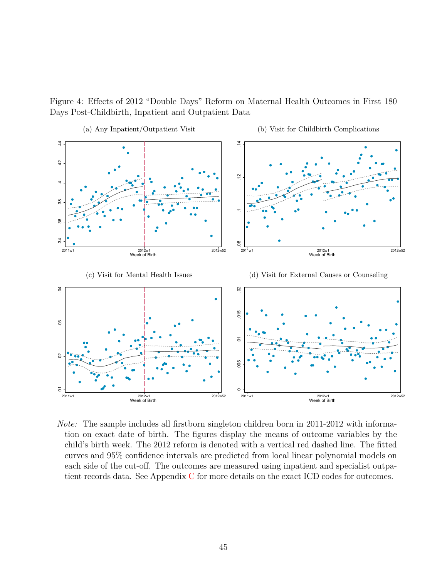



*Note:* The sample includes all firstborn singleton children born in 2011-2012 with information on exact date of birth. The figures display the means of outcome variables by the child's birth week. The 2012 reform is denoted with a vertical red dashed line. The fitted curves and 95% confidence intervals are predicted from local linear polynomial models on each side of the cut-off. The outcomes are measured using inpatient and specialist outpatient records data. See Appendix [C](#page-74-0) for more details on the exact ICD codes for outcomes.

2011w1 2012w1 2012w52

Week of Birth

2011w1 2012w1 2012w52

Week of Birth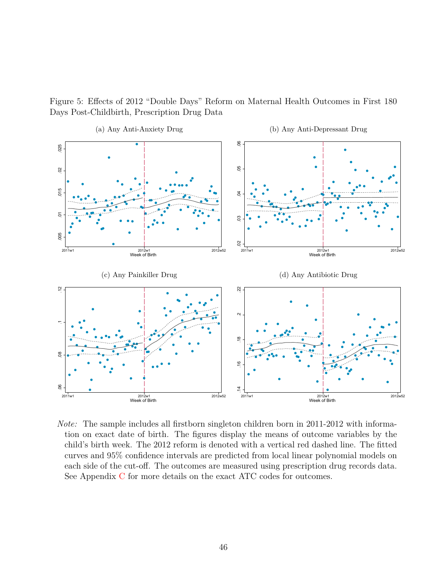![](_page_47_Figure_0.jpeg)

![](_page_47_Figure_1.jpeg)

*Note:* The sample includes all firstborn singleton children born in 2011-2012 with information on exact date of birth. The figures display the means of outcome variables by the child's birth week. The 2012 reform is denoted with a vertical red dashed line. The fitted curves and 95% confidence intervals are predicted from local linear polynomial models on each side of the cut-off. The outcomes are measured using prescription drug records data. See Appendix [C](#page-74-0) for more details on the exact ATC codes for outcomes.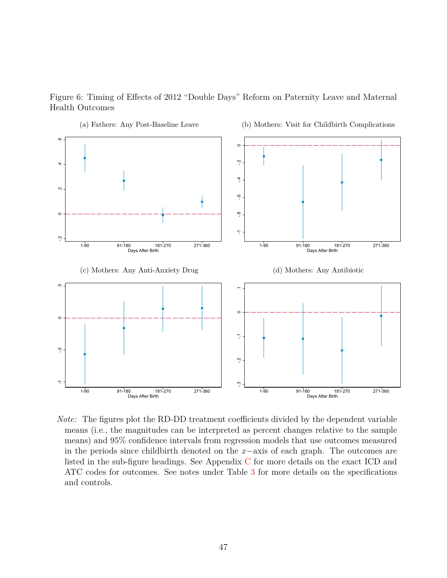![](_page_48_Figure_0.jpeg)

Figure 6: Timing of Effects of 2012 "Double Days" Reform on Paternity Leave and Maternal Health Outcomes

*Note:* The figures plot the RD-DD treatment coefficients divided by the dependent variable means (i.e., the magnitudes can be interpreted as percent changes relative to the sample means) and 95% confidence intervals from regression models that use outcomes measured in the periods since childbirth denoted on the *x*−axis of each graph. The outcomes are listed in the sub-figure headings. See Appendix [C](#page-74-0) for more details on the exact ICD and ATC codes for outcomes. See notes under Table [3](#page-52-0) for more details on the specifications and controls.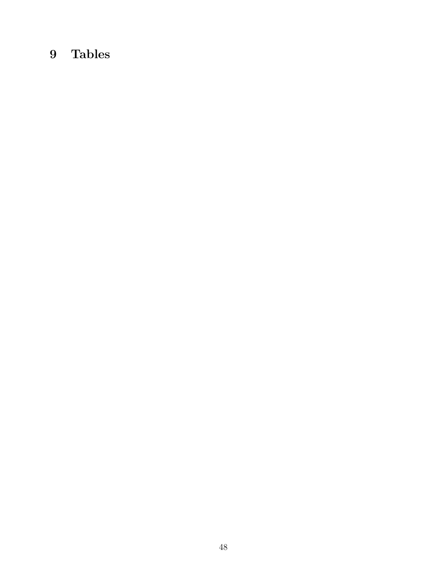## **9 Tables**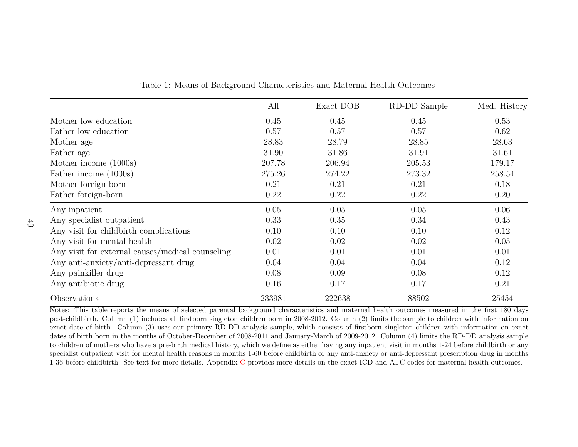|                                                  | All    | Exact DOB | RD-DD Sample | Med. History |
|--------------------------------------------------|--------|-----------|--------------|--------------|
| Mother low education                             | 0.45   | 0.45      | 0.45         | 0.53         |
| Father low education                             | 0.57   | 0.57      | 0.57         | 0.62         |
| Mother age                                       | 28.83  | 28.79     | 28.85        | 28.63        |
| Father age                                       | 31.90  | 31.86     | 31.91        | 31.61        |
| Mother income (1000s)                            | 207.78 | 206.94    | 205.53       | 179.17       |
| Father income (1000s)                            | 275.26 | 274.22    | 273.32       | 258.54       |
| Mother foreign-born                              | 0.21   | 0.21      | 0.21         | 0.18         |
| Father foreign-born                              | 0.22   | 0.22      | 0.22         | 0.20         |
| Any inpatient                                    | 0.05   | 0.05      | 0.05         | 0.06         |
| Any specialist outpatient                        | 0.33   | 0.35      | 0.34         | 0.43         |
| Any visit for childbirth complications           | 0.10   | 0.10      | 0.10         | 0.12         |
| Any visit for mental health                      | 0.02   | 0.02      | 0.02         | 0.05         |
| Any visit for external causes/medical counseling | 0.01   | 0.01      | 0.01         | 0.01         |
| Any anti-anxiety/anti-depressant drug            | 0.04   | 0.04      | 0.04         | 0.12         |
| Any painkiller drug                              | 0.08   | 0.09      | 0.08         | 0.12         |
| Any antibiotic drug                              | 0.16   | 0.17      | 0.17         | 0.21         |
| Observations                                     | 233981 | 222638    | 88502        | 25454        |

Table 1: Means of Background Characteristics and Maternal Health Outcomes

Notes: This table reports the means of selected parental background characteristics and maternal health outcomes measured in the first <sup>180</sup> days post-childbirth. Column (1) includes all firstborn singleton children born in 2008-2012. Column (2) limits the sample to children with information on exact date of birth. Column (3) uses our primary RD-DD analysis sample, which consists of firstborn singleton children with information on exact dates of birth born in the months of October-December of 2008-2011 and January-March of 2009-2012. Column (4) limits the RD-DD analysis sample to children of mothers who have <sup>a</sup> pre-birth medical history, which we define as either having any inpatient visit in months 1-24 before childbirth or any specialist outpatient visit for mental health reasons in months 1-60 before childbirth or any anti-anxiety or anti-depressant prescription drug in months $1\text{-}36$  before childbirth. See text for more details. Appendix [C](#page-74-1) provides more details on the exact ICD and ATC codes for maternal health outcomes.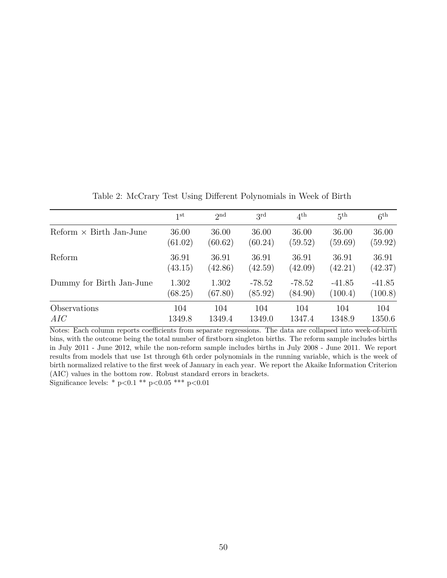|                                              | 1 <sup>st</sup>  | 2 <sub>nd</sub>  | $3^{\rm rd}$        | $4^{\text{th}}$     | 5 <sup>th</sup>     | 6 <sup>th</sup>     |
|----------------------------------------------|------------------|------------------|---------------------|---------------------|---------------------|---------------------|
| $\text{Reform} \times \text{Birth Jan-June}$ | 36.00<br>(61.02) | 36.00<br>(60.62) | 36.00<br>(60.24)    | 36.00<br>(59.52)    | 36.00<br>(59.69)    | 36.00<br>(59.92)    |
| Reform                                       | 36.91<br>(43.15) | 36.91<br>(42.86) | 36.91<br>(42.59)    | 36.91<br>(42.09)    | 36.91<br>(42.21)    | 36.91<br>(42.37)    |
| Dummy for Birth Jan-June                     | 1.302<br>(68.25) | 1.302<br>(67.80) | $-78.52$<br>(85.92) | $-78.52$<br>(84.90) | $-41.85$<br>(100.4) | $-41.85$<br>(100.8) |
| Observations                                 | 104              | 104              | 104                 | 104                 | 104                 | 104                 |
| AIC                                          | 1349.8           | 1349.4           | 1349.0              | 1347.4              | 1348.9              | 1350.6              |

Table 2: McCrary Test Using Different Polynomials in Week of Birth

Notes: Each column reports coefficients from separate regressions. The data are collapsed into week-of-birth bins, with the outcome being the total number of firstborn singleton births. The reform sample includes births in July 2011 - June 2012, while the non-reform sample includes births in July 2008 - June 2011. We report results from models that use 1st through 6th order polynomials in the running variable, which is the week of birth normalized relative to the first week of January in each year. We report the Akaike Information Criterion (AIC) values in the bottom row. Robust standard errors in brackets. Significance levels: \* p*<*0.1 \*\* p*<*0.05 \*\*\* p*<*0.01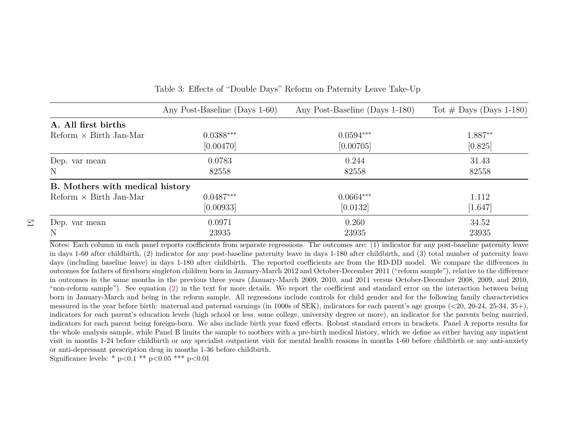|                                 | Any Post-Baseline (Days 1-60) | Any Post-Baseline (Days 1-180) | Tot $#$ Days (Days 1-180) |
|---------------------------------|-------------------------------|--------------------------------|---------------------------|
| A. All first births             |                               |                                |                           |
| $Reform \times Birth Jan-Mar$   | $0.0388***$                   | $0.0594***$                    | 1.887**                   |
|                                 | [0.00470]                     | [0.00705]                      | [0.825]                   |
| Dep. var mean                   | 0.0783                        | 0.244                          | 31.43                     |
| N                               | 82558                         | 82558                          | 82558                     |
| B. Mothers with medical history |                               |                                |                           |
| $Reform \times Birth$ Jan-Mar   | $0.0487***$                   | $0.0664***$                    | 1.112                     |
|                                 | [0.00933]                     | [0.0132]                       | [1.647]                   |
| Dep. var mean                   | 0.0971                        | 0.260                          | 34.52                     |
| N                               | 23935                         | 23935                          | 23935                     |

<span id="page-52-1"></span><span id="page-52-0"></span>

|  | Table 3: Effects of "Double Days" Reform on Paternity Leave Take-Up |  |  |  |  |
|--|---------------------------------------------------------------------|--|--|--|--|
|  |                                                                     |  |  |  |  |

Notes: Each column in each pane<sup>l</sup> reports coefficients from separate regressions. The outcomes are: (1) indicator for any post-baseline paternity leave in days 1-60 after childbirth, (2) indicator for any post-baseline paternity leave in days 1-180 after childbirth, and (3) total number of paternity leave days (including baseline leave) in days 1-180 after childbirth. The reported coefficients are from the RD-DD model. We compare the differences in outcomes for fathers of firstborn singleton children born in January-March <sup>2012</sup> and October-December <sup>2011</sup> ("reform sample"), relative to the difference in outcomes in the same months in the previous three years (January-March 2009, 2010, and <sup>2011</sup> versus October-December 2008, 2009, and 2010,"non-reform sample"). See equation [\(2\)](#page-22-0) in the text for more details. We report the coefficient and standard error on the interaction between being born in January-March and being in the reform sample. All regressions include controls for child gender and for the following family characteristics measured in the year before birth: maternal and paternal earnings (in 1000s of SEK), indicators for each parent's age groups (*<*20, 20-24, 25-34, 35+), indicators for each parent's education levels (high school or less, some college, university degree or more), an indicator for the parents being married,indicators for each parent being foreign-born. We also include birth year fixed effects. Robust standard errors in brackets. Panel A reports results for the whole analysis sample, while Panel B limits the sample to mothers with <sup>a</sup> pre-birth medical history, which we define as either having any inpatient visit in months 1-24 before childbirth or any specialist outpatient visit for mental health reasons in months 1-60 before childbirth or any anti-anxietyor anti-depressant prescription drug in months 1-36 before childbirth.

Significance levels: \* <sup>p</sup>*<*0.1 \*\* <sup>p</sup>*<*0.05 \*\*\* <sup>p</sup>*<*0.01

 $\overline{c}$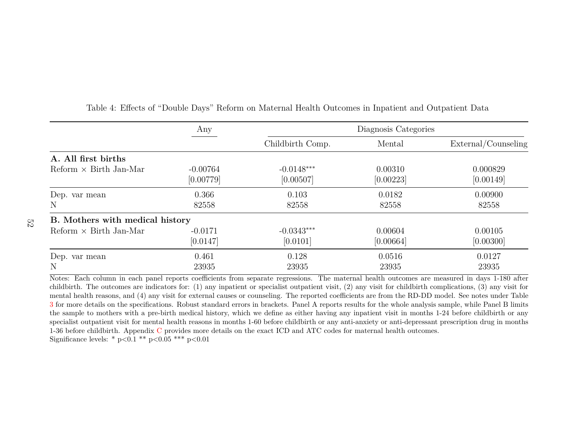|                                                                                  | Any                     |                           | Diagnosis Categories |                                                               |
|----------------------------------------------------------------------------------|-------------------------|---------------------------|----------------------|---------------------------------------------------------------|
|                                                                                  |                         | Childbirth Comp.          | Mental               | External/Counseling                                           |
| A. All first births                                                              |                         |                           |                      |                                                               |
| $Reform \times Birth Jan-Mar$                                                    | $-0.00764$<br>[0.00779] | $-0.0148***$<br>[0.00507] | 0.00310<br>[0.00223] | 0.000829<br>[0.00149]                                         |
| Dep. var mean                                                                    | 0.366                   | 0.103                     | 0.0182               | 0.00900                                                       |
| Ν                                                                                | 82558                   | 82558                     | 82558                | 82558                                                         |
| B. Mothers with medical history                                                  |                         |                           |                      |                                                               |
| $Reform \times Birth Jan-Mar$                                                    | $-0.0171$               | $-0.0343***$              | 0.00604              | 0.00105                                                       |
|                                                                                  | [0.0147]                | [0.0101]                  | [0.00664]            | [0.00300]                                                     |
| Dep. var mean                                                                    | 0.461                   | 0.128                     | 0.0516               | 0.0127                                                        |
| N                                                                                | 23935                   | 23935                     | 23935                | 23935                                                         |
| Notes: Each column in each panel reports coefficients from separate regressions. |                         |                           |                      | The maternal health outcomes are measured in days 1-180 after |

#### Table 4: Effects of "Double Days" Reform on Maternal Health Outcomes in Inpatient and Outpatient Data

 childbirth. The outcomes are indicators for: (1) any inpatient or specialist outpatient visit, (2) any visit for childbirth complications, (3) any visit for mental health reasons, and (4) any visit for external causes or counseling. The reported coefficients are from the RD-DD model. See notes under Table [3](#page-52-1) for more details on the specifications. Robust standard errors in brackets. Panel <sup>A</sup> reports results for the whole analysis sample, while Panel <sup>B</sup> limits the sample to mothers with <sup>a</sup> pre-birth medical history, which we define as either having any inpatient visit in months 1-24 before childbirth or any specialist outpatient visit for mental health reasons in months 1-60 before childbirth or any anti-anxiety or anti-depressant prescription drug in months1-36 before childbirth. Appendix [C](#page-74-1) provides more details on the exact ICD and ATC codes for maternal health outcomes. Significance levels: \* <sup>p</sup>*<*0.1 \*\* <sup>p</sup>*<*0.05 \*\*\* <sup>p</sup>*<*0.01

52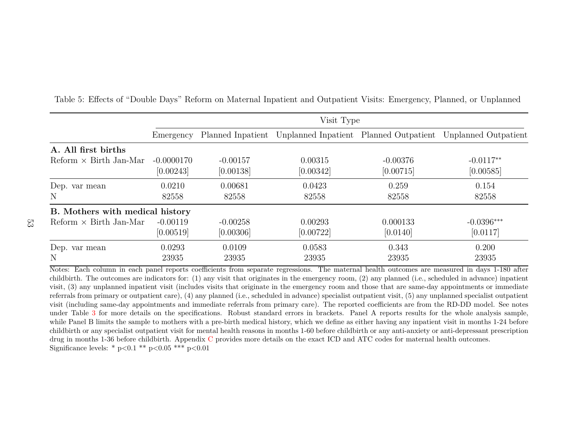|                                                                                                                                                | Visit Type                |                         |                      |                         |                                                                               |  |  |  |
|------------------------------------------------------------------------------------------------------------------------------------------------|---------------------------|-------------------------|----------------------|-------------------------|-------------------------------------------------------------------------------|--|--|--|
|                                                                                                                                                | Emergency                 |                         |                      |                         | Planned Inpatient Unplanned Inpatient Planned Outpatient Unplanned Outpatient |  |  |  |
| A. All first births                                                                                                                            |                           |                         |                      |                         |                                                                               |  |  |  |
| $Reform \times Birth Jan-Mar$                                                                                                                  | $-0.0000170$<br>[0.00243] | $-0.00157$<br>[0.00138] | 0.00315<br>[0.00342] | $-0.00376$<br>[0.00715] | $-0.0117**$<br>[0.00585]                                                      |  |  |  |
| Dep. var mean<br>$\mathbf N$                                                                                                                   | 0.0210<br>82558           | 0.00681<br>82558        | 0.0423<br>82558      | 0.259<br>82558          | 0.154<br>82558                                                                |  |  |  |
| B. Mothers with medical history                                                                                                                |                           |                         |                      |                         |                                                                               |  |  |  |
| $Reform \times Birth Jan-Mar$                                                                                                                  | $-0.00119$<br>[0.00519]   | $-0.00258$<br>[0.00306] | 0.00293<br>[0.00722] | 0.000133<br>[0.0140]    | $-0.0396***$<br>[0.0117]                                                      |  |  |  |
| Dep. var mean<br>$\mathbf N$                                                                                                                   | 0.0293<br>23935           | 0.0109<br>23935         | 0.0583<br>23935      | 0.343<br>23935          | 0.200<br>23935                                                                |  |  |  |
| Notes: Each column in each panel reports coefficients from separate regressions. The maternal health outcomes are measured in days 1-180 after |                           |                         |                      |                         |                                                                               |  |  |  |

Table 5: Effects of "Double Days" Reform on Maternal Inpatient and Outpatient Visits: Emergency, Planned, or Unplanned

 childbirth. The outcomes are indicators for: (1) any visit that originates in the emergency room, (2) any <sup>p</sup>lanned (i.e., scheduled in advance) inpatient visit, (3) any unplanned inpatient visit (includes visits that originate in the emergency room and those that are same-day appointments or immediate referrals from primary or outpatient care), (4) any <sup>p</sup>lanned (i.e., scheduled in advance) specialist outpatient visit, (5) any unplanned specialist outpatient visit (including same-day appointments and immediate referrals from primary care). The reported coefficients are from the RD-DD model. See notes under Table [3](#page-52-1) for more details on the specifications. Robust standard errors in brackets. Panel <sup>A</sup> reports results for the whole analysis sample, while Panel B limits the sample to mothers with a pre-birth medical history, which we define as either having any inpatient visit in months 1-24 before childbirth or any specialist outpatient visit for mental health reasons in months 1-60 before childbirth or any anti-anxiety or anti-depressant prescriptiondrug in months 1-36 before childbirth. Appendix [C](#page-74-1) provides more details on the exact ICD and ATC codes for maternal health outcomes. Significance levels: \* <sup>p</sup>*<*0.1 \*\* <sup>p</sup>*<*0.05 \*\*\* <sup>p</sup>*<*0.01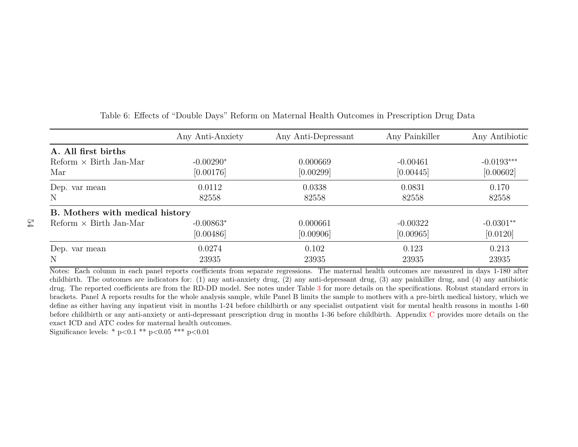|                                 | Any Anti-Anxiety | Any Anti-Depressant                                                                                                                            | Any Painkiller | Any Antibiotic |
|---------------------------------|------------------|------------------------------------------------------------------------------------------------------------------------------------------------|----------------|----------------|
| A. All first births             |                  |                                                                                                                                                |                |                |
| $Reform \times Birth Jan-Mar$   | $-0.00290*$      | 0.000669                                                                                                                                       | $-0.00461$     | $-0.0193***$   |
| Mar                             | [0.00176]        | [0.00299]                                                                                                                                      | [0.00445]      | [0.00602]      |
| Dep. var mean                   | 0.0112           | 0.0338                                                                                                                                         | 0.0831         | 0.170          |
| N                               | 82558            | 82558                                                                                                                                          | 82558          | 82558          |
| B. Mothers with medical history |                  |                                                                                                                                                |                |                |
| $Reform \times Birth Jan-Mar$   | $-0.00863*$      | 0.000661                                                                                                                                       | $-0.00322$     | $-0.0301**$    |
|                                 | [0.00486]        | [0.00906]                                                                                                                                      | [0.00965]      | [0.0120]       |
| Dep. var mean                   | 0.0274           | 0.102                                                                                                                                          | 0.123          | 0.213          |
| N                               | 23935            | 23935                                                                                                                                          | 23935          | 23935          |
|                                 |                  | Notes: Each column in each panel reports coefficients from separate regressions. The maternal health outcomes are measured in days 1-180 after |                |                |

#### Table 6: Effects of "Double Days" Reform on Maternal Health Outcomes in Prescription Drug Data

 childbirth. The outcomes are indicators for: (1) any anti-anxiety drug, (2) any anti-depressant drug, (3) any painkiller drug, and (4) any antibiotic drug. The reported coefficients are from the RD-DD model. See notes under Table [3](#page-52-1) for more details on the specifications. Robust standard errors in brackets. Panel A reports results for the whole analysis sample, while Panel B limits the sample to mothers with <sup>a</sup> pre-birth medical history, which we define as either having any inpatient visit in months 1-24 before childbirth or any specialist outpatient visit for mental health reasons in months 1-60before childbirth or any anti-anxiety or anti-depressant prescription drug in months 1-36 before childbirth. Appendix [C](#page-74-1) provides more details on the exact ICD and ATC codes for maternal health outcomes.

Significance levels: \* <sup>p</sup>*<*0.1 \*\* <sup>p</sup>*<*0.05 \*\*\* <sup>p</sup>*<*0.01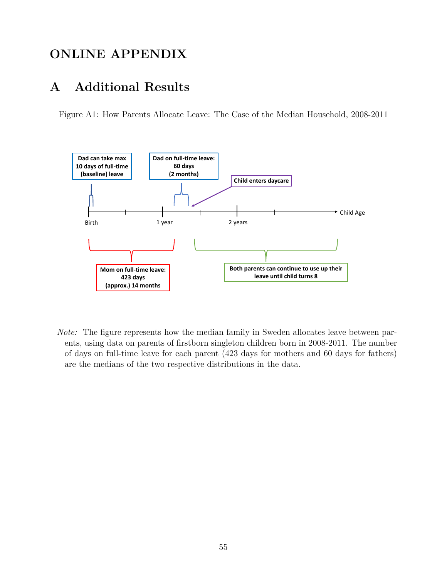## **ONLINE APPENDIX**

### **A Additional Results**

Figure A1: How Parents Allocate Leave: The Case of the Median Household, 2008-2011

![](_page_56_Figure_3.jpeg)

*Note:* The figure represents how the median family in Sweden allocates leave between parents, using data on parents of firstborn singleton children born in 2008-2011. The number of days on full-time leave for each parent (423 days for mothers and 60 days for fathers) are the medians of the two respective distributions in the data.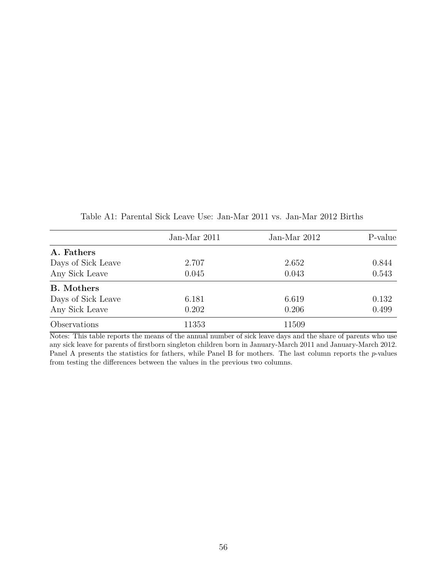|                    | Jan-Mar 2011 | Jan-Mar 2012 | P-value |
|--------------------|--------------|--------------|---------|
| A. Fathers         |              |              |         |
| Days of Sick Leave | 2.707        | 2.652        | 0.844   |
| Any Sick Leave     | 0.045        | 0.043        | 0.543   |
| <b>B.</b> Mothers  |              |              |         |
| Days of Sick Leave | 6.181        | 6.619        | 0.132   |
| Any Sick Leave     | 0.202        | 0.206        | 0.499   |
| Observations       | 11353        | 11509        |         |

Table A1: Parental Sick Leave Use: Jan-Mar 2011 vs. Jan-Mar 2012 Births

Notes: This table reports the means of the annual number of sick leave days and the share of parents who use any sick leave for parents of firstborn singleton children born in January-March 2011 and January-March 2012. Panel A presents the statistics for fathers, while Panel B for mothers. The last column reports the *p*-values from testing the differences between the values in the previous two columns.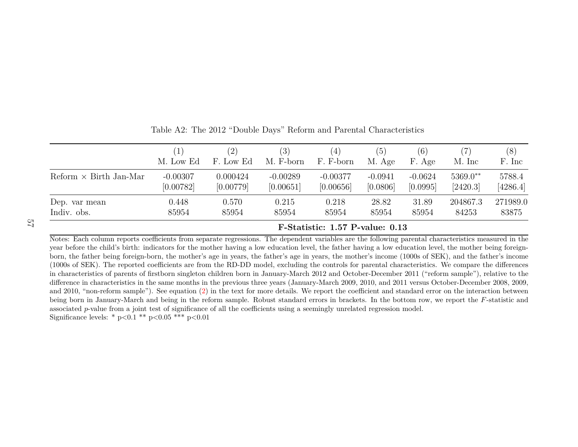|                               |            | (2)       | (3)        | $\left(4\right)$                | (5)       | (6)       |            | (8)      |
|-------------------------------|------------|-----------|------------|---------------------------------|-----------|-----------|------------|----------|
|                               | M. Low Ed  | F. Low Ed | M. F-born  | F. F-born                       | M. Age    | F. Age    | M. Inc     | F. Inc.  |
| Reform $\times$ Birth Jan-Mar | $-0.00307$ | 0.000424  | $-0.00289$ | $-0.00377$                      | $-0.0941$ | $-0.0624$ | $5369.0**$ | 5788.4   |
|                               | [0.00782]  | [0.00779] | [0.00651]  | [0.00656]                       | [0.0806]  | [0.0995]  | [2420.3]   | [4286.4] |
| Dep. var mean                 | 0.448      | 0.570     | 0.215      | 0.218                           | 28.82     | 31.89     | 204867.3   | 271989.0 |
| Indiv. obs.                   | 85954      | 85954     | 85954      | 85954                           | 85954     | 85954     | 84253      | 83875    |
|                               |            |           |            | F-Statistic: 1.57 P-value: 0.13 |           |           |            |          |

Table A2: The 2012 "Double Days" Reform and Parental Characteristics

 Notes: Each column reports coefficients from separate regressions. The dependent variables are the following parental characteristics measured in the year before the child's birth: indicators for the mother having <sup>a</sup> low education level, the father having <sup>a</sup> low education level, the mother being foreignborn, the father being foreign-born, the mother's age in years, the father's age in years, the mother's income (1000s of SEK), and the father's income (1000s of SEK). The reported coefficients are from the RD-DD model, excluding the controls for parental characteristics. We compare the differences in characteristics of parents of firstborn singleton children born in January-March <sup>2012</sup> and October-December <sup>2011</sup> ("reform sample"), relative to the difference in characteristics in the same months in the previous three years (January-March 2009, 2010, and <sup>2011</sup> versus October-December 2008, 2009,and 2010, "non-reform sample"). See equation ([2\)](#page-22-0) in the text for more details. We report the coefficient and standard error on the interaction between being born in January-March and being in the reform sample. Robust standard errors in brackets. In the bottom row, we report the *<sup>F</sup>*-statistic andassociated *p*-value from a joint test of significance of all the coefficients using a seemingly unrelated regression model. Significance levels: \* <sup>p</sup>*<*0.1 \*\* <sup>p</sup>*<*0.05 \*\*\* <sup>p</sup>*<*0.01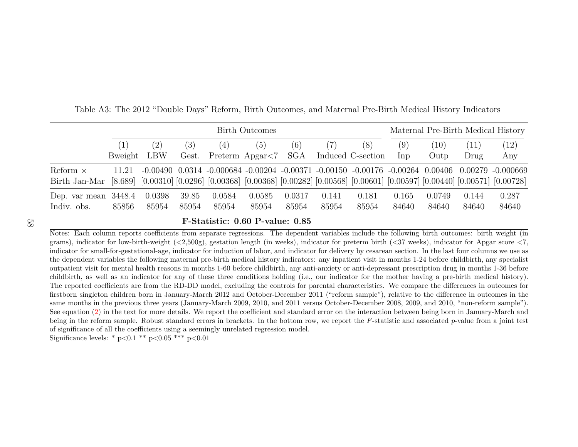|                        | <b>Birth Outcomes</b> |        |       |                                                                                                                                              |        |        |       |                   |       | Maternal Pre-Birth Medical History |       |       |
|------------------------|-----------------------|--------|-------|----------------------------------------------------------------------------------------------------------------------------------------------|--------|--------|-------|-------------------|-------|------------------------------------|-------|-------|
|                        |                       | (2)    | (3)   | (4)                                                                                                                                          | (5)    | (6)    |       | (8)               | (9)   | (10)                               | (11)  | (12)  |
|                        | Bweight LBW           |        | Gest. | Preterm $\text{A} \text{p} \text{g} \text{ar} < 7$ SGA                                                                                       |        |        |       | Induced C-section | Inp   | Outp                               | Drug  | Any   |
| Reform $\times$        | 11.21                 |        |       | $-0.00490$ $0.0314$ $-0.000684$ $-0.00204$ $-0.00371$ $-0.00150$ $-0.00176$ $-0.00264$ $0.00406$ $0.00279$ $-0.000669$                       |        |        |       |                   |       |                                    |       |       |
| Birth Jan-Mar          |                       |        |       | $[8.689]$ $[0.00310]$ $[0.0296]$ $[0.00368]$ $[0.00368]$ $[0.00282]$ $[0.00568]$ $[0.00601]$ $[0.00597]$ $[0.00440]$ $[0.00571]$ $[0.00728]$ |        |        |       |                   |       |                                    |       |       |
| Dep. var mean $3448.4$ |                       | 0.0398 | 39.85 | 0.0584                                                                                                                                       | 0.0585 | 0.0317 | 0.141 | 0.181             | 0.165 | 0.0749                             | 0.144 | 0.287 |
| Indiv. obs.            | 85856                 | 85954  | 85954 | 85954                                                                                                                                        | 85954  | 85954  | 85954 | 85954             | 84640 | 84640                              | 84640 | 84640 |

Table A3: The 2012 "Double Days" Reform, Birth Outcomes, and Maternal Pre-Birth Medical History Indicators

#### 58

#### **F-Statistic: 0.60 P-value: 0.85**

 Notes: Each column reports coefficients from separate regressions. The dependent variables include the following birth outcomes: birth weight (in grams), indicator for low-birth-weight (*<*2,500g), gestation length (in weeks), indicator for preterm birth (*<*<sup>37</sup> weeks), indicator for Apgar score *<sup>&</sup>lt;*7, indicator for small-for-gestational-age, indicator for induction of labor, and indicator for delivery by cesarean section. In the last four columns we use as the dependent variables the following maternal pre-birth medical history indicators: any inpatient visit in months 1-24 before childbirth, any specialist outpatient visit for mental health reasons in months 1-60 before childbirth, any anti-anxiety or anti-depressant prescription drug in months 1-36 before childbirth, as well as an indicator for any of these three conditions holding (i.e., our indicator for the mother having <sup>a</sup> pre-birth medical history). The reported coefficients are from the RD-DD model, excluding the controls for parental characteristics. We compare the differences in outcomes for firstborn singleton children born in January-March <sup>2012</sup> and October-December <sup>2011</sup> ("reform sample"), relative to the difference in outcomes in the same months in the previous three years (January-March 2009, 2010, and <sup>2011</sup> versus October-December 2008, 2009, and 2010, "non-reform sample").See equation [\(2\)](#page-22-0) in the text for more details. We report the coefficient and standard error on the interaction between being born in January-March and being in the reform sample. Robust standard errors in brackets. In the bottom row, we report the *<sup>F</sup>*-statistic and associated *<sup>p</sup>*-value from <sup>a</sup> joint test of significance of all the coefficients using <sup>a</sup> seemingly unrelated regression model.

Significance levels: \* <sup>p</sup>*<*0.1 \*\* <sup>p</sup>*<*0.05 \*\*\* <sup>p</sup>*<*0.01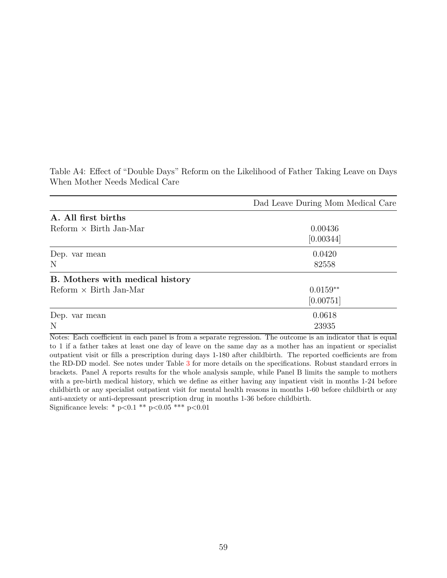|                                 | Dad Leave During Mom Medical Care |
|---------------------------------|-----------------------------------|
| A. All first births             |                                   |
| Reform $\times$ Birth Jan-Mar   | 0.00436                           |
|                                 | [0.00344]                         |
| Dep. var mean                   | 0.0420                            |
| N                               | 82558                             |
| B. Mothers with medical history |                                   |
| $Reform \times Birth$ Jan-Mar   | $0.0159**$                        |
|                                 | [0.00751]                         |
| Dep. var mean                   | 0.0618                            |
| N                               | 23935                             |

Table A4: Effect of "Double Days" Reform on the Likelihood of Father Taking Leave on Days When Mother Needs Medical Care

Notes: Each coefficient in each panel is from a separate regression. The outcome is an indicator that is equal to 1 if a father takes at least one day of leave on the same day as a mother has an inpatient or specialist outpatient visit or fills a prescription during days 1-180 after childbirth. The reported coefficients are from the RD-DD model. See notes under Table [3](#page-52-0) for more details on the specifications. Robust standard errors in brackets. Panel A reports results for the whole analysis sample, while Panel B limits the sample to mothers with a pre-birth medical history, which we define as either having any inpatient visit in months 1-24 before childbirth or any specialist outpatient visit for mental health reasons in months 1-60 before childbirth or any anti-anxiety or anti-depressant prescription drug in months 1-36 before childbirth. Significance levels: \* p*<*0.1 \*\* p*<*0.05 \*\*\* p*<*0.01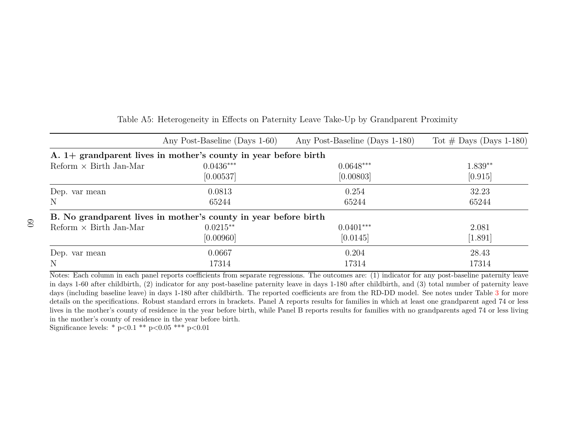|                                             | Any Post-Baseline (Days 1-60)                                     | Any Post-Baseline (Days 1-180)                                                                                                                         | Tot $\#$ Days (Days 1-180) |
|---------------------------------------------|-------------------------------------------------------------------|--------------------------------------------------------------------------------------------------------------------------------------------------------|----------------------------|
|                                             | A. $1+$ grandparent lives in mother's county in year before birth |                                                                                                                                                        |                            |
| $\text{Reform} \times \text{Birth Jan-Mar}$ | $0.0436***$                                                       | $0.0648***$                                                                                                                                            | $1.839**$                  |
|                                             | [0.00537]                                                         | [0.00803]                                                                                                                                              | [0.915]                    |
| Dep. var mean                               | 0.0813                                                            | 0.254                                                                                                                                                  | 32.23                      |
| N                                           | 65244                                                             | 65244                                                                                                                                                  | 65244                      |
|                                             | B. No grandparent lives in mother's county in year before birth   |                                                                                                                                                        |                            |
| $Reform \times Birth Jan-Mar$               | $0.0215**$                                                        | $0.0401***$                                                                                                                                            | 2.081                      |
|                                             | [0.00960]                                                         | [0.0145]                                                                                                                                               | [1.891]                    |
| Dep. var mean                               | 0.0667                                                            | 0.204                                                                                                                                                  | 28.43                      |
| $\mathbf N$                                 | 17314                                                             | 17314                                                                                                                                                  | 17314                      |
|                                             |                                                                   | Notes: Each column in each panel reports coefficients from separate regressions. The outcomes are: (1) indicator for any post-baseline paternity leave |                            |

#### Table A5: Heterogeneity in Effects on Paternity Leave Take-Up by Grandparent Proximity

 in days 1-60 after childbirth, (2) indicator for any post-baseline paternity leave in days 1-180 after childbirth, and (3) total number of paternity leave days (including baseline leave) in days 1-180 after childbirth. The reported coefficients are from the RD-DD model. See notes under Table [3](#page-52-1) for more details on the specifications. Robust standard errors in brackets. Panel A reports results for families in which at least one grandparent aged 74 or less lives in the mother's county of residence in the year before birth, while Panel B reports results for families with no grandparents aged 74 or less livingin the mother's county of residence in the year before birth.

Significance levels: \* <sup>p</sup>*<*0.1 \*\* <sup>p</sup>*<*0.05 \*\*\* <sup>p</sup>*<*0.01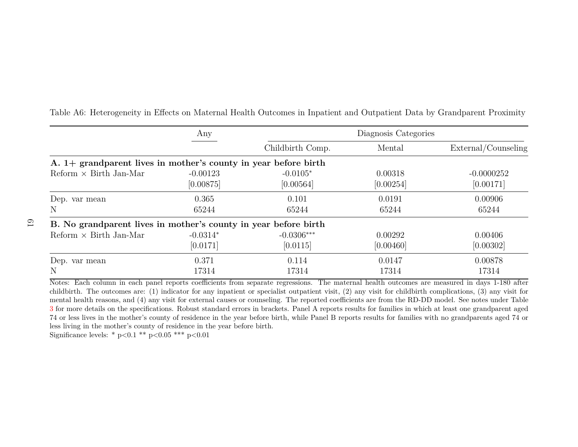|                                                                                                                                                | Any                     |                         | Diagnosis Categories |                           |
|------------------------------------------------------------------------------------------------------------------------------------------------|-------------------------|-------------------------|----------------------|---------------------------|
|                                                                                                                                                |                         | Childbirth Comp.        | Mental               | External/Counseling       |
| A. $1+$ grandparent lives in mother's county in year before birth                                                                              |                         |                         |                      |                           |
| $Reform \times Birth Jan-Mar$                                                                                                                  | $-0.00123$<br>[0.00875] | $-0.0105*$<br>[0.00564] | 0.00318<br>[0.00254] | $-0.0000252$<br>[0.00171] |
| Dep. var mean                                                                                                                                  | 0.365                   | 0.101                   | 0.0191               | 0.00906                   |
| N                                                                                                                                              | 65244                   | 65244                   | 65244                | 65244                     |
| B. No grandparent lives in mother's county in year before birth                                                                                |                         |                         |                      |                           |
| $Reform \times Birth Jan-Mar$                                                                                                                  | $-0.0314*$              | $-0.0306***$            | 0.00292              | 0.00406                   |
|                                                                                                                                                | [0.0171]                | [0.0115]                | [0.00460]            | [0.00302]                 |
| Dep. var mean                                                                                                                                  | 0.371                   | 0.114                   | 0.0147               | 0.00878                   |
| N                                                                                                                                              | 17314                   | 17314                   | 17314                | 17314                     |
| Notes: Each column in each panel reports coefficients from separate regressions. The maternal health outcomes are measured in days 1-180 after |                         |                         |                      |                           |

Table A6: Heterogeneity in Effects on Maternal Health Outcomes in Inpatient and Outpatient Data by Grandparent Proximity

 childbirth. The outcomes are: (1) indicator for any inpatient or specialist outpatient visit, (2) any visit for childbirth complications, (3) any visit for mental health reasons, and (4) any visit for external causes or counseling. The reported coefficients are from the RD-DD model. See notes under Table [3](#page-52-1) for more details on the specifications. Robust standard errors in brackets. Panel <sup>A</sup> reports results for families in which at least one grandparent aged 74 or less lives in the mother's county of residence in the year before birth, while Panel B reports results for families with no grandparents aged 74 orless living in the mother's county of residence in the year before birth.

Significance levels: \* <sup>p</sup>*<*0.1 \*\* <sup>p</sup>*<*0.05 \*\*\* <sup>p</sup>*<*0.01

61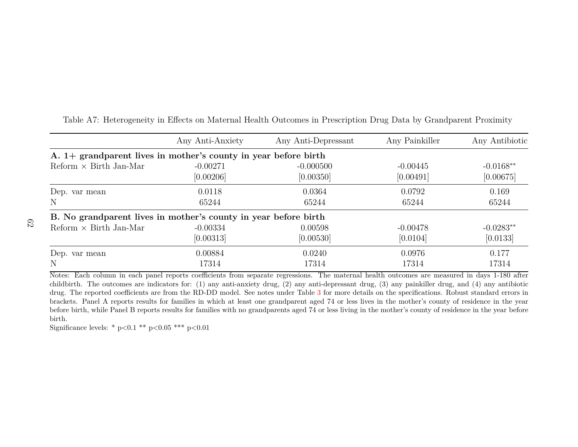|                                                                   | Any Anti-Anxiety | Any Anti-Depressant                                                                                                                            | Any Painkiller | Any Antibiotic |  |  |  |  |  |  |  |  |
|-------------------------------------------------------------------|------------------|------------------------------------------------------------------------------------------------------------------------------------------------|----------------|----------------|--|--|--|--|--|--|--|--|
| A. $1+$ grandparent lives in mother's county in year before birth |                  |                                                                                                                                                |                |                |  |  |  |  |  |  |  |  |
| Reform $\times$ Birth Jan-Mar                                     | $-0.00271$       | $-0.000500$                                                                                                                                    | $-0.00445$     | $-0.0168**$    |  |  |  |  |  |  |  |  |
|                                                                   | [0.00206]        | [0.00350]                                                                                                                                      | [0.00491]      | [0.00675]      |  |  |  |  |  |  |  |  |
| Dep. var mean                                                     | 0.0118           | 0.0364                                                                                                                                         | 0.0792         | 0.169          |  |  |  |  |  |  |  |  |
| N                                                                 | 65244            | 65244                                                                                                                                          | 65244          | 65244          |  |  |  |  |  |  |  |  |
| B. No grandparent lives in mother's county in year before birth   |                  |                                                                                                                                                |                |                |  |  |  |  |  |  |  |  |
| $Reform \times Birth Jan-Mar$                                     | $-0.00334$       | 0.00598                                                                                                                                        | $-0.00478$     | $-0.0283**$    |  |  |  |  |  |  |  |  |
|                                                                   | [0.00313]        | [0.00530]                                                                                                                                      | [0.0104]       | [0.0133]       |  |  |  |  |  |  |  |  |
| Dep. var mean                                                     | 0.00884          | 0.0240                                                                                                                                         | 0.0976         | 0.177          |  |  |  |  |  |  |  |  |
| N                                                                 | 17314            | 17314                                                                                                                                          | 17314          | 17314          |  |  |  |  |  |  |  |  |
|                                                                   |                  | Notes: Each column in each panel reports coefficients from separate regressions. The maternal health outcomes are measured in days 1-180 after |                |                |  |  |  |  |  |  |  |  |

Table A7: Heterogeneity in Effects on Maternal Health Outcomes in Prescription Drug Data by Grandparent Proximity

 childbirth. The outcomes are indicators for: (1) any anti-anxiety drug, (2) any anti-depressant drug, (3) any painkiller drug, and (4) any antibiotic drug. The reported coefficients are from the RD-DD model. See notes under Table [3](#page-52-1) for more details on the specifications. Robust standard errors in brackets. Panel A reports results for families in which at least one grandparent aged 74 or less lives in the mother's county of residence in the year before birth, while Panel B reports results for families with no grandparents aged 74 or less living in the mother's county of residence in the year beforebirth.

Significance levels: \* <sup>p</sup>*<*0.1 \*\* <sup>p</sup>*<*0.05 \*\*\* <sup>p</sup>*<*0.01

62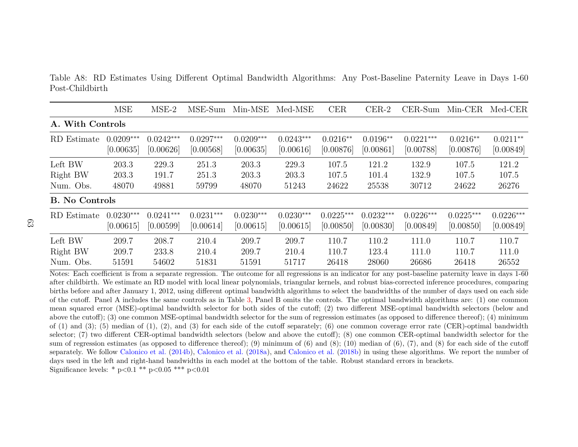Table A8: RD Estimates Using Different Optimal Bandwidth Algorithms: Any Post-Baseline Paternity Leave in Days 1-60Post-Childbirth

|                       | <b>MSE</b>               | $MSE-2$                  | MSE-Sum                  | Min-MSE                  | Med-MSE                  | <b>CER</b>               | $CER-2$                  | $CER-Sum$                | $Min-CER$                | Med-CER                  |
|-----------------------|--------------------------|--------------------------|--------------------------|--------------------------|--------------------------|--------------------------|--------------------------|--------------------------|--------------------------|--------------------------|
| A. With Controls      |                          |                          |                          |                          |                          |                          |                          |                          |                          |                          |
| RD Estimate           | $0.0209***$<br>[0.00635] | $0.0242***$<br>[0.00626] | $0.0297***$<br>[0.00568] | $0.0209***$<br>[0.00635] | $0.0243***$<br>[0.00616] | $0.0216**$<br>[0.00876]  | $0.0196**$<br>[0.00861]  | $0.0221***$<br>[0.00788] | $0.0216**$<br>[0.00876]  | $0.0211**$<br>[0.00849]  |
| Left BW               | 203.3                    | 229.3                    | 251.3                    | 203.3                    | 229.3                    | 107.5                    | 121.2                    | 132.9                    | 107.5                    | 121.2                    |
| Right BW              | 203.3                    | 191.7                    | 251.3                    | 203.3                    | 203.3                    | 107.5                    | 101.4                    | 132.9                    | 107.5                    | 107.5                    |
| Num. Obs.             | 48070                    | 49881                    | 59799                    | 48070                    | 51243                    | 24622                    | 25538                    | 30712                    | 24622                    | 26276                    |
| <b>B.</b> No Controls |                          |                          |                          |                          |                          |                          |                          |                          |                          |                          |
| RD Estimate           | $0.0230***$<br>[0.00615] | $0.0241***$<br>[0.00599] | $0.0231***$<br>[0.00614] | $0.0230***$<br>[0.00615] | $0.0230***$<br>[0.00615] | $0.0225***$<br>[0.00850] | $0.0232***$<br>[0.00830] | $0.0226***$<br>[0.00849] | $0.0225***$<br>[0.00850] | $0.0226***$<br>[0.00849] |
| Left BW               | 209.7                    | 208.7                    | 210.4                    | 209.7                    | 209.7                    | 110.7                    | 110.2                    | 111.0                    | 110.7                    | 110.7                    |
| Right BW              | 209.7                    | 233.8                    | 210.4                    | 209.7                    | 210.4                    | 110.7                    | 123.4                    | 111.0                    | 110.7                    | 111.0                    |
| Num. Obs.             | 51591                    | 54602                    | 51831                    | 51591                    | 51717                    | 26418                    | 28060                    | 26686                    | 26418                    | 26552                    |

Notes: Each coefficient is from <sup>a</sup> separate regression. The outcome for all regressions is an indicator for any post-baseline paternity leave in days 1-60 after childbirth. We estimate an RD model with local linear polynomials, triangular kernels, and robust bias-corrected inference procedures, comparing births before and after January 1, 2012, using different optimal bandwidth algorithms to select the bandwidths of the number of days used on each side of the cutoff. Panel A includes the same controls as in Table [3,](#page-52-1) Panel <sup>B</sup> omits the controls. The optimal bandwidth algorithms are: (1) one common mean squared error (MSE)-optimal bandwidth selector for both sides of the cutoff; (2) two different MSE-optimal bandwidth selectors (below and above the cutoff); (3) one common MSE-optimal bandwidth selector for the sum of regression estimates (as opposed to difference thereof); (4) minimumof  $(1)$  and  $(3)$ ;  $(5)$  median of  $(1)$ ,  $(2)$ , and  $(3)$  for each side of the cutoff separately;  $(6)$  one common coverage error rate (CER)-optimal bandwidth selector; (7) two different CER-optimal bandwidth selectors (below and above the cutoff); (8) one common CER-optimal bandwidth selector for the sum of regression estimates (as opposed to difference thereof); (9) minimum of (6) and (8); (10) median of (6), (7), and (8) for each side of the cutoff separately. We follow [Calonico](#page-36-0) et al. [\(2014b\)](#page-36-0), [Calonico](#page-36-1) et al. [\(2018a\)](#page-36-1), and [Calonico](#page-36-2) et al. [\(2018b\)](#page-36-2) in using these algorithms. We report the number of days used in the left and right-hand bandwidths in each model at the bottom of the table. Robust standard errors in brackets.Significance levels: \* <sup>p</sup>*<*0.1 \*\* <sup>p</sup>*<*0.05 \*\*\* <sup>p</sup>*<*0.01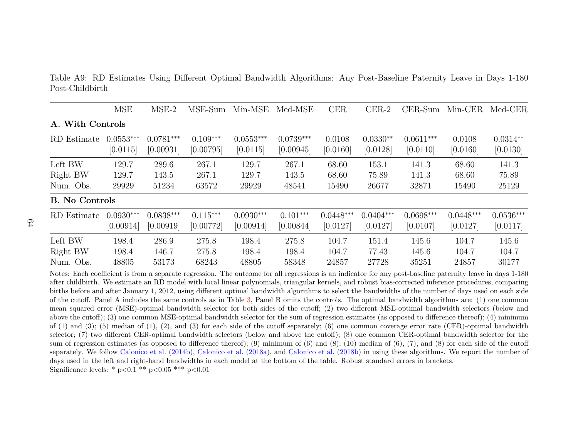Table A9: RD Estimates Using Different Optimal Bandwidth Algorithms: Any Post-Baseline Paternity Leave in Days 1-180Post-Childbirth

|                       | <b>MSE</b>  | $MSE-2$     | MSE-Sum    | Min-MSE     | Med-MSE     | <b>CER</b>  | $CER-2$     | $CER-Sum$   | $Min-CER$   | Med-CER     |
|-----------------------|-------------|-------------|------------|-------------|-------------|-------------|-------------|-------------|-------------|-------------|
| A. With Controls      |             |             |            |             |             |             |             |             |             |             |
| RD Estimate           | $0.0553***$ | $0.0781***$ | $0.109***$ | $0.0553***$ | $0.0739***$ | 0.0108      | $0.0330**$  | $0.0611***$ | 0.0108      | $0.0314**$  |
|                       | [0.0115]    | [0.00931]   | [0.00795]  | [0.0115]    | [0.00945]   | [0.0160]    | [0.0128]    | [0.0110]    | [0.0160]    | [0.0130]    |
| Left BW               | 129.7       | 289.6       | 267.1      | 129.7       | 267.1       | 68.60       | 153.1       | 141.3       | 68.60       | 141.3       |
| Right BW              | 129.7       | 143.5       | 267.1      | 129.7       | 143.5       | 68.60       | 75.89       | 141.3       | 68.60       | 75.89       |
| Num. Obs.             | 29929       | 51234       | 63572      | 29929       | 48541       | 15490       | 26677       | 32871       | 15490       | 25129       |
| <b>B.</b> No Controls |             |             |            |             |             |             |             |             |             |             |
| RD Estimate           | $0.0930***$ | $0.0838***$ | $0.115***$ | $0.0930***$ | $0.101***$  | $0.0448***$ | $0.0404***$ | $0.0698***$ | $0.0448***$ | $0.0536***$ |
|                       | [0.00914]   | [0.00919]   | [0.00772]  | [0.00914]   | [0.00844]   | [0.0127]    | [0.0127]    | [0.0107]    | [0.0127]    | [0.0117]    |
| Left BW               | 198.4       | 286.9       | 275.8      | 198.4       | 275.8       | 104.7       | 151.4       | 145.6       | 104.7       | 145.6       |
| Right BW              | 198.4       | 146.7       | 275.8      | 198.4       | 198.4       | 104.7       | 77.43       | 145.6       | 104.7       | 104.7       |
| Num. Obs.             | 48805       | 53173       | 68243      | 48805       | 58348       | 24857       | 27728       | 35251       | 24857       | 30177       |

 Notes: Each coefficient is from <sup>a</sup> separate regression. The outcome for all regressions is an indicator for any post-baseline paternity leave in days 1-180 after childbirth. We estimate an RD model with local linear polynomials, triangular kernels, and robust bias-corrected inference procedures, comparing births before and after January 1, 2012, using different optimal bandwidth algorithms to select the bandwidths of the number of days used on each side of the cutoff. Panel A includes the same controls as in Table [3,](#page-52-1) Panel <sup>B</sup> omits the controls. The optimal bandwidth algorithms are: (1) one common mean squared error (MSE)-optimal bandwidth selector for both sides of the cutoff; (2) two different MSE-optimal bandwidth selectors (below and above the cutoff); (3) one common MSE-optimal bandwidth selector for the sum of regression estimates (as opposed to difference thereof); (4) minimumof  $(1)$  and  $(3)$ ;  $(5)$  median of  $(1)$ ,  $(2)$ , and  $(3)$  for each side of the cutoff separately;  $(6)$  one common coverage error rate (CER)-optimal bandwidth selector; (7) two different CER-optimal bandwidth selectors (below and above the cutoff); (8) one common CER-optimal bandwidth selector for the sum of regression estimates (as opposed to difference thereof); (9) minimum of (6) and (8); (10) median of (6), (7), and (8) for each side of the cutoff separately. We follow [Calonico](#page-36-0) et al. [\(2014b\)](#page-36-0), [Calonico](#page-36-1) et al. [\(2018a\)](#page-36-1), and [Calonico](#page-36-2) et al. [\(2018b\)](#page-36-2) in using these algorithms. We report the number of days used in the left and right-hand bandwidths in each model at the bottom of the table. Robust standard errors in brackets.Significance levels: \* <sup>p</sup>*<*0.1 \*\* <sup>p</sup>*<*0.05 \*\*\* <sup>p</sup>*<*0.01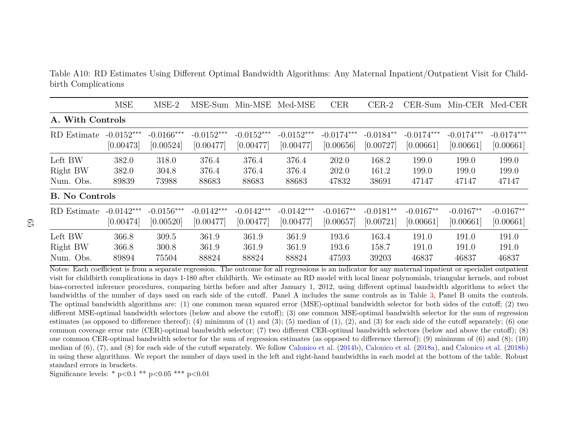Table A10: RD Estimates Using Different Optimal Bandwidth Algorithms: Any Maternal Inpatient/Outpatient Visit for Childbirth Complications

|                       | <b>MSE</b>   | $MSE-2$      | MSE-Sum      | $Min\text{-MSE}$ | Med-MSE      | <b>CER</b>   | $CER-2$     |              | CER-Sum Min-CER | Med-CER      |
|-----------------------|--------------|--------------|--------------|------------------|--------------|--------------|-------------|--------------|-----------------|--------------|
| A. With Controls      |              |              |              |                  |              |              |             |              |                 |              |
| RD Estimate           | $-0.0152***$ | $-0.0166***$ | $-0.0152***$ | $-0.0152***$     | $-0.0152***$ | $-0.0174***$ | $-0.0184**$ | $-0.0174***$ | $-0.0174***$    | $-0.0174***$ |
|                       | [0.00473]    | [0.00524]    | [0.00477]    | [0.00477]        | [0.00477]    | [0.00656]    | [0.00727]   | [0.00661]    | [0.00661]       | [0.00661]    |
| Left BW               | 382.0        | 318.0        | 376.4        | 376.4            | 376.4        | 202.0        | 168.2       | 199.0        | 199.0           | 199.0        |
| Right BW              | 382.0        | 304.8        | 376.4        | 376.4            | 376.4        | 202.0        | 161.2       | 199.0        | 199.0           | 199.0        |
| Num. Obs.             | 89839        | 73988        | 88683        | 88683            | 88683        | 47832        | 38691       | 47147        | 47147           | 47147        |
| <b>B.</b> No Controls |              |              |              |                  |              |              |             |              |                 |              |
| RD Estimate           | $-0.0142***$ | $-0.0156***$ | $-0.0142***$ | $-0.0142***$     | $-0.0142***$ | $-0.0167**$  | $-0.0181**$ | $-0.0167**$  | $-0.0167**$     | $-0.0167**$  |
|                       | [0.00474]    | [0.00520]    | [0.00477]    | [0.00477]        | [0.00477]    | [0.00657]    | [0.00721]   | [0.00661]    | [0.00661]       | [0.00661]    |
| Left BW               | 366.8        | 309.5        | 361.9        | 361.9            | 361.9        | 193.6        | 163.4       | 191.0        | 191.0           | 191.0        |
| Right BW              | 366.8        | 300.8        | 361.9        | 361.9            | 361.9        | 193.6        | 158.7       | 191.0        | 191.0           | 191.0        |
| Num. Obs.             | 89894        | 75504        | 88824        | 88824            | 88824        | 47593        | 39203       | 46837        | 46837           | 46837        |

Notes: Each coefficient is from <sup>a</sup> separate regression. The outcome for all regressions is an indicator for any maternal inpatient or specialist outpatient visit for childbirth complications in days 1-180 after childbirth. We estimate an RD model with local linear polynomials, triangular kernels, and robust bias-corrected inference procedures, comparing births before and after January 1, 2012, using different optimal bandwidth algorithms to select the bandwidths of the number of days used on each side of the cutoff. Panel A includes the same controls as in Table [3,](#page-52-1) Panel <sup>B</sup> omits the controls. The optimal bandwidth algorithms are: (1) one common mean squared error (MSE)-optimal bandwidth selector for both sides of the cutoff; (2) two different MSE-optimal bandwidth selectors (below and above the cutoff); (3) one common MSE-optimal bandwidth selector for the sum of regressionestimates (as opposed to difference thereof); (4) minimum of (1) and (3); (5) median of (1), (2), and (3) for each side of the cutoff separately; (6) one common coverage error rate (CER)-optimal bandwidth selector; (7) two different CER-optimal bandwidth selectors (below and above the cutoff); (8) one common CER-optimal bandwidth selector for the sum of regression estimates (as opposed to difference thereof); (9) minimum of (6) and (8); (10)median of  $(6)$ ,  $(7)$ , and  $(8)$  for each side of the cutoff separately. We follow [Calonico](#page-36-2) et al.  $(2014b)$ , Calonico et al.  $(2018a)$ , and Calonico et al.  $(2018b)$ in using these algorithms. We report the number of days used in the left and right-hand bandwidths in each model at the bottom of the table. Robuststandard errors in brackets.

Significance levels: \* <sup>p</sup>*<*0.1 \*\* <sup>p</sup>*<*0.05 \*\*\* <sup>p</sup>*<*0.01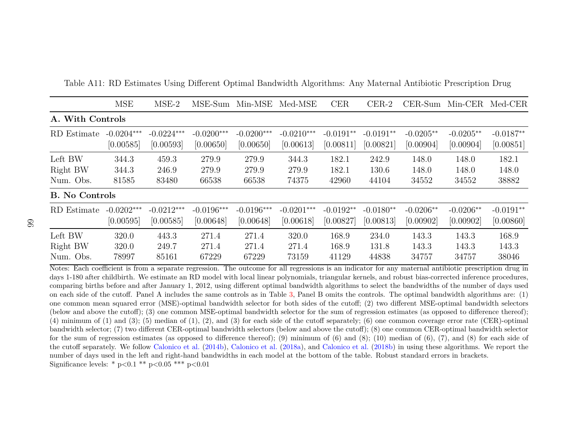|                       | <b>MSE</b>   | $MSE-2$      | MSE-Sum      | Min-MSE      | Med-MSE      | <b>CER</b>  | $CER-2$     | $CER-Sum$   | $Min-CER$   | Med-CER     |
|-----------------------|--------------|--------------|--------------|--------------|--------------|-------------|-------------|-------------|-------------|-------------|
| A. With Controls      |              |              |              |              |              |             |             |             |             |             |
| RD Estimate           | $-0.0204***$ | $-0.0224***$ | $-0.0200***$ | $-0.0200***$ | $-0.0210***$ | $-0.0191**$ | $-0.0191**$ | $-0.0205**$ | $-0.0205**$ | $-0.0187**$ |
|                       | [0.00585]    | [0.00593]    | [0.00650]    | [0.00650]    | [0.00613]    | [0.00811]   | [0.00821]   | [0.00904]   | [0.00904]   | [0.00851]   |
| Left BW               | 344.3        | 459.3        | 279.9        | 279.9        | 344.3        | 182.1       | 242.9       | 148.0       | 148.0       | 182.1       |
| Right BW              | 344.3        | 246.9        | 279.9        | 279.9        | 279.9        | 182.1       | 130.6       | 148.0       | 148.0       | 148.0       |
| Num. Obs.             | 81585        | 83480        | 66538        | 66538        | 74375        | 42960       | 44104       | 34552       | 34552       | 38882       |
| <b>B.</b> No Controls |              |              |              |              |              |             |             |             |             |             |
| RD Estimate           | $-0.0202***$ | $-0.0212***$ | $-0.0196***$ | $-0.0196***$ | $-0.0201***$ | $-0.0192**$ | $-0.0180**$ | $-0.0206**$ | $-0.0206**$ | $-0.0191**$ |
|                       | [0.00595]    | [0.00585]    | [0.00648]    | [0.00648]    | [0.00618]    | [0.00827]   | [0.00813]   | [0.00902]   | [0.00902]   | [0.00860]   |
| Left BW               | 320.0        | 443.3        | 271.4        | 271.4        | 320.0        | 168.9       | 234.0       | 143.3       | 143.3       | 168.9       |
| Right BW              | 320.0        | 249.7        | 271.4        | 271.4        | 271.4        | 168.9       | 131.8       | 143.3       | 143.3       | 143.3       |
| Num. Obs.             | 78997        | 85161        | 67229        | 67229        | 73159        | 41129       | 44838       | 34757       | 34757       | 38046       |

Table A11: RD Estimates Using Different Optimal Bandwidth Algorithms: Any Maternal Antibiotic Prescription Drug

Notes: Each coefficient is from <sup>a</sup> separate regression. The outcome for all regressions is an indicator for any maternal antibiotic prescription drug in days 1-180 after childbirth. We estimate an RD model with local linear polynomials, triangular kernels, and robust bias-corrected inference procedures, comparing births before and after January 1, 2012, using different optimal bandwidth algorithms to select the bandwidths of the number of days used on each side of the cutoff. Panel A includes the same controls as in Table [3,](#page-52-1) Panel <sup>B</sup> omits the controls. The optimal bandwidth algorithms are: (1) one common mean squared error (MSE)-optimal bandwidth selector for both sides of the cutoff; (2) two different MSE-optimal bandwidth selectors (below and above the cutoff); (3) one common MSE-optimal bandwidth selector for the sum of regression estimates (as opposed to difference thereof); $(4)$  minimum of  $(1)$  and  $(3)$ ;  $(5)$  median of  $(1)$ ,  $(2)$ , and  $(3)$  for each side of the cutoff separately;  $(6)$  one common coverage error rate (CER)-optimal bandwidth selector; (7) two different CER-optimal bandwidth selectors (below and above the cutoff); (8) one common CER-optimal bandwidth selector for the sum of regression estimates (as opposed to difference thereof); (9) minimum of (6) and (8); (10) median of (6), (7), and (8) for each side ofthe cutoff separately. We follow [Calonico](#page-36-0) et al. [\(2014b\)](#page-36-0), [Calonico](#page-36-1) et al. [\(2018a\)](#page-36-1), and [Calonico](#page-36-2) et al. [\(2018b\)](#page-36-2) in using these algorithms. We report the number of days used in the left and right-hand bandwidths in each model at the bottom of the table. Robust standard errors in brackets.Significance levels: \* <sup>p</sup>*<*0.1 \*\* <sup>p</sup>*<*0.05 \*\*\* <sup>p</sup>*<*0.01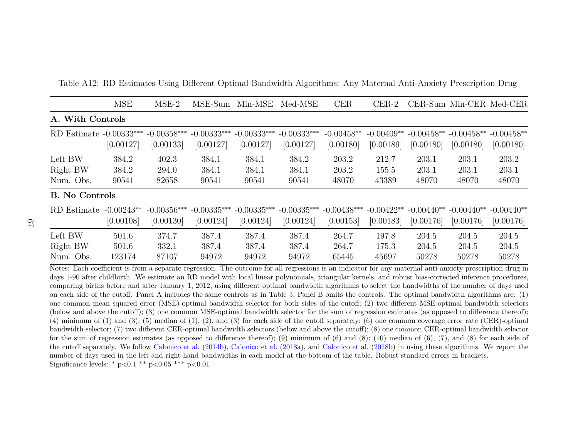|                                  | <b>MSE</b>                | $MSE-2$                    | MSE-Sum                    | $Min\text{-MSE}$           | Med-MSE                    | CER                        | $CER-2$                   |                           |                           | CER-Sum Min-CER Med-CER   |
|----------------------------------|---------------------------|----------------------------|----------------------------|----------------------------|----------------------------|----------------------------|---------------------------|---------------------------|---------------------------|---------------------------|
| A. With Controls                 |                           |                            |                            |                            |                            |                            |                           |                           |                           |                           |
| $RD$ Estimate $-0.00333***$      | [0.00127]                 | $-0.00358***$<br>[0.00133] | $-0.00333***$<br>[0.00127] | $-0.00333***$<br>[0.00127] | $-0.00333***$<br>[0.00127] | $-0.00458**$<br>[0.00180]  | $-0.00409**$<br>[0.00189] | $-0.00458**$<br>[0.00180] | $-0.00458**$<br>[0.00180] | $-0.00458**$<br>[0.00180] |
| Left BW<br>Right BW<br>Num. Obs. | 384.2<br>384.2<br>90541   | 402.3<br>294.0<br>82658    | 384.1<br>384.1<br>90541    | 384.1<br>384.1<br>90541    | 384.2<br>384.1<br>90541    | 203.2<br>203.2<br>48070    | 212.7<br>155.5<br>43389   | 203.1<br>203.1<br>48070   | 203.1<br>203.1<br>48070   | 203.2<br>203.1<br>48070   |
| <b>B.</b> No Controls            |                           |                            |                            |                            |                            |                            |                           |                           |                           |                           |
| RD Estimate                      | $-0.00243**$<br>[0.00108] | $-0.00356***$<br>[0.00130] | $-0.00335***$<br>[0.00124] | $-0.00335***$<br>[0.00124] | $-0.00335***$<br>[0.00124] | $-0.00438***$<br>[0.00153] | $-0.00422**$<br>[0.00183] | $-0.00440**$<br>[0.00176] | $-0.00440**$<br>[0.00176] | $-0.00440**$<br>[0.00176] |
| Left BW<br>Right BW<br>Num. Obs. | 501.6<br>501.6<br>123174  | 374.7<br>332.1<br>87107    | 387.4<br>387.4<br>94972    | 387.4<br>387.4<br>94972    | 387.4<br>387.4<br>94972    | 264.7<br>264.7<br>65445    | 197.8<br>175.3<br>45697   | 204.5<br>204.5<br>50278   | 204.5<br>204.5<br>50278   | 204.5<br>204.5<br>50278   |

Table A12: RD Estimates Using Different Optimal Bandwidth Algorithms: Any Maternal Anti-Anxiety Prescription Drug

Notes: Each coefficient is from <sup>a</sup> separate regression. The outcome for all regressions is an indicator for any maternal anti-anxiety prescription drug in days 1-90 after childbirth. We estimate an RD model with local linear polynomials, triangular kernels, and robust bias-corrected inference procedures, comparing births before and after January 1, 2012, using different optimal bandwidth algorithms to select the bandwidths of the number of days used on each side of the cutoff. Panel A includes the same controls as in Table [3,](#page-52-1) Panel <sup>B</sup> omits the controls. The optimal bandwidth algorithms are: (1) one common mean squared error (MSE)-optimal bandwidth selector for both sides of the cutoff; (2) two different MSE-optimal bandwidth selectors (below and above the cutoff); (3) one common MSE-optimal bandwidth selector for the sum of regression estimates (as opposed to difference thereof); $(4)$  minimum of  $(1)$  and  $(3)$ ;  $(5)$  median of  $(1)$ ,  $(2)$ , and  $(3)$  for each side of the cutoff separately;  $(6)$  one common coverage error rate (CER)-optimal bandwidth selector; (7) two different CER-optimal bandwidth selectors (below and above the cutoff); (8) one common CER-optimal bandwidth selector for the sum of regression estimates (as opposed to difference thereof); (9) minimum of (6) and (8); (10) median of (6), (7), and (8) for each side ofthe cutoff separately. We follow [Calonico](#page-36-0) et al. [\(2014b\)](#page-36-0), [Calonico](#page-36-1) et al. [\(2018a\)](#page-36-1), and [Calonico](#page-36-2) et al. [\(2018b\)](#page-36-2) in using these algorithms. We report the number of days used in the left and right-hand bandwidths in each model at the bottom of the table. Robust standard errors in brackets.Significance levels: \* <sup>p</sup>*<*0.1 \*\* <sup>p</sup>*<*0.05 \*\*\* <sup>p</sup>*<*0.01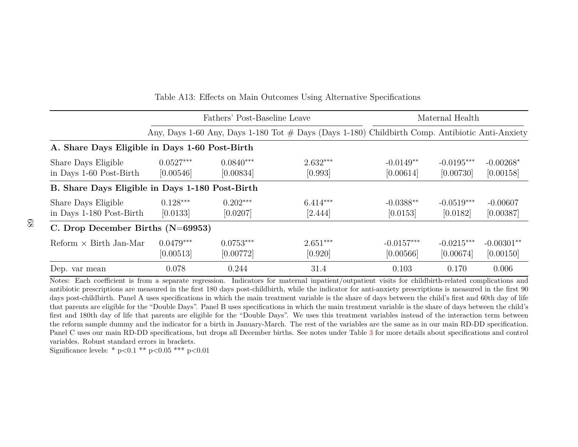|                                                 |                          | Fathers' Post-Baseline Leave | Maternal Health                                                                                 |                           |                           |                           |
|-------------------------------------------------|--------------------------|------------------------------|-------------------------------------------------------------------------------------------------|---------------------------|---------------------------|---------------------------|
|                                                 |                          |                              | Any, Days 1-60 Any, Days 1-180 Tot # Days (Days 1-180) Childbirth Comp. Antibiotic Anti-Anxiety |                           |                           |                           |
| A. Share Days Eligible in Days 1-60 Post-Birth  |                          |                              |                                                                                                 |                           |                           |                           |
| Share Days Eligible<br>in Days 1-60 Post-Birth  | $0.0527***$<br>[0.00546] | $0.0840***$<br>[0.00834]     | $2.632***$<br>[0.993]                                                                           | $-0.0149**$<br>[0.00614]  | $-0.0195***$<br>[0.00730] | $-0.00268*$<br>[0.00158]  |
| B. Share Days Eligible in Days 1-180 Post-Birth |                          |                              |                                                                                                 |                           |                           |                           |
| Share Days Eligible<br>in Days 1-180 Post-Birth | $0.128***$<br>[0.0133]   | $0.202***$<br>[0.0207]       | $6.414***$<br>[2.444]                                                                           | $-0.0388**$<br>[0.0153]   | $-0.0519***$<br>[0.0182]  | $-0.00607$<br>[0.00387]   |
| C. Drop December Births $(N=69953)$             |                          |                              |                                                                                                 |                           |                           |                           |
| $Reform \times Birth$ Jan-Mar                   | $0.0479***$<br>[0.00513] | $0.0753***$<br>[0.00772]     | $2.651***$<br>[0.920]                                                                           | $-0.0157***$<br>[0.00566] | $-0.0215***$<br>[0.00674] | $-0.00301**$<br>[0.00150] |
| Dep. var mean                                   | 0.078                    | 0.244                        | 31.4                                                                                            | 0.103                     | 0.170                     | 0.006                     |

Table A13: Effects on Main Outcomes Using Alternative Specifications

Notes: Each coefficient is from <sup>a</sup> separate regression. Indicators for maternal inpatient/outpatient visits for childbirth-related complications and antibiotic prescriptions are measured in the first 180 days post-childbirth, while the indicator for anti-anxiety prescriptions is measured in the first 90 days post-childbirth. Panel A uses specifications in which the main treatment variable is the share of days between the child's first and 60th day of life that parents are eligible for the "Double Days". Panel B uses specifications in which the main treatment variable is the share of days between the child's first and 180th day of life that parents are eligible for the "Double Days". We uses this treatment variables instead of the interaction term between the reform sample dummy and the indicator for <sup>a</sup> birth in January-March. The rest of the variables are the same as in our main RD-DD specification.Panel C uses our main RD-DD specifications, but drops all December births. See notes under Table [3](#page-52-1) for more details about specifications and control variables. Robust standard errors in brackets.

Significance levels: \* <sup>p</sup>*<*0.1 \*\* <sup>p</sup>*<*0.05 \*\*\* <sup>p</sup>*<*0.01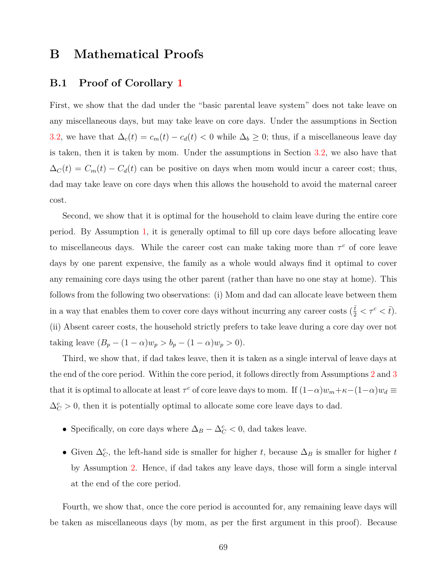### **B Mathematical Proofs**

#### <span id="page-70-0"></span>**B.1 Proof of Corollary [1](#page-14-0)**

First, we show that the dad under the "basic parental leave system" does not take leave on any miscellaneous days, but may take leave on core days. Under the assumptions in Section [3.2,](#page-12-0) we have that  $\Delta_c(t) = c_m(t) - c_d(t) < 0$  while  $\Delta_b \geq 0$ ; thus, if a miscellaneous leave day is taken, then it is taken by mom. Under the assumptions in Section [3.2,](#page-12-0) we also have that  $\Delta_C(t) = C_m(t) - C_d(t)$  can be positive on days when mom would incur a career cost; thus, dad may take leave on core days when this allows the household to avoid the maternal career cost.

Second, we show that it is optimal for the household to claim leave during the entire core period. By Assumption [1,](#page-12-1) it is generally optimal to fill up core days before allocating leave to miscellaneous days. While the career cost can make taking more than  $\tau^c$  of core leave days by one parent expensive, the family as a whole would always find it optimal to cover any remaining core days using the other parent (rather than have no one stay at home). This follows from the following two observations: (i) Mom and dad can allocate leave between them in a way that enables them to cover core days without incurring any career costs  $(\frac{\bar{t}}{2} < \tau^c < \bar{t})$ . (ii) Absent career costs, the household strictly prefers to take leave during a core day over not taking leave  $(B_p - (1 - \alpha)w_p > b_p - (1 - \alpha)w_p > 0)$ .

Third, we show that, if dad takes leave, then it is taken as a single interval of leave days at the end of the core period. Within the core period, it follows directly from Assumptions [2](#page-12-2) and [3](#page-13-0) that it is optimal to allocate at least  $\tau^c$  of core leave days to mom. If  $(1-\alpha)w_m + \kappa - (1-\alpha)w_d \equiv$  $\Delta_C^c > 0$ , then it is potentially optimal to allocate some core leave days to dad.

- Specifically, on core days where  $\Delta_B \Delta_C^c < 0$ , dad takes leave.
- Given  $\Delta_C^c$ , the left-hand side is smaller for higher *t*, because  $\Delta_B$  is smaller for higher *t* by Assumption [2.](#page-12-2) Hence, if dad takes any leave days, those will form a single interval at the end of the core period.

Fourth, we show that, once the core period is accounted for, any remaining leave days will be taken as miscellaneous days (by mom, as per the first argument in this proof). Because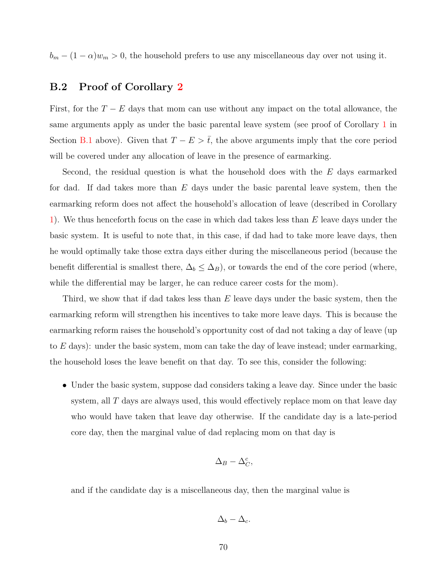$b_m - (1 - \alpha)w_m > 0$ , the household prefers to use any miscellaneous day over not using it.

#### **B.2 Proof of Corollary [2](#page-15-0)**

First, for the  $T - E$  days that mom can use without any impact on the total allowance, the same arguments apply as under the basic parental leave system (see proof of Corollary [1](#page-14-0) in Section [B.1](#page-70-0) above). Given that  $T - E > \overline{t}$ , the above arguments imply that the core period will be covered under any allocation of leave in the presence of earmarking.

Second, the residual question is what the household does with the *E* days earmarked for dad. If dad takes more than *E* days under the basic parental leave system, then the earmarking reform does not affect the household's allocation of leave (described in Corollary [1\)](#page-14-0). We thus henceforth focus on the case in which dad takes less than *E* leave days under the basic system. It is useful to note that, in this case, if dad had to take more leave days, then he would optimally take those extra days either during the miscellaneous period (because the benefit differential is smallest there,  $\Delta_b \leq \Delta_B$ ), or towards the end of the core period (where, while the differential may be larger, he can reduce career costs for the mom).

Third, we show that if dad takes less than *E* leave days under the basic system, then the earmarking reform will strengthen his incentives to take more leave days. This is because the earmarking reform raises the household's opportunity cost of dad not taking a day of leave (up to *E* days): under the basic system, mom can take the day of leave instead; under earmarking, the household loses the leave benefit on that day. To see this, consider the following:

• Under the basic system, suppose dad considers taking a leave day. Since under the basic system, all *T* days are always used, this would effectively replace mom on that leave day who would have taken that leave day otherwise. If the candidate day is a late-period core day, then the marginal value of dad replacing mom on that day is

$$
\Delta_B - \Delta_C^c,
$$

and if the candidate day is a miscellaneous day, then the marginal value is

$$
\Delta_b - \Delta_c.
$$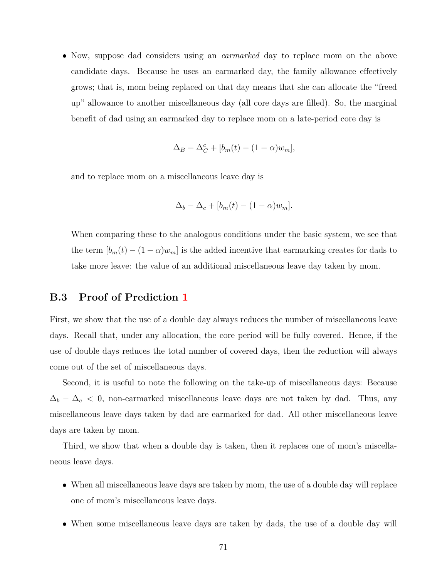• Now, suppose dad considers using an *earmarked* day to replace mom on the above candidate days. Because he uses an earmarked day, the family allowance effectively grows; that is, mom being replaced on that day means that she can allocate the "freed up" allowance to another miscellaneous day (all core days are filled). So, the marginal benefit of dad using an earmarked day to replace mom on a late-period core day is

$$
\Delta_B - \Delta_C^c + [b_m(t) - (1 - \alpha)w_m],
$$

and to replace mom on a miscellaneous leave day is

$$
\Delta_b - \Delta_c + [b_m(t) - (1 - \alpha)w_m].
$$

When comparing these to the analogous conditions under the basic system, we see that the term  $[b_m(t) - (1 - \alpha)w_m]$  is the added incentive that earmarking creates for dads to take more leave: the value of an additional miscellaneous leave day taken by mom.

## **B.3 Proof of Prediction [1](#page-17-0)**

First, we show that the use of a double day always reduces the number of miscellaneous leave days. Recall that, under any allocation, the core period will be fully covered. Hence, if the use of double days reduces the total number of covered days, then the reduction will always come out of the set of miscellaneous days.

Second, it is useful to note the following on the take-up of miscellaneous days: Because  $\Delta_b - \Delta_c$  < 0, non-earmarked miscellaneous leave days are not taken by dad. Thus, any miscellaneous leave days taken by dad are earmarked for dad. All other miscellaneous leave days are taken by mom.

Third, we show that when a double day is taken, then it replaces one of mom's miscellaneous leave days.

- When all miscellaneous leave days are taken by mom, the use of a double day will replace one of mom's miscellaneous leave days.
- When some miscellaneous leave days are taken by dads, the use of a double day will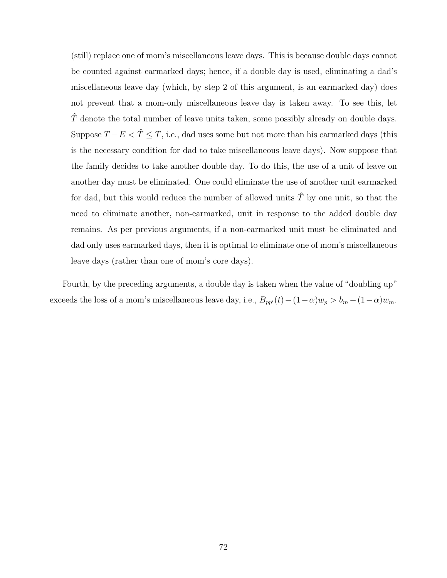(still) replace one of mom's miscellaneous leave days. This is because double days cannot be counted against earmarked days; hence, if a double day is used, eliminating a dad's miscellaneous leave day (which, by step 2 of this argument, is an earmarked day) does not prevent that a mom-only miscellaneous leave day is taken away. To see this, let  $\hat{T}$  denote the total number of leave units taken, some possibly already on double days. Suppose  $T - E < \hat{T} \leq T$ , i.e., dad uses some but not more than his earmarked days (this is the necessary condition for dad to take miscellaneous leave days). Now suppose that the family decides to take another double day. To do this, the use of a unit of leave on another day must be eliminated. One could eliminate the use of another unit earmarked for dad, but this would reduce the number of allowed units  $\hat{T}$  by one unit, so that the need to eliminate another, non-earmarked, unit in response to the added double day remains. As per previous arguments, if a non-earmarked unit must be eliminated and dad only uses earmarked days, then it is optimal to eliminate one of mom's miscellaneous leave days (rather than one of mom's core days).

Fourth, by the preceding arguments, a double day is taken when the value of "doubling up" exceeds the loss of a mom's miscellaneous leave day, i.e.,  $B_{pp}(t) - (1 - \alpha)w_p > b_m - (1 - \alpha)w_m$ .